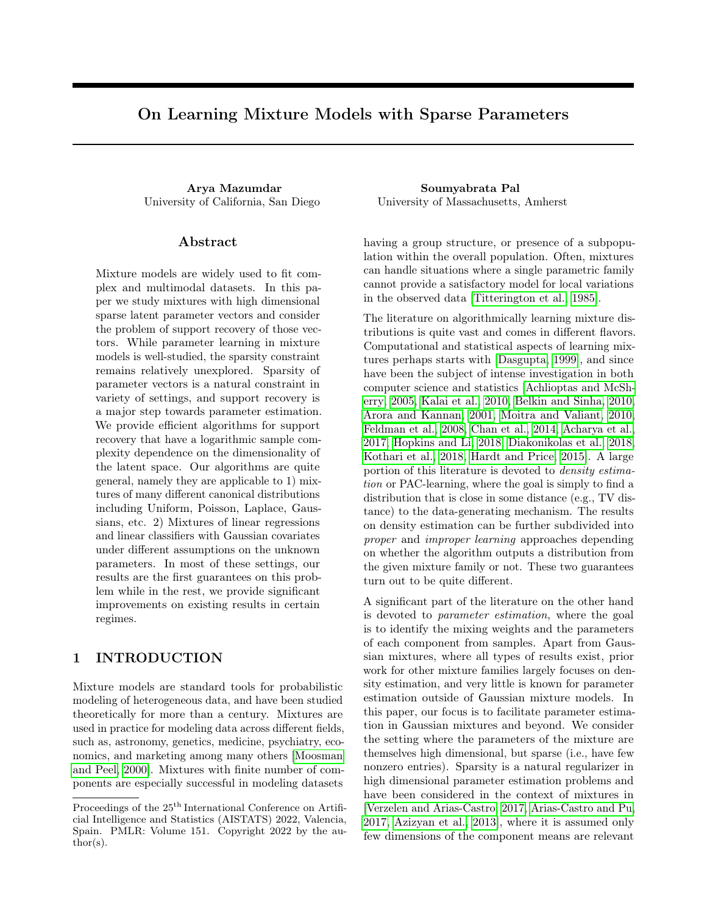# On Learning Mixture Models with Sparse Parameters

Arya Mazumdar Soumyabrata Pal

## Abstract

Mixture models are widely used to fit complex and multimodal datasets. In this paper we study mixtures with high dimensional sparse latent parameter vectors and consider the problem of support recovery of those vectors. While parameter learning in mixture models is well-studied, the sparsity constraint remains relatively unexplored. Sparsity of parameter vectors is a natural constraint in variety of settings, and support recovery is a major step towards parameter estimation. We provide efficient algorithms for support recovery that have a logarithmic sample complexity dependence on the dimensionality of the latent space. Our algorithms are quite general, namely they are applicable to 1) mixtures of many different canonical distributions including Uniform, Poisson, Laplace, Gaussians, etc. 2) Mixtures of linear regressions and linear classifiers with Gaussian covariates under different assumptions on the unknown parameters. In most of these settings, our results are the first guarantees on this problem while in the rest, we provide significant improvements on existing results in certain regimes.

# <span id="page-0-0"></span>1 INTRODUCTION

Mixture models are standard tools for probabilistic modeling of heterogeneous data, and have been studied theoretically for more than a century. Mixtures are used in practice for modeling data across different fields, such as, astronomy, genetics, medicine, psychiatry, economics, and marketing among many others [\[Moosman](#page-10-0) [and Peel, 2000\]](#page-10-0). Mixtures with finite number of components are especially successful in modeling datasets

University of California, San Diego University of Massachusetts, Amherst

having a group structure, or presence of a subpopulation within the overall population. Often, mixtures can handle situations where a single parametric family cannot provide a satisfactory model for local variations in the observed data [\[Titterington et al., 1985\]](#page-10-1).

The literature on algorithmically learning mixture distributions is quite vast and comes in different flavors. Computational and statistical aspects of learning mixtures perhaps starts with [\[Dasgupta, 1999\]](#page-9-0), and since have been the subject of intense investigation in both computer science and statistics [\[Achlioptas and McSh](#page-9-1)[erry, 2005,](#page-9-1) [Kalai et al., 2010,](#page-9-2) [Belkin and Sinha, 2010,](#page-9-3) [Arora and Kannan, 2001,](#page-9-4) [Moitra and Valiant, 2010,](#page-10-2) [Feldman et al., 2008,](#page-9-5) [Chan et al., 2014,](#page-9-6) [Acharya et al.,](#page-9-7) [2017,](#page-9-7) [Hopkins and Li, 2018,](#page-9-8) [Diakonikolas et al., 2018,](#page-9-9) [Kothari et al., 2018,](#page-10-3) [Hardt and Price, 2015\]](#page-9-10). A large portion of this literature is devoted to density estimation or PAC-learning, where the goal is simply to find a distribution that is close in some distance (e.g., TV distance) to the data-generating mechanism. The results on density estimation can be further subdivided into proper and improper learning approaches depending on whether the algorithm outputs a distribution from the given mixture family or not. These two guarantees turn out to be quite different.

A significant part of the literature on the other hand is devoted to parameter estimation, where the goal is to identify the mixing weights and the parameters of each component from samples. Apart from Gaussian mixtures, where all types of results exist, prior work for other mixture families largely focuses on density estimation, and very little is known for parameter estimation outside of Gaussian mixture models. In this paper, our focus is to facilitate parameter estimation in Gaussian mixtures and beyond. We consider the setting where the parameters of the mixture are themselves high dimensional, but sparse (i.e., have few nonzero entries). Sparsity is a natural regularizer in high dimensional parameter estimation problems and have been considered in the context of mixtures in [\[Verzelen and Arias-Castro, 2017,](#page-10-4) [Arias-Castro and Pu,](#page-9-11) [2017,](#page-9-11) [Azizyan et al., 2013\]](#page-9-12), where it is assumed only few dimensions of the component means are relevant

Proceedings of the  $25^{\text{th}}$  International Conference on Artificial Intelligence and Statistics (AISTATS) 2022, Valencia, Spain. PMLR: Volume 151. Copyright 2022 by the au- $\text{thor}(s)$ .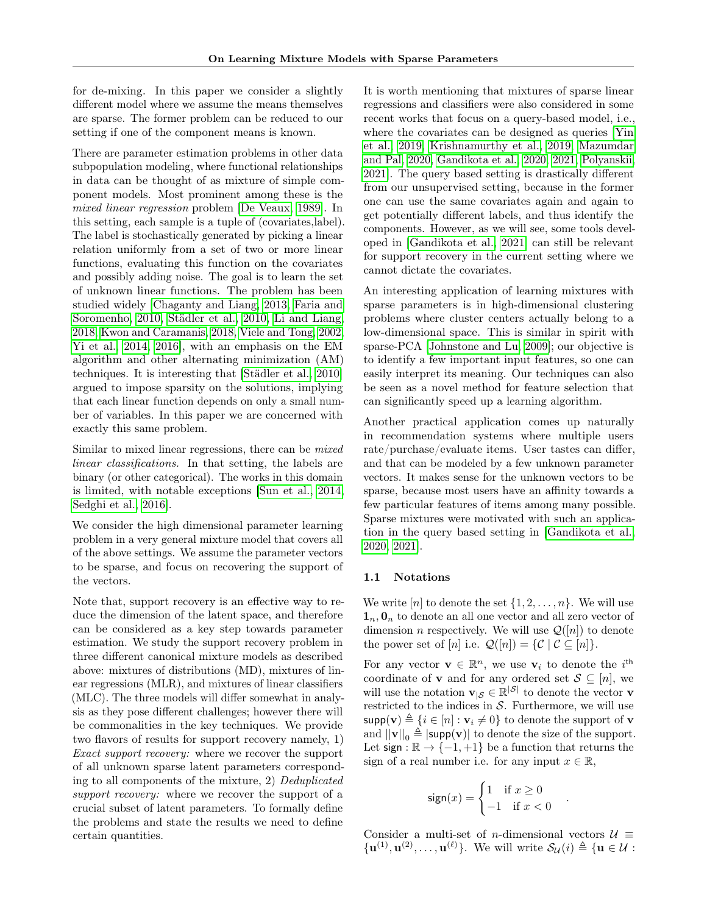for de-mixing. In this paper we consider a slightly different model where we assume the means themselves are sparse. The former problem can be reduced to our setting if one of the component means is known.

There are parameter estimation problems in other data subpopulation modeling, where functional relationships in data can be thought of as mixture of simple component models. Most prominent among these is the mixed linear regression problem [\[De Veaux, 1989\]](#page-9-13). In this setting, each sample is a tuple of (covariates,label). The label is stochastically generated by picking a linear relation uniformly from a set of two or more linear functions, evaluating this function on the covariates and possibly adding noise. The goal is to learn the set of unknown linear functions. The problem has been studied widely [\[Chaganty and Liang, 2013,](#page-9-14) [Faria and](#page-9-15) [Soromenho, 2010,](#page-9-15) [Städler et al., 2010,](#page-10-5) [Li and Liang,](#page-10-6) [2018,](#page-10-6) [Kwon and Caramanis, 2018,](#page-10-7) [Viele and Tong, 2002,](#page-10-8) [Yi et al., 2014,](#page-10-9) [2016\]](#page-10-10), with an emphasis on the EM algorithm and other alternating minimization (AM) techniques. It is interesting that [\[Städler et al., 2010\]](#page-10-5) argued to impose sparsity on the solutions, implying that each linear function depends on only a small number of variables. In this paper we are concerned with exactly this same problem.

Similar to mixed linear regressions, there can be *mixed* linear classifications. In that setting, the labels are binary (or other categorical). The works in this domain is limited, with notable exceptions [\[Sun et al., 2014,](#page-10-11) [Sedghi et al., 2016\]](#page-10-12).

We consider the high dimensional parameter learning problem in a very general mixture model that covers all of the above settings. We assume the parameter vectors to be sparse, and focus on recovering the support of the vectors.

Note that, support recovery is an effective way to reduce the dimension of the latent space, and therefore can be considered as a key step towards parameter estimation. We study the support recovery problem in three different canonical mixture models as described above: mixtures of distributions (MD), mixtures of linear regressions (MLR), and mixtures of linear classifiers (MLC). The three models will differ somewhat in analysis as they pose different challenges; however there will be commonalities in the key techniques. We provide two flavors of results for support recovery namely, 1) Exact support recovery: where we recover the support of all unknown sparse latent parameters corresponding to all components of the mixture, 2) Deduplicated support recovery: where we recover the support of a crucial subset of latent parameters. To formally define the problems and state the results we need to define certain quantities.

It is worth mentioning that mixtures of sparse linear regressions and classifiers were also considered in some recent works that focus on a query-based model, i.e., where the covariates can be designed as queries [\[Yin](#page-10-13) [et al., 2019,](#page-10-13) [Krishnamurthy et al., 2019,](#page-10-14) [Mazumdar](#page-10-15) [and Pal, 2020,](#page-10-15) [Gandikota et al., 2020,](#page-9-16) [2021,](#page-9-17) [Polyanskii,](#page-10-16) [2021\]](#page-10-16). The query based setting is drastically different from our unsupervised setting, because in the former one can use the same covariates again and again to get potentially different labels, and thus identify the components. However, as we will see, some tools developed in [\[Gandikota et al., 2021\]](#page-9-17) can still be relevant for support recovery in the current setting where we cannot dictate the covariates.

An interesting application of learning mixtures with sparse parameters is in high-dimensional clustering problems where cluster centers actually belong to a low-dimensional space. This is similar in spirit with sparse-PCA [\[Johnstone and Lu, 2009\]](#page-9-18); our objective is to identify a few important input features, so one can easily interpret its meaning. Our techniques can also be seen as a novel method for feature selection that can significantly speed up a learning algorithm.

Another practical application comes up naturally in recommendation systems where multiple users rate/purchase/evaluate items. User tastes can differ, and that can be modeled by a few unknown parameter vectors. It makes sense for the unknown vectors to be sparse, because most users have an affinity towards a few particular features of items among many possible. Sparse mixtures were motivated with such an application in the query based setting in [\[Gandikota et al.,](#page-9-16) [2020,](#page-9-16) [2021\]](#page-9-17).

#### <span id="page-1-0"></span>1.1 Notations

We write  $[n]$  to denote the set  $\{1, 2, \ldots, n\}$ . We will use  $\mathbf{1}_n, \mathbf{0}_n$  to denote an all one vector and all zero vector of dimension *n* respectively. We will use  $\mathcal{Q}([n])$  to denote the power set of [n] i.e.  $\mathcal{Q}([n]) = \{ \mathcal{C} \mid \mathcal{C} \subseteq [n] \}.$ 

For any vector  $\mathbf{v} \in \mathbb{R}^n$ , we use  $\mathbf{v}_i$  to denote the i<sup>th</sup> coordinate of **v** and for any ordered set  $S \subseteq [n]$ , we will use the notation  $\mathbf{v}_{|\mathcal{S}} \in \mathbb{R}^{|\mathcal{S}|}$  to denote the vector **v** restricted to the indices in  $S$ . Furthermore, we will use  $\textsf{supp}(\mathbf{v}) \triangleq \{i \in [n] : \mathbf{v}_i \neq 0\}$  to denote the support of  $\mathbf{v}$ and  $||\mathbf{v}||_0 \triangleq |\text{supp}(\mathbf{v})|$  to denote the size of the support. Let sign :  $\mathbb{R} \to \{-1, +1\}$  be a function that returns the sign of a real number i.e. for any input  $x \in \mathbb{R}$ ,

$$
\text{sign}(x) = \begin{cases} 1 & \text{if } x \ge 0 \\ -1 & \text{if } x < 0 \end{cases}
$$

.

Consider a multi-set of *n*-dimensional vectors  $\mathcal{U} \equiv$  $\{ {\bf u}^{(1)}, {\bf u}^{(2)}, \ldots, {\bf u}^{(\ell)} \}.$  We will write  $\mathcal{S}_{\mathcal{U}}(i) \triangleq \{ {\bf u} \in \mathcal{U} :$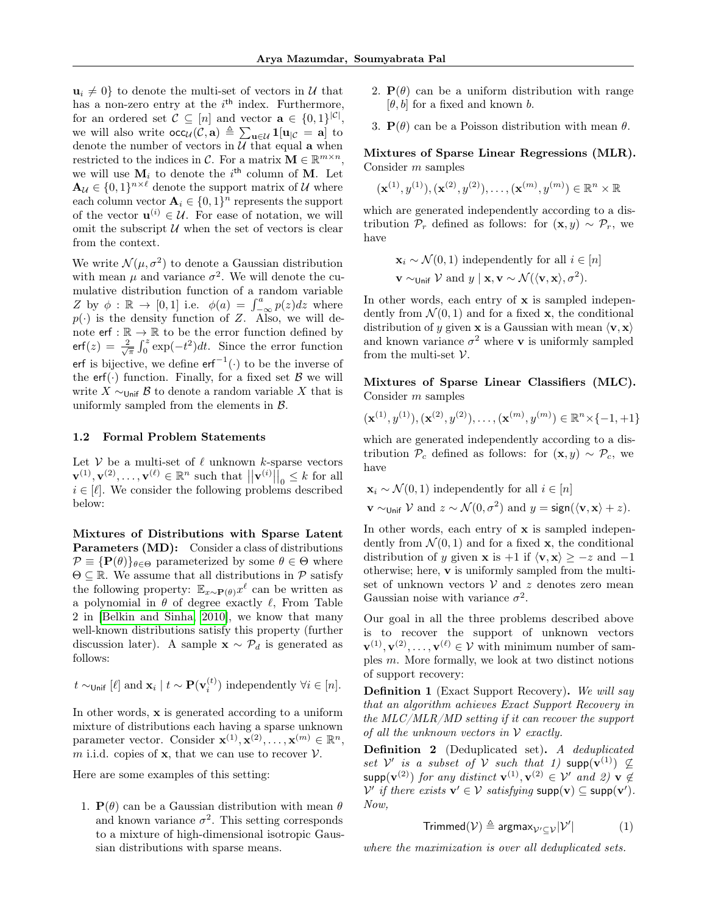$u_i \neq 0$  to denote the multi-set of vectors in U that has a non-zero entry at the  $i<sup>th</sup>$  index. Furthermore, for an ordered set  $\mathcal{C} \subseteq [n]$  and vector  $\mathbf{a} \in \{0,1\}^{|\mathcal{C}|}$ , we will also write  $\operatorname{occ}_{\mathcal{U}}(\mathcal{C}, \mathbf{a}) \triangleq \sum_{\mathbf{u} \in \mathcal{U}} \mathbf{1}[\mathbf{u}_{|\mathcal{C}} = \mathbf{a}]$  to denote the number of vectors in  $\overline{\mathcal{U}}$  that equal **a** when restricted to the indices in C. For a matrix  $\mathbf{M} \in \mathbb{R}^{m \times n}$ , we will use  $M_i$  to denote the i<sup>th</sup> column of M. Let  $\mathbf{A}_{\mathcal{U}} \in \{0,1\}^{n \times \ell}$  denote the support matrix of  $\mathcal{U}$  where each column vector  $\mathbf{A}_i \in \{0,1\}^n$  represents the support of the vector  $\mathbf{u}^{(i)} \in \mathcal{U}$ . For ease of notation, we will omit the subscript  $U$  when the set of vectors is clear from the context.

We write  $\mathcal{N}(\mu, \sigma^2)$  to denote a Gaussian distribution with mean  $\mu$  and variance  $\sigma^2$ . We will denote the cumulative distribution function of a random variable Z by  $\phi : \mathbb{R} \to [0,1]$  i.e.  $\phi(a) = \int_{-\infty}^{a} p(z) dz$  where  $p(\cdot)$  is the density function of Z. Also, we will denote  $\mathsf{erf} : \mathbb{R} \to \mathbb{R}$  to be the error function defined by erf(z) =  $\frac{2}{\sqrt{\pi}} \int_0^z \exp(-t^2) dt$ . Since the error function erf is bijective, we define  $erf^{-1}(\cdot)$  to be the inverse of the erf(.) function. Finally, for a fixed set  $\beta$  we will write  $X \sim_{\text{Unif}} \mathcal{B}$  to denote a random variable X that is uniformly sampled from the elements in  $\beta$ .

#### <span id="page-2-1"></span>1.2 Formal Problem Statements

Let  $V$  be a multi-set of  $\ell$  unknown k-sparse vectors  $\mathbf{v}^{(1)}, \mathbf{v}^{(2)}, \dots, \mathbf{v}^{(\ell)} \in \mathbb{R}^n$  such that  $||\mathbf{v}^{(i)}||_0 \leq k$  for all  $i \in [\ell]$ . We consider the following problems described below:

Mixtures of Distributions with Sparse Latent Parameters (MD): Consider a class of distributions  $\mathcal{P} \equiv {\bf P}(\theta) \}_{\theta \in \Theta}$  parameterized by some  $\theta \in \Theta$  where  $\Theta \subseteq \mathbb{R}$ . We assume that all distributions in  $\mathcal{P}$  satisfy the following property:  $\mathbb{E}_{x \sim \mathbf{P}(\theta)} x^{\ell}$  can be written as a polynomial in  $\theta$  of degree exactly  $\ell$ , From Table 2 in [\[Belkin and Sinha, 2010\]](#page-9-3), we know that many well-known distributions satisfy this property (further discussion later). A sample  $\mathbf{x} \sim \mathcal{P}_d$  is generated as follows:

$$
t \sim_{\text{Unif}} [\ell]
$$
 and  $\mathbf{x}_i | t \sim \mathbf{P}(\mathbf{v}_i^{(t)})$  independently  $\forall i \in [n]$ .

In other words, x is generated according to a uniform mixture of distributions each having a sparse unknown parameter vector. Consider  $\mathbf{x}^{(1)}, \mathbf{x}^{(2)}, \ldots, \mathbf{x}^{(m)} \in \mathbb{R}^n$ , m i.i.d. copies of  $x$ , that we can use to recover  $V$ .

Here are some examples of this setting:

1.  $P(\theta)$  can be a Gaussian distribution with mean  $\theta$ and known variance  $\sigma^2$ . This setting corresponds to a mixture of high-dimensional isotropic Gaussian distributions with sparse means.

- 2.  $P(\theta)$  can be a uniform distribution with range  $[\theta, b]$  for a fixed and known b.
- 3.  $P(\theta)$  can be a Poisson distribution with mean  $\theta$ .

## Mixtures of Sparse Linear Regressions (MLR). Consider m samples

 $(\mathbf{x}^{(1)}, y^{(1)}), (\mathbf{x}^{(2)}, y^{(2)}), \ldots, (\mathbf{x}^{(m)}, y^{(m)}) \in \mathbb{R}^n \times \mathbb{R}$ 

which are generated independently according to a distribution  $\mathcal{P}_r$  defined as follows: for  $(\mathbf{x}, y) \sim \mathcal{P}_r$ , we have

$$
\mathbf{x}_i \sim \mathcal{N}(0, 1)
$$
 independently for all  $i \in [n]$   

$$
\mathbf{v} \sim \text{Unif } \mathcal{V} \text{ and } y \mid \mathbf{x}, \mathbf{v} \sim \mathcal{N}(\langle \mathbf{v}, \mathbf{x} \rangle, \sigma^2).
$$

In other words, each entry of x is sampled independently from  $\mathcal{N}(0,1)$  and for a fixed **x**, the conditional distribution of y given **x** is a Gaussian with mean  $\langle \mathbf{v}, \mathbf{x} \rangle$ and known variance  $\sigma^2$  where **v** is uniformly sampled from the multi-set  $\mathcal V$ .

Mixtures of Sparse Linear Classifiers (MLC). Consider m samples

$$
(\mathbf{x}^{(1)}, y^{(1)}), (\mathbf{x}^{(2)}, y^{(2)}), \dots, (\mathbf{x}^{(m)}, y^{(m)}) \in \mathbb{R}^n \times \{-1, +1\}
$$

which are generated independently according to a distribution  $\mathcal{P}_c$  defined as follows: for  $(\mathbf{x}, y) \sim \mathcal{P}_c$ , we have

$$
\mathbf{x}_i \sim \mathcal{N}(0, 1)
$$
 independently for all  $i \in [n]$   
 $\mathbf{v} \sim_{\text{Unif}} \mathcal{V}$  and  $z \sim \mathcal{N}(0, \sigma^2)$  and  $y = \text{sign}(\langle \mathbf{v}, \mathbf{x} \rangle + z)$ .

In other words, each entry of **x** is sampled independently from  $\mathcal{N}(0, 1)$  and for a fixed **x**, the conditional distribution of y given **x** is +1 if  $\langle \mathbf{v}, \mathbf{x} \rangle \geq -z$  and  $-1$ otherwise; here, v is uniformly sampled from the multiset of unknown vectors  $V$  and  $z$  denotes zero mean Gaussian noise with variance  $\sigma^2$ .

Our goal in all the three problems described above is to recover the support of unknown vectors  $\mathbf{v}^{(1)}, \mathbf{v}^{(2)}, \ldots, \mathbf{v}^{(\ell)} \in \mathcal{V}$  with minimum number of samples m. More formally, we look at two distinct notions of support recovery:

<span id="page-2-0"></span>Definition 1 (Exact Support Recovery). We will say that an algorithm achieves Exact Support Recovery in the MLC/MLR/MD setting if it can recover the support of all the unknown vectors in  $\mathcal V$  exactly.

Definition 2 (Deduplicated set). A deduplicated set  $\mathcal{V}'$  is a subset of  $\mathcal{V}$  such that 1) supp $(\mathbf{v}^{(1)}) \nsubseteq$  $\mathsf{supp}(\mathbf{v}^{(2)})$  for any distinct  $\mathbf{v}^{(1)}, \mathbf{v}^{(2)} \in \mathcal{V}'$  and 2)  $\mathbf{v} \not\in \mathcal{V}'$  $V'$  if there exists  $\mathbf{v}' \in V$  satisfying  $\text{supp}(\mathbf{v}) \subseteq \text{supp}(\mathbf{v}')$ . Now,

$$
\text{Trimmed}(\mathcal{V}) \triangleq \text{argmax}_{\mathcal{V}' \subseteq \mathcal{V}} |\mathcal{V}'| \tag{1}
$$

where the maximization is over all deduplicated sets.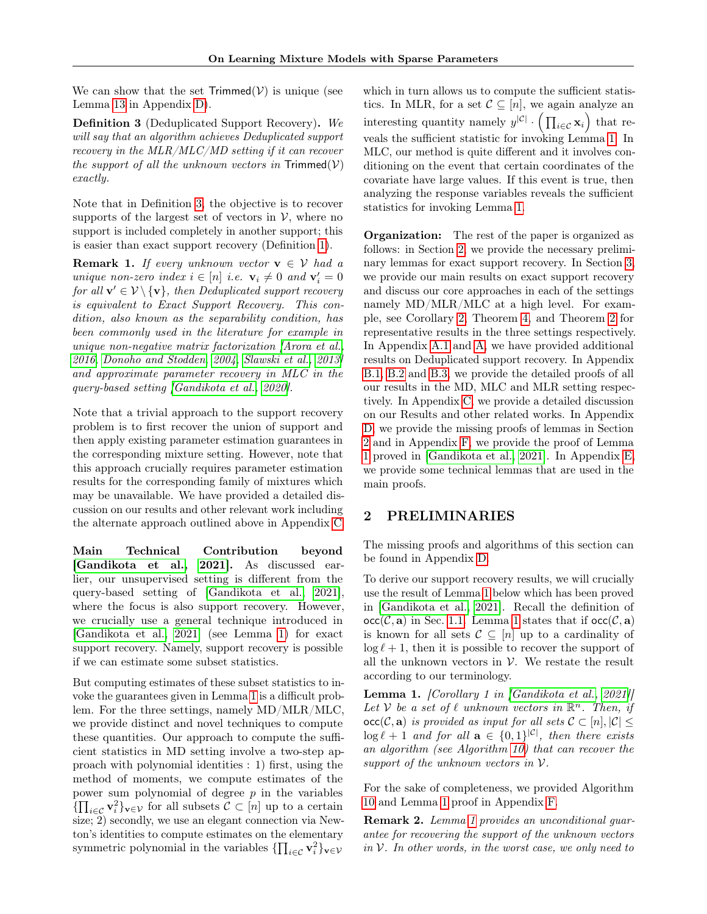We can show that the set  $Trimmed(V)$  is unique (see Lemma [13](#page-28-0) in Appendix [D\)](#page-24-0).

<span id="page-3-0"></span>Definition 3 (Deduplicated Support Recovery). We will say that an algorithm achieves Deduplicated support recovery in the MLR/MLC/MD setting if it can recover the support of all the unknown vectors in  $Trimmed(V)$ exactly.

Note that in Definition [3,](#page-3-0) the objective is to recover supports of the largest set of vectors in  $\mathcal V$ , where no support is included completely in another support; this is easier than exact support recovery (Definition [1\)](#page-2-0).

<span id="page-3-3"></span>**Remark 1.** If every unknown vector  $\mathbf{v} \in \mathcal{V}$  had a unique non-zero index  $i \in [n]$  i.e.  $\mathbf{v}_i \neq 0$  and  $\mathbf{v}'_i = 0$ for all  $\mathbf{v}' \in \mathcal{V} \setminus {\mathbf{v}}$ , then Deduplicated support recovery is equivalent to Exact Support Recovery. This condition, also known as the separability condition, has been commonly used in the literature for example in unique non-negative matrix factorization [\[Arora et al.,](#page-9-19) [2016,](#page-9-19) [Donoho and Stodden, 2004,](#page-9-20) [Slawski et al., 2013\]](#page-10-17) and approximate parameter recovery in MLC in the query-based setting [\[Gandikota et al., 2020\]](#page-9-16).

Note that a trivial approach to the support recovery problem is to first recover the union of support and then apply existing parameter estimation guarantees in the corresponding mixture setting. However, note that this approach crucially requires parameter estimation results for the corresponding family of mixtures which may be unavailable. We have provided a detailed discussion on our results and other relevant work including the alternate approach outlined above in Appendix [C.](#page-23-0)

Main Technical Contribution beyond [\[Gandikota et al., 2021\]](#page-9-17). As discussed earlier, our unsupervised setting is different from the query-based setting of [\[Gandikota et al., 2021\]](#page-9-17), where the focus is also support recovery. However, we crucially use a general technique introduced in [\[Gandikota et al., 2021\]](#page-9-17) (see Lemma [1\)](#page-3-1) for exact support recovery. Namely, support recovery is possible if we can estimate some subset statistics.

But computing estimates of these subset statistics to invoke the guarantees given in Lemma [1](#page-3-1) is a difficult problem. For the three settings, namely MD/MLR/MLC, we provide distinct and novel techniques to compute these quantities. Our approach to compute the sufficient statistics in MD setting involve a two-step approach with polynomial identities : 1) first, using the method of moments, we compute estimates of the power sum polynomial of degree  $p$  in the variables  ${\{\prod_{i\in\mathcal{C}}\mathbf{v}_i^2\}_{\mathbf{v}\in\mathcal{V}}}$  for all subsets  $\mathcal{C}\subset[n]$  up to a certain size; 2) secondly, we use an elegant connection via Newton's identities to compute estimates on the elementary symmetric polynomial in the variables  $\{\prod_{i \in \mathcal{C}} \mathbf{v}_i^2\}_{\mathbf{v} \in \mathcal{V}}$ 

which in turn allows us to compute the sufficient statistics. In MLR, for a set  $\mathcal{C} \subseteq [n]$ , we again analyze an interesting quantity namely  $y^{|\mathcal{C}|} \cdot (\prod_{i \in \mathcal{C}} \mathbf{x}_i)$  that reveals the sufficient statistic for invoking Lemma [1.](#page-3-1) In MLC, our method is quite different and it involves conditioning on the event that certain coordinates of the covariate have large values. If this event is true, then analyzing the response variables reveals the sufficient statistics for invoking Lemma [1.](#page-3-1)

Organization: The rest of the paper is organized as follows: in Section [2,](#page-3-2) we provide the necessary preliminary lemmas for exact support recovery. In Section [3,](#page-4-0) we provide our main results on exact support recovery and discuss our core approaches in each of the settings namely MD/MLR/MLC at a high level. For example, see Corollary [2,](#page-6-0) Theorem [4,](#page-8-0) and Theorem [2](#page-7-0) for representative results in the three settings respectively. In Appendix [A.1](#page-11-0) and [A,](#page-11-1) we have provided additional results on Deduplicated support recovery. In Appendix [B.1,](#page-13-0) [B.2](#page-18-0) and [B.3,](#page-19-0) we provide the detailed proofs of all our results in the MD, MLC and MLR setting respectively. In Appendix [C,](#page-23-0) we provide a detailed discussion on our Results and other related works. In Appendix [D,](#page-24-0) we provide the missing proofs of lemmas in Section [2](#page-3-2) and in Appendix [F,](#page-30-0) we provide the proof of Lemma [1](#page-3-1) proved in [\[Gandikota et al., 2021\]](#page-9-17). In Appendix [E,](#page-28-1) we provide some technical lemmas that are used in the main proofs.

# <span id="page-3-2"></span>2 PRELIMINARIES

The missing proofs and algorithms of this section can be found in Appendix [D.](#page-24-0)

To derive our support recovery results, we will crucially use the result of Lemma [1](#page-3-1) below which has been proved in [\[Gandikota et al., 2021\]](#page-9-17). Recall the definition of  $occ(\mathcal{C}, \mathbf{a})$  in Sec. [1.1.](#page-1-0) Lemma [1](#page-3-1) states that if  $occ(\mathcal{C}, \mathbf{a})$ is known for all sets  $C \subseteq [n]$  up to a cardinality of  $\log \ell + 1$ , then it is possible to recover the support of all the unknown vectors in  $V$ . We restate the result according to our terminology.

<span id="page-3-1"></span>Lemma 1. [Corollary 1 in [\[Gandikota et al., 2021\]](#page-9-17)] Let V be a set of  $\ell$  unknown vectors in  $\mathbb{R}^n$ . Then, if  $\operatorname{occ}(\mathcal{C}, \mathbf{a})$  is provided as input for all sets  $\mathcal{C} \subset [n], |\mathcal{C}| \leq$  $\log \ell + 1$  and for all  $\mathbf{a} \in \{0, 1\}^{|\mathcal{C}|}$ , then there exists an algorithm (see Algorithm [10\)](#page-30-1) that can recover the support of the unknown vectors in  $V$ .

For the sake of completeness, we provided Algorithm [10](#page-30-1) and Lemma [1](#page-3-1) proof in Appendix [F.](#page-30-0)

Remark 2. Lemma [1](#page-3-1) provides an unconditional guarantee for recovering the support of the unknown vectors in  $V$ . In other words, in the worst case, we only need to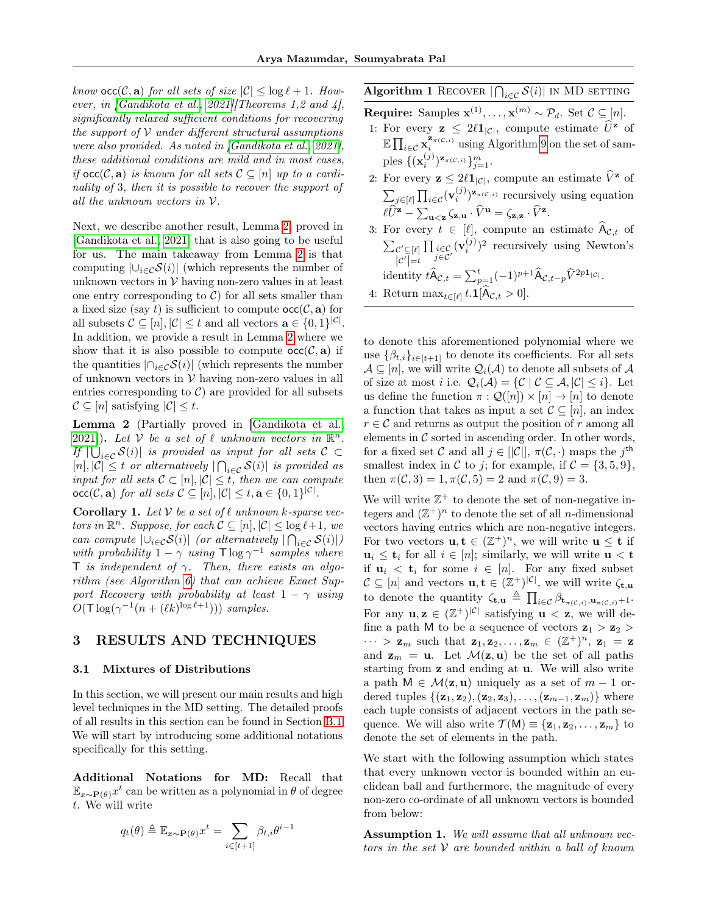know  $\text{occ}(\mathcal{C}, \mathbf{a})$  for all sets of size  $|\mathcal{C}| \leq \log \ell + 1$ . However, in [\[Gandikota et al., 2021\]](#page-9-17)[Theorems 1,2 and 4], significantly relaxed sufficient conditions for recovering the support of  $V$  under different structural assumptions were also provided. As noted in [\[Gandikota et al., 2021\]](#page-9-17), these additional conditions are mild and in most cases, if  $\text{occ}(\mathcal{C}, \mathbf{a})$  is known for all sets  $\mathcal{C} \subseteq [n]$  up to a cardinality of 3, then it is possible to recover the support of all the unknown vectors in V.

Next, we describe another result, Lemma [2,](#page-4-1) proved in [\[Gandikota et al., 2021\]](#page-9-17) that is also going to be useful for us. The main takeaway from Lemma [2](#page-4-1) is that computing  $|\bigcup_{i\in\mathcal{C}}\mathcal{S}(i)|$  (which represents the number of unknown vectors in  $V$  having non-zero values in at least one entry corresponding to  $C$  for all sets smaller than a fixed size (say t) is sufficient to compute  $occ(C, a)$  for all subsets  $\mathcal{C} \subseteq [n], |\mathcal{C}| \leq t$  and all vectors  $\mathbf{a} \in \{0, 1\}^{|\mathcal{C}|}$ . In addition, we provide a result in Lemma [2](#page-4-1) where we show that it is also possible to compute  $\operatorname{occ}(\mathcal{C}, \mathbf{a})$  if the quantities  $|\bigcap_{i\in\mathcal{C}}\mathcal{S}(i)|$  (which represents the number of unknown vectors in  $V$  having non-zero values in all entries corresponding to  $C$  are provided for all subsets  $C \subseteq [n]$  satisfying  $|C| \leq t$ .

<span id="page-4-1"></span>Lemma 2 (Partially proved in [\[Gandikota et al.,](#page-9-17) [2021\]](#page-9-17)). Let  $\mathcal V$  be a set of  $\ell$  unknown vectors in  $\mathbb R^n$ . If  $|\bigcup_{i \in \mathcal{C}} \mathcal{S}(i)|$  is provided as input for all sets  $\mathcal{C} \subset$  $[n], |\mathcal{C}| \leq t$  or alternatively  $|\bigcap_{i \in \mathcal{C}} \mathcal{S}(i)|$  is provided as input for all sets  $C \subset [n], |\mathcal{C}| \leq t$ , then we can compute  $\mathsf{occ}(\mathcal{C}, \mathbf{a})$  for all sets  $\mathcal{C} \subseteq [n], |\mathcal{C}| \leq t, \mathbf{a} \in \{0, 1\}^{|\mathcal{C}|}$ .

<span id="page-4-4"></span>**Corollary 1.** Let  $V$  be a set of  $\ell$  unknown k-sparse vectors in  $\mathbb{R}^n$ . Suppose, for each  $\mathcal{C} \subseteq [n], |\mathcal{C}| \leq \log \ell + 1$ , we can compute  $|\bigcup_{i\in\mathcal{C}}\mathcal{S}(i)|$  (or alternatively  $|\bigcap_{i\in\mathcal{C}}\mathcal{S}(i)|$ ) with probability  $1 - \gamma$  using  $\Gamma \log \gamma^{-1}$  samples where T is independent of  $\gamma$ . Then, there exists an algorithm (see Algorithm [6\)](#page-26-0) that can achieve Exact Support Recovery with probability at least  $1 - \gamma$  using  $O(\mathsf{T} \log(\gamma^{-1}(n + (\ell k)^{\log \ell+1})))$  samples.

# <span id="page-4-0"></span>3 RESULTS AND TECHNIQUES

#### 3.1 Mixtures of Distributions

In this section, we will present our main results and high level techniques in the MD setting. The detailed proofs of all results in this section can be found in Section [B.1.](#page-13-0) We will start by introducing some additional notations specifically for this setting.

Additional Notations for MD: Recall that  $\mathbb{E}_{x \sim \mathbf{P}(\theta)} x^t$  can be written as a polynomial in  $\theta$  of degree t. We will write

$$
q_t(\theta) \triangleq \mathbb{E}_{x \sim \mathbf{P}(\theta)} x^t = \sum_{i \in [t+1]} \beta_{t,i} \theta^{i-1}
$$

<span id="page-4-3"></span>Algorithm 1 RECOVER  $|\bigcap_{i\in\mathcal{C}}\mathcal{S}(i)|$  in MD setting

- **Require:** Samples  $\mathbf{x}^{(1)}, \ldots, \mathbf{x}^{(m)} \sim \mathcal{P}_d$ . Set  $\mathcal{C} \subseteq [n]$ .
- 1: For every  $\mathbf{z} \leq 2\ell \mathbf{1}_{|\mathcal{C}|}$ , compute estimate  $\widehat{U}^{\mathbf{z}}$  of  $\mathbb{E} \prod_{i \in \mathcal{C}} \mathbf{x}_i^{\mathbf{z}_{\pi(\mathcal{C},i)}}$  using Algorithm [9](#page-28-2) on the set of samples  $\{(\mathbf{x}_i^{(j)})^{\mathbf{z}_{\pi({\cal C},i)}}\}_{j=1}^m$ .
- 2: For every  $\mathbf{z} \leq 2\ell \mathbf{1}_{|\mathcal{C}|}$ , compute an estimate  $\widehat{V}^{\mathbf{z}}$  of  $\sum_{j \in [\ell]} \prod_{i \in \mathcal{C}} (\mathbf{v}_i^{(j)})^{\mathbf{z}_{\pi(\mathcal{C},i)}}$  recursively using equation  $\ell \widehat{U}^{\mathbf{z}} - \sum_{\mathbf{u} < \mathbf{z}} \zeta_{\mathbf{z},\mathbf{u}} \cdot \widehat{V}^{\mathbf{u}} = \zeta_{\mathbf{z},\mathbf{z}} \cdot \widehat{V}^{\mathbf{z}}.$
- 3: For every  $t \in [\ell],$  compute an estimate  $\widehat{A}_{\mathcal{C},t}$  of  $\sum_{\mathcal{C}^\prime \subseteq [\ell]}$  $|C'|=t$  $\prod_{\substack{i \in \mathcal{C} \\ j \in \mathcal{C}'}} (\mathbf{v}_i^{(j)})^2$  recursively using Newton's identity  $\hat{t} \widehat{A}_{\mathcal{C},t} = \sum_{p=1}^t (-1)^{p+1} \widehat{A}_{\mathcal{C},t-p} \widehat{V}^{2p1_{|\mathcal{C}|}}.$
- 4: Return  $\max_{t \in [\ell]} t.\mathbf{1}[A_{\mathcal{C},t} > 0].$

to denote this aforementioned polynomial where we use  $\{\beta_{t,i}\}_{i\in[t+1]}$  to denote its coefficients. For all sets  $\mathcal{A} \subseteq [n]$ , we will write  $\mathcal{Q}_i(\mathcal{A})$  to denote all subsets of  $\mathcal{A}$ of size at most *i* i.e.  $Q_i(\mathcal{A}) = \{ \mathcal{C} \mid \mathcal{C} \subseteq \mathcal{A}, |\mathcal{C}| \leq i \}.$  Let us define the function  $\pi : \mathcal{Q}([n]) \times [n] \to [n]$  to denote a function that takes as input a set  $\mathcal{C} \subseteq [n]$ , an index  $r \in \mathcal{C}$  and returns as output the position of r among all elements in  $\mathcal C$  sorted in ascending order. In other words, for a fixed set C and all  $j \in [|\mathcal{C}|], \pi(\mathcal{C}, \cdot)$  maps the j<sup>th</sup> smallest index in C to j; for example, if  $C = \{3, 5, 9\}$ , then  $\pi(\mathcal{C}, 3) = 1, \pi(\mathcal{C}, 5) = 2$  and  $\pi(\mathcal{C}, 9) = 3$ .

We will write  $\mathbb{Z}^+$  to denote the set of non-negative integers and  $(\mathbb{Z}^+)^n$  to denote the set of all *n*-dimensional vectors having entries which are non-negative integers. For two vectors  $\mathbf{u}, \mathbf{t} \in (\mathbb{Z}^+)^n$ , we will write  $\mathbf{u} \leq \mathbf{t}$  if  $u_i \leq t_i$  for all  $i \in [n]$ ; similarly, we will write  $u < t$ if  $u_i < t_i$  for some  $i \in [n]$ . For any fixed subset  $\mathcal{C} \subseteq [n]$  and vectors  $\mathbf{u}, \mathbf{t} \in (\mathbb{Z}^+)^{|\mathcal{C}|}$ , we will write  $\zeta_{\mathbf{t},\mathbf{u}}$ to denote the quantity  $\zeta_{\mathbf{t},\mathbf{u}} \triangleq \prod_{i \in \mathcal{C}} \beta_{\mathbf{t}_{\pi(\mathcal{C},i)},\mathbf{u}_{\pi(\mathcal{C},i)}+1}$ . For any  $\mathbf{u}, \mathbf{z} \in (\mathbb{Z}^+)^{|\mathcal{C}|}$  satisfying  $\mathbf{u} < \mathbf{z}$ , we will define a path M to be a sequence of vectors  $z_1 > z_2$  $\cdots > \mathbf{z}_m$  such that  $\mathbf{z}_1, \mathbf{z}_2, \ldots, \mathbf{z}_m \in (\mathbb{Z}^+)^n$ ,  $\mathbf{z}_1 = \mathbf{z}$ and  $z_m = u$ . Let  $\mathcal{M}(z, u)$  be the set of all paths starting from z and ending at u. We will also write a path  $M \in \mathcal{M}(\mathbf{z}, \mathbf{u})$  uniquely as a set of  $m-1$  ordered tuples  $\{(\mathbf{z}_1, \mathbf{z}_2),(\mathbf{z}_2, \mathbf{z}_3), \ldots,(\mathbf{z}_{m-1}, \mathbf{z}_m)\}\$  where each tuple consists of adjacent vectors in the path sequence. We will also write  $\mathcal{T}(\mathsf{M}) \equiv \{\mathbf{z}_1, \mathbf{z}_2, \ldots, \mathbf{z}_m\}$  to denote the set of elements in the path.

We start with the following assumption which states that every unknown vector is bounded within an euclidean ball and furthermore, the magnitude of every non-zero co-ordinate of all unknown vectors is bounded from below:

<span id="page-4-2"></span>**Assumption 1.** We will assume that all unknown vectors in the set  $V$  are bounded within a ball of known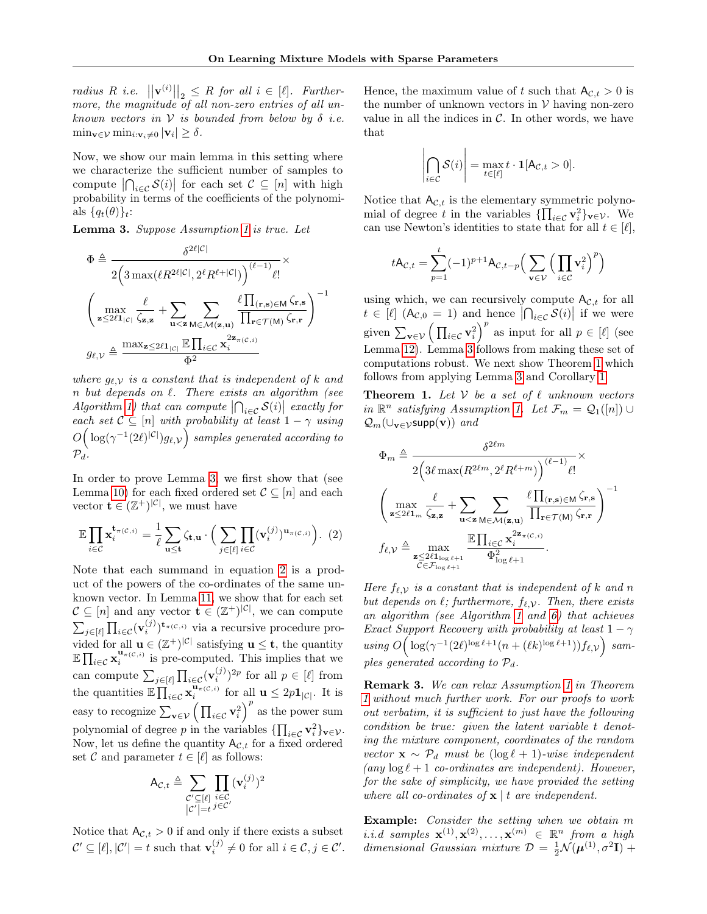radius R i.e.  $||\mathbf{v}^{(i)}||_2 \leq R$  for all  $i \in [\ell]$ . Furthermore, the magnitude of all non-zero entries of all unknown vectors in  $V$  is bounded from below by  $\delta$  i.e.  $\min_{\mathbf{v}\in\mathcal{V}}\min_{i:\mathbf{v}_i\neq 0} |\mathbf{v}_i|\geq \delta.$ 

Now, we show our main lemma in this setting where we characterize the sufficient number of samples to compute  $|\bigcap_{i\in\mathcal{C}}\mathcal{S}(i)|$  for each set  $\mathcal{C}\subseteq[n]$  with high probability in terms of the coefficients of the polynomials  ${q_t(\theta)}_t$ :

<span id="page-5-0"></span>Lemma 3. Suppose Assumption [1](#page-4-2) is true. Let

$$
\Phi \triangleq \frac{\delta^{2\ell|\mathcal{C}|}}{2\left(3 \max(\ell R^{2\ell|\mathcal{C}|}, 2^{\ell} R^{\ell+|\mathcal{C}|})\right)^{(\ell-1)} \ell!} \times \left(\max_{\mathbf{z} \leq 2\ell\mathbf{1}_{|\mathcal{C}|}} \frac{\ell}{\zeta_{\mathbf{z},\mathbf{z}}} + \sum_{\mathbf{u} < \mathbf{z}} \sum_{\mathbf{M} \in \mathcal{M}(\mathbf{z},\mathbf{u})} \frac{\ell \prod_{(\mathbf{r},\mathbf{s}) \in \mathbf{M}} \zeta_{\mathbf{r},\mathbf{s}}}{\prod_{\mathbf{r} \in \mathcal{T}(\mathbf{M})} \zeta_{\mathbf{r},\mathbf{r}}} \right)^{-1} \times \mathcal{G}\ell, \mathcal{V} \triangleq \frac{\max_{\mathbf{z} \leq 2\ell\mathbf{1}_{|\mathcal{C}|}} \mathbb{E} \prod_{i \in \mathcal{C}} \mathbf{x}_i^{2\mathbf{z}_{\pi(\mathcal{C},i)}}}{\Phi^2}
$$

where  $g_{\ell,\mathcal{V}}$  is a constant that is independent of k and  $n$  but depends on  $\ell$ . There exists an algorithm (see Algorithm [1\)](#page-4-3) that can compute  $\left|\bigcap_{i\in\mathcal{C}}\mathcal{S}(i)\right|$  exactly for each set  $C \subseteq [n]$  with probability at least  $1 - \gamma$  using  $O\Big(\log(\gamma^{-1}(2\ell)^{|\mathcal{C}|})g_{\ell, \mathcal{V}}\Big)$  samples generated according to  $\mathcal{P}_d$ .

In order to prove Lemma [3,](#page-5-0) we first show that (see Lemma [10\)](#page-13-1) for each fixed ordered set  $\mathcal{C} \subseteq [n]$  and each vector  $\mathbf{t} \in (\mathbb{Z}^+)^{|\mathcal{C}|}$ , we must have

$$
\mathbb{E}\prod_{i\in\mathcal{C}}\mathbf{x}_i^{\mathbf{t}_{\pi(\mathcal{C},i)}} = \frac{1}{\ell}\sum_{\mathbf{u}\leq \mathbf{t}} \zeta_{\mathbf{t},\mathbf{u}} \cdot \Big(\sum_{j\in[\ell]} \prod_{i\in\mathcal{C}} (\mathbf{v}_i^{(j)})^{\mathbf{u}_{\pi(\mathcal{C},i)}}\Big). (2)
$$

Note that each summand in equation [2](#page-5-1) is a product of the powers of the co-ordinates of the same unknown vector. In Lemma [11,](#page-13-2) we show that for each set  $\mathcal{C} \subseteq [n]$  and any vector  $\mathbf{t} \in (\mathbb{Z}^+)^{|\mathcal{C}|}$ , we can compute  $\sum_{j \in [\ell]} \prod_{i \in \mathcal{C}} (\mathbf{v}_i^{(j)})^{\mathbf{t}_{\pi(\mathcal{C},i)}}$  via a recursive procedure provided for all  $\mathbf{u} \in (\mathbb{Z}^+)^{|\mathcal{C}|}$  satisfying  $\mathbf{u} \leq \mathbf{t}$ , the quantity  $\mathbb{E} \prod_{i \in \mathcal{C}} \mathbf{x}_i^{\mathbf{u}_{\pi(\mathcal{C},i)}}$  is pre-computed. This implies that we can compute  $\sum_{j \in [\ell]} \prod_{i \in \mathcal{C}} (\mathbf{v}_i^{(j)})^{2p}$  for all  $p \in [\ell]$  from the quantities  $\mathbb{E} \prod_{i \in \mathcal{C}}^{\mathbf{u}} \mathbf{x}_i^{\mathbf{u}_{\pi(\mathcal{C},i)}}$  for all  $\mathbf{u} \leq 2p\mathbf{1}_{|\mathcal{C}|}$ . It is easy to recognize  $\sum_{\mathbf{v}\in\mathcal{V}}\left(\prod_{i\in\mathcal{C}}\mathbf{v}_i^2\right)^p$  as the power sum polynomial of degree p in the variables  $\{\prod_{i\in\mathcal{C}} \mathbf{v}_i^2\}_{\mathbf{v}\in\mathcal{V}}$ . Now, let us define the quantity  $A_{\mathcal{C},t}$  for a fixed ordered set C and parameter  $t \in [\ell]$  as follows:

$$
\mathsf{A}_{\mathcal{C},t} \triangleq \sum_{\substack{\mathcal{C}' \subseteq [\ell] \\ |\mathcal{C}'| = t}} \prod_{\substack{i \in \mathcal{C} \\ j \in \mathcal{C}'}} (\mathbf{v}_i^{(j)})^2
$$

Notice that  $A_{\mathcal{C},t} > 0$  if and only if there exists a subset  $\mathcal{C}' \subseteq [\ell], |\mathcal{C}'| = t$  such that  $\mathbf{v}_i^{(j)} \neq 0$  for all  $i \in \mathcal{C}, j \in \mathcal{C}'$ . Hence, the maximum value of t such that  $A_{\mathcal{C},t} > 0$  is the number of unknown vectors in  $V$  having non-zero value in all the indices in  $\mathcal{C}$ . In other words, we have that

$$
\left|\bigcap_{i\in\mathcal{C}}\mathcal{S}(i)\right|=\max_{t\in[\ell]}t\cdot\mathbf{1}[A_{\mathcal{C},t}>0].
$$

Notice that  $A_{\mathcal{C},t}$  is the elementary symmetric polynomial of degree t in the variables  $\{\prod_{i\in\mathcal{C}} \mathbf{v}_i^2\}_{\mathbf{v}\in\mathcal{V}}$ . We can use Newton's identities to state that for all  $t \in [\ell],$ 

$$
tA_{\mathcal{C},t} = \sum_{p=1}^{t} (-1)^{p+1} A_{\mathcal{C},t-p} \Big( \sum_{\mathbf{v} \in \mathcal{V}} \Big( \prod_{i \in \mathcal{C}} \mathbf{v}_i^2 \Big)^p \Big)
$$

using which, we can recursively compute  $A_{\mathcal{C},t}$  for all  $t \in [\ell]$   $(A_{\mathcal{C},0} = 1)$  and hence  $|\bigcap_{i \in \mathcal{C}} \mathcal{S}(i)|$  if we were given  $\sum_{\mathbf{v}\in\mathcal{V}}\left(\prod_{i\in\mathcal{C}}\mathbf{v}_i^2\right)^p$  as input for all  $p\in[\ell]$  (see Lemma [12\)](#page-13-3). Lemma [3](#page-5-0) follows from making these set of computations robust. We next show Theorem [1](#page-5-2) which follows from applying Lemma [3](#page-5-0) and Corollary [1.](#page-4-4)

<span id="page-5-2"></span>**Theorem 1.** Let  $V$  be a set of  $\ell$  unknown vectors in  $\mathbb{R}^n$  satisfying Assumption [1.](#page-4-2) Let  $\mathcal{F}_m = \mathcal{Q}_1([n]) \cup$  $Q_m(\cup_{\mathbf{v}\in\mathcal{V}}\text{supp}(\mathbf{v}))$  and

$$
\Phi_m \triangleq \frac{\delta^{2\ell m}}{2\left(3\ell \max(R^{2\ell m}, 2^{\ell} R^{\ell+m})\right)^{(\ell-1)} \ell!} \times \left(\max_{\mathbf{z} \le 2\ell 1_m} \frac{\ell}{\zeta_{\mathbf{z},\mathbf{z}}} + \sum_{\mathbf{u} < \mathbf{z}} \sum_{\mathbf{M} \in \mathcal{M}(\mathbf{z},\mathbf{u})} \frac{\ell \prod_{(\mathbf{r},\mathbf{s}) \in \mathbf{M}} \zeta_{\mathbf{r},\mathbf{s}}}{\prod_{\mathbf{r} \in \mathcal{T}(\mathbf{M})} \zeta_{\mathbf{r},\mathbf{r}}} \right)^{-1}
$$
\n
$$
f_{\ell,\mathcal{V}} \triangleq \max_{\substack{\mathbf{z} \le 2\ell 1_{\log \ell+1} \\ \mathcal{C} \in \mathcal{F}_{\log \ell+1}}} \frac{\mathbb{E} \prod_{i \in \mathcal{C}} \mathbf{x}_i^{2\mathbf{z}_{\pi(\mathcal{C},i)}}}{\Phi_{\log \ell+1}^2}.
$$

<span id="page-5-1"></span>Here  $f_{\ell,V}$  is a constant that is independent of k and n but depends on  $\ell$ ; furthermore,  $f_{\ell,\mathcal{V}}$ . Then, there exists an algorithm (see Algorithm [1](#page-4-3) and [6\)](#page-26-0) that achieves Exact Support Recovery with probability at least  $1 - \gamma$ using  $O\Big(\log(\gamma^{-1}(2\ell)^{\log \ell+1}(n+(\ell k)^{\log \ell+1}))f_{\ell,\mathcal{V}}\Big)$  samples generated according to  $\mathcal{P}_d$ .

Remark 3. We can relax Assumption [1](#page-4-2) in Theorem [1](#page-5-2) without much further work. For our proofs to work out verbatim, it is sufficient to just have the following condition be true: given the latent variable t denoting the mixture component, coordinates of the random vector  $\mathbf{x} \sim \mathcal{P}_d$  must be  $(\log \ell + 1)$ -wise independent (any  $\log \ell + 1$  co-ordinates are independent). However, for the sake of simplicity, we have provided the setting where all co-ordinates of  $x \mid t$  are independent.

Example: Consider the setting when we obtain m i.i.d samples  $\mathbf{x}^{(1)}, \mathbf{x}^{(2)}, \ldots, \mathbf{x}^{(m)} \in \mathbb{R}^n$  from a high dimensional Gaussian mixture  $\mathcal{D} = \frac{1}{2} \mathcal{N}(\boldsymbol{\mu}^{(1)}, \sigma^2 \mathbf{I}) +$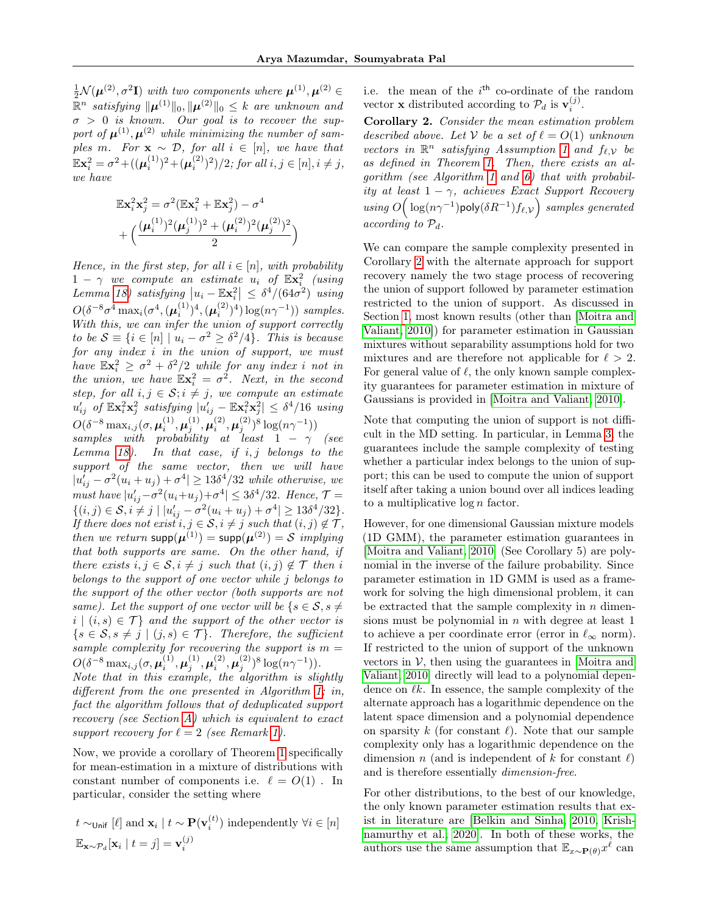$\frac{1}{2} \mathcal{N}(\boldsymbol{\mu}^{(2)}, \sigma^2 \mathbf{I})$  with two components where  $\boldsymbol{\mu}^{(1)}, \boldsymbol{\mu}^{(2)} \in$  $\mathbb{\bar{R}}^n$  satisfying  $\|\boldsymbol{\mu}^{(1)}\|_0, \|\boldsymbol{\mu}^{(2)}\|_0 \leq k$  are unknown and  $\sigma > 0$  is known. Our goal is to recover the support of  $\mu^{(1)}, \mu^{(2)}$  while minimizing the number of samples m. For  $\mathbf{x} \sim \mathcal{D}$ , for all  $i \in [n]$ , we have that  $\mathbb{E} \mathbf{x}_i^2 = \sigma^2 + ((\boldsymbol{\mu}_i^{(1)})^2 + (\boldsymbol{\mu}_i^{(2)})^2)/2$ ; for all  $i, j \in [n], i \neq j$ , we have

$$
\begin{aligned} &\mathbb{E} \mathbf{x}_i^2 \mathbf{x}_j^2 = \sigma^2 (\mathbb{E} \mathbf{x}_i^2 + \mathbb{E} \mathbf{x}_j^2) - \sigma^4 \\ &+ \Bigl(\frac{(\pmb{\mu}_i^{(1)})^2 (\pmb{\mu}_j^{(1)})^2 + (\pmb{\mu}_i^{(2)})^2 (\pmb{\mu}_j^{(2)})^2}{2}\Bigr) \end{aligned}
$$

Hence, in the first step, for all  $i \in [n]$ , with probability  $1 - \gamma$  we compute an estimate  $u_i$  of  $\mathbb{E} \mathbf{x}_i^2$  (using Lemma [18\)](#page-29-0) satisfying  $|u_i - \mathbb{E} \mathbf{x}_i^2| \leq \delta^4/(64\sigma^2)$  using  $O(\delta^{-8} \sigma^4 \max_i(\sigma^4, (\mu_i^{(1)})^4, (\mu_i^{(2)})^4) \log(n\gamma^{-1}))$  samples. With this, we can infer the union of support correctly to be  $S \equiv \{i \in [n] \mid u_i - \sigma^2 \geq \delta^2/4\}$ . This is because for any index i in the union of support, we must have  $\mathbb{E} \mathbf{x}_i^2 \geq \sigma^2 + \delta^2/2$  while for any index i not in the union, we have  $\mathbb{E} \mathbf{x}_i^2 = \sigma^2$ . Next, in the second step, for all  $i, j \in \mathcal{S}; i \neq j$ , we compute an estimate  $u'_{ij}$  of  $\mathbb{E} \mathbf{x}_i^2 \mathbf{x}_j^2$  satisfying  $|u'_{ij} - \mathbb{E} \mathbf{x}_i^2 \mathbf{x}_j^2| \leq \delta^4/16$  using  $O(\delta^{-8}\max_{i,j}(\sigma,\bm{\mu}_i^{(1)},\bm{\mu}_j^{(1)},\bm{\mu}_i^{(2)},\bm{\mu}_j^{(2)})^8\log(n\gamma^{-1}))$ 

samples with probability at least  $1 - \gamma$  (see Lemma [18\)](#page-29-0). In that case, if  $i, j$  belongs to the support of the same vector, then we will have  $|u'_{ij} - \sigma^2(u_i + u_j) + \sigma^4| \ge 13\delta^4/32$  while otherwise, we must have  $|u'_{ij} - \sigma^2(u_i + u_j) + \sigma^4| \leq 3\delta^4/32$ . Hence,  $\mathcal{T} =$  $\{(i, j) \in S, i \neq j \mid |u'_{ij} - \sigma^2(u_i + u_j) + \sigma^4| \geq 13\delta^4/32\}.$ If there does not exist  $i, j \in \mathcal{S}, i \neq j$  such that  $(i, j) \notin \mathcal{T}$ , then we return  $\text{supp}(\boldsymbol{\mu}^{(1)}) = \text{supp}(\boldsymbol{\mu}^{(2)}) = \mathcal{S}$  implying that both supports are same. On the other hand, if there exists  $i, j \in \mathcal{S}, i \neq j$  such that  $(i, j) \notin \mathcal{T}$  then i belongs to the support of one vector while j belongs to the support of the other vector (both supports are not same). Let the support of one vector will be  $\{s \in \mathcal{S}, s \neq \emptyset\}$  $i | (i, s) \in \mathcal{T}$  and the support of the other vector is  $\{s \in \mathcal{S}, s \neq j \mid (j, s) \in \mathcal{T} \}.$  Therefore, the sufficient sample complexity for recovering the support is  $m =$  $O(\delta^{-8}\max_{i,j}(\sigma,\pmb{\mu}_i^{(1)},\pmb{\mu}_j^{(1)},\pmb{\mu}_i^{(2)},\pmb{\mu}_j^{(2)})^8\log(n\gamma^{-1})).$ Note that in this example, the algorithm is slightly different from the one presented in Algorithm [1;](#page-4-3) in,

fact the algorithm follows that of deduplicated support recovery (see Section [A\)](#page-11-1) which is equivalent to exact support recovery for  $\ell = 2$  (see Remark [1\)](#page-3-3).

Now, we provide a corollary of Theorem [1](#page-5-2) specifically for mean-estimation in a mixture of distributions with constant number of components i.e.  $\ell = O(1)$ . In particular, consider the setting where

$$
t \sim_{\text{Unif}} [\ell] \text{ and } \mathbf{x}_i | t \sim \mathbf{P}(\mathbf{v}_i^{(t)}) \text{ independently } \forall i \in [n]
$$
  
 $\mathbb{E}_{\mathbf{x} \sim \mathcal{P}_d}[\mathbf{x}_i | t = j] = \mathbf{v}_i^{(j)}$ 

 $\mathcal{L}(\mathcal{A})$ 

i.e. the mean of the  $i<sup>th</sup>$  co-ordinate of the random vector **x** distributed according to  $\mathcal{P}_d$  is  $\mathbf{v}_i^{(j)}$ .

<span id="page-6-0"></span>Corollary 2. Consider the mean estimation problem described above. Let V be a set of  $\ell = O(1)$  unknown vectors in  $\mathbb{R}^n$  satisfying Assumption [1](#page-4-2) and  $f_{\ell,\mathcal{V}}$  be as defined in Theorem [1.](#page-5-2) Then, there exists an algorithm (see Algorithm [1](#page-4-3) and [6\)](#page-26-0) that with probability at least  $1 - \gamma$ , achieves Exact Support Recovery using  $O\Big(\log(n\gamma^{-1})$ poly $(\delta R^{-1})f_{\ell, \mathcal{V}}\Big)$  samples generated  $according to P_d$ .

We can compare the sample complexity presented in Corollary [2](#page-6-0) with the alternate approach for support recovery namely the two stage process of recovering the union of support followed by parameter estimation restricted to the union of support. As discussed in Section [1,](#page-0-0) most known results (other than [\[Moitra and](#page-10-2) [Valiant, 2010\]](#page-10-2)) for parameter estimation in Gaussian mixtures without separability assumptions hold for two mixtures and are therefore not applicable for  $\ell > 2$ . For general value of  $\ell$ , the only known sample complexity guarantees for parameter estimation in mixture of Gaussians is provided in [\[Moitra and Valiant, 2010\]](#page-10-2).

Note that computing the union of support is not difficult in the MD setting. In particular, in Lemma [3,](#page-5-0) the guarantees include the sample complexity of testing whether a particular index belongs to the union of support; this can be used to compute the union of support itself after taking a union bound over all indices leading to a multiplicative  $\log n$  factor.

However, for one dimensional Gaussian mixture models (1D GMM), the parameter estimation guarantees in [\[Moitra and Valiant, 2010\]](#page-10-2) (See Corollary 5) are polynomial in the inverse of the failure probability. Since parameter estimation in 1D GMM is used as a framework for solving the high dimensional problem, it can be extracted that the sample complexity in  $n$  dimensions must be polynomial in  $n$  with degree at least 1 to achieve a per coordinate error (error in  $\ell_{\infty}$  norm). If restricted to the union of support of the unknown vectors in  $V$ , then using the guarantees in [\[Moitra and](#page-10-2) [Valiant, 2010\]](#page-10-2) directly will lead to a polynomial dependence on  $\ell k$ . In essence, the sample complexity of the alternate approach has a logarithmic dependence on the latent space dimension and a polynomial dependence on sparsity k (for constant  $\ell$ ). Note that our sample complexity only has a logarithmic dependence on the dimension n (and is independent of k for constant  $\ell$ ) and is therefore essentially dimension-free.

For other distributions, to the best of our knowledge, the only known parameter estimation results that exist in literature are [\[Belkin and Sinha, 2010,](#page-9-3) [Krish](#page-10-18)[namurthy et al., 2020\]](#page-10-18). In both of these works, the authors use the same assumption that  $\mathbb{E}_{x \sim \mathbf{P}(\theta)} x^{\ell}$  can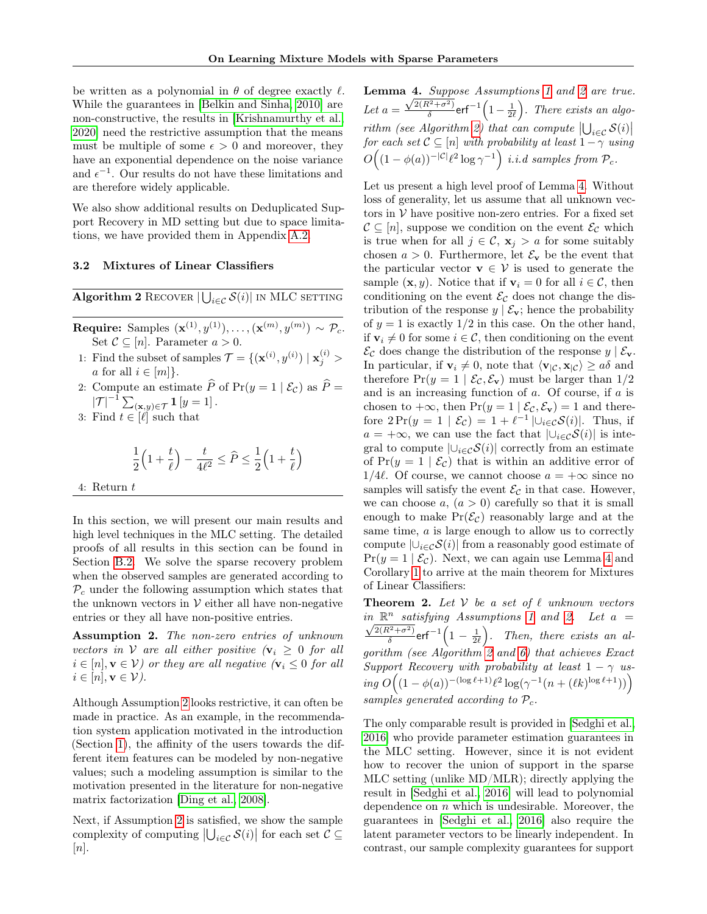be written as a polynomial in  $\theta$  of degree exactly  $\ell$ . While the guarantees in [\[Belkin and Sinha, 2010\]](#page-9-3) are non-constructive, the results in [\[Krishnamurthy et al.,](#page-10-18) [2020\]](#page-10-18) need the restrictive assumption that the means must be multiple of some  $\epsilon > 0$  and moreover, they have an exponential dependence on the noise variance and  $\epsilon^{-1}$ . Our results do not have these limitations and are therefore widely applicable.

We also show additional results on Deduplicated Support Recovery in MD setting but due to space limitations, we have provided them in Appendix [A.2.](#page-11-2)

#### 3.2 Mixtures of Linear Classifiers

<span id="page-7-2"></span> $\overline{\textbf{Algorithm 2} \text{ RECOVER} \left | \bigcup_{i \in \mathcal{C}} \mathcal{S}(i) \right |}$  in MLC setting

Require: Samples  $(\mathbf{x}^{(1)}, y^{(1)}), \ldots, (\mathbf{x}^{(m)}, y^{(m)}) \sim \mathcal{P}_c$ . Set  $C \subseteq [n]$ . Parameter  $a > 0$ .

- 1: Find the subset of samples  $\mathcal{T} = \{(\mathbf{x}^{(i)}, y^{(i)}) | \mathbf{x}_j^{(i)}\}$ a for all  $i \in [m]$ .
- 2: Compute an estimate  $\hat{P}$  of Pr(y = 1 |  $\mathcal{E}_c$ ) as  $\hat{P} =$  $|\mathcal{T}|^{-1} \sum_{(\mathbf{x},y)\in\mathcal{T}} \mathbf{1}[y=1].$
- 3: Find  $t \in [\ell]$  such that

$$
\frac{1}{2}\left(1+\frac{t}{\ell}\right)-\frac{t}{4\ell^2}\leq \widehat{P}\leq \frac{1}{2}\left(1+\frac{t}{\ell}\right)
$$

4: Return t

In this section, we will present our main results and high level techniques in the MLC setting. The detailed proofs of all results in this section can be found in Section [B.2.](#page-18-0) We solve the sparse recovery problem when the observed samples are generated according to  $P_c$  under the following assumption which states that the unknown vectors in  $V$  either all have non-negative entries or they all have non-positive entries.

<span id="page-7-1"></span>Assumption 2. The non-zero entries of unknown vectors in V are all either positive  $(v_i \geq 0$  for all  $i \in [n], \mathbf{v} \in \mathcal{V}$  or they are all negative  $(\mathbf{v}_i \leq 0 \text{ for all})$  $i \in [n], \mathbf{v} \in \mathcal{V}$ ).

Although Assumption [2](#page-7-1) looks restrictive, it can often be made in practice. As an example, in the recommendation system application motivated in the introduction (Section [1\)](#page-0-0), the affinity of the users towards the different item features can be modeled by non-negative values; such a modeling assumption is similar to the motivation presented in the literature for non-negative matrix factorization [\[Ding et al., 2008\]](#page-9-21).

Next, if Assumption [2](#page-7-1) is satisfied, we show the sample complexity of computing  $|\bigcup_{i \in \mathcal{C}} \mathcal{S}(i)|$  for each set  $\mathcal{C} \subseteq$  $[n]$ .

<span id="page-7-3"></span>Lemma 4. Suppose Assumptions [1](#page-4-2) and [2](#page-7-1) are true. Let  $a =$  $\sqrt{\frac{4.5upp(\sqrt{2}(R^2+\sigma^2))}{n}}$  $\frac{k^{2}+\sigma^{2}}{\delta}$ erf $^{-1}\left(1-\frac{1}{2\ell}\right)$ . There exists an algo-rithm (see Algorithm [2\)](#page-7-2) that can compute  $\left|\bigcup_{i\in\mathcal{C}}\mathcal{S}(i)\right|$ for each set  $C \subseteq [n]$  with probability at least  $1 - \gamma$  using  $O((1 - \phi(a))^{-|\mathcal{C}|\ell^2} \log \gamma^{-1})$  i.i.d samples from  $\mathcal{P}_c$ .

Let us present a high level proof of Lemma [4.](#page-7-3) Without loss of generality, let us assume that all unknown vectors in  $V$  have positive non-zero entries. For a fixed set  $\mathcal{C} \subseteq [n]$ , suppose we condition on the event  $\mathcal{E}_{\mathcal{C}}$  which is true when for all  $j \in \mathcal{C}$ ,  $\mathbf{x}_i > a$  for some suitably chosen  $a > 0$ . Furthermore, let  $\mathcal{E}_{\mathbf{v}}$  be the event that the particular vector  $\mathbf{v} \in \mathcal{V}$  is used to generate the sample  $(\mathbf{x}, y)$ . Notice that if  $\mathbf{v}_i = 0$  for all  $i \in \mathcal{C}$ , then conditioning on the event  $\mathcal{E}_{\mathcal{C}}$  does not change the distribution of the response  $y | \mathcal{E}_{v}$ ; hence the probability of  $y = 1$  is exactly  $1/2$  in this case. On the other hand, if  $v_i \neq 0$  for some  $i \in \mathcal{C}$ , then conditioning on the event  $\mathcal{E}_{\mathcal{C}}$  does change the distribution of the response  $y | \mathcal{E}_{\mathbf{v}}$ . In particular, if  $\mathbf{v}_i \neq 0$ , note that  $\langle \mathbf{v}_{\vert} c, \mathbf{x}_{\vert} c \rangle \ge a \delta$  and therefore  $Pr(y = 1 | \mathcal{E}_{\mathcal{C}}, \mathcal{E}_{\mathbf{v}})$  must be larger than  $1/2$ and is an increasing function of  $a$ . Of course, if  $a$  is chosen to  $+\infty$ , then  $Pr(y = 1 | \mathcal{E}_{\mathcal{C}}, \mathcal{E}_{\mathbf{v}}) = 1$  and therefore  $2\Pr(y = 1 \mid \mathcal{E}_{\mathcal{C}}) = 1 + \ell^{-1} |\cup_{i \in \mathcal{C}} \mathcal{S}(i)|$ . Thus, if  $a = +\infty$ , we can use the fact that  $|\bigcup_{i \in \mathcal{C}} S(i)|$  is integral to compute  $|\bigcup_{i\in\mathcal{C}}\mathcal{S}(i)|$  correctly from an estimate of  $Pr(y = 1 | \mathcal{E}_c)$  that is within an additive error of 1/4 $\ell$ . Of course, we cannot choose  $a = +\infty$  since no samples will satisfy the event  $\mathcal{E}_{\mathcal{C}}$  in that case. However, we can choose  $a, (a > 0)$  carefully so that it is small enough to make  $Pr(\mathcal{E}_{\mathcal{C}})$  reasonably large and at the same time, a is large enough to allow us to correctly compute  $|\bigcup_{i\in\mathcal{C}}\mathcal{S}(i)|$  from a reasonably good estimate of  $Pr(y = 1 | \mathcal{E}_{\mathcal{C}})$ . Next, we can again use Lemma [4](#page-7-3) and Corollary [1](#page-4-4) to arrive at the main theorem for Mixtures of Linear Classifiers:

<span id="page-7-0"></span>**Theorem 2.** Let  $V$  be a set of  $\ell$  unknown vectors  $\lim_{n \to \infty} \mathbb{R}^n$  satisfying Assumptions [1](#page-4-2) and [2.](#page-7-1) Let  $a =$  $2(R^2+\sigma^2)$  $\frac{k^{2}+\sigma^{2}}{\delta}$ erf $^{-1}\Big(1-\frac{1}{2\ell}\Big).$  Then, there exists an algorithm (see Algorithm [2](#page-7-2) and [6\)](#page-26-0) that achieves Exact Support Recovery with probability at least  $1 - \gamma$  using  $O((1 - \phi(a))^{-(\log \ell + 1)} \ell^2 \log(\gamma^{-1}(n + (\ell k)^{\log \ell + 1}))$ samples generated according to  $P_c$ .

The only comparable result is provided in [\[Sedghi et al.,](#page-10-12) [2016\]](#page-10-12) who provide parameter estimation guarantees in the MLC setting. However, since it is not evident how to recover the union of support in the sparse MLC setting (unlike MD/MLR); directly applying the result in [\[Sedghi et al., 2016\]](#page-10-12) will lead to polynomial dependence on  $n$  which is undesirable. Moreover, the guarantees in [\[Sedghi et al., 2016\]](#page-10-12) also require the latent parameter vectors to be linearly independent. In contrast, our sample complexity guarantees for support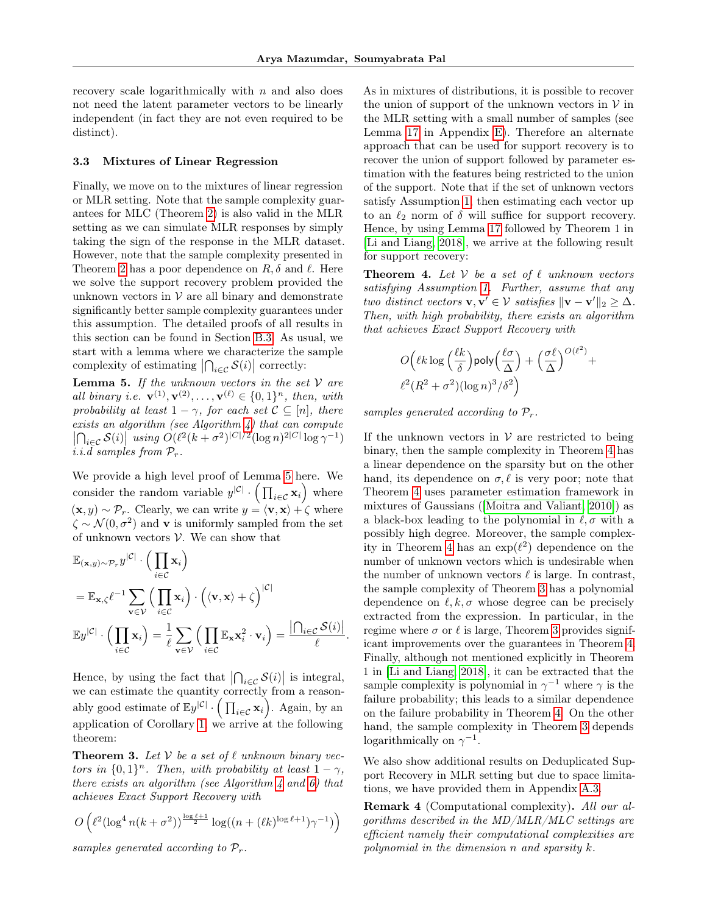.

recovery scale logarithmically with  $n$  and also does not need the latent parameter vectors to be linearly independent (in fact they are not even required to be distinct).

#### 3.3 Mixtures of Linear Regression

Finally, we move on to the mixtures of linear regression or MLR setting. Note that the sample complexity guarantees for MLC (Theorem [2\)](#page-7-0) is also valid in the MLR setting as we can simulate MLR responses by simply taking the sign of the response in the MLR dataset. However, note that the sample complexity presented in Theorem [2](#page-7-0) has a poor dependence on  $R, \delta$  and  $\ell$ . Here we solve the support recovery problem provided the unknown vectors in  $V$  are all binary and demonstrate significantly better sample complexity guarantees under this assumption. The detailed proofs of all results in this section can be found in Section [B.3.](#page-19-0) As usual, we start with a lemma where we characterize the sample complexity of estimating  $\left|\bigcap_{i\in\mathcal{C}}\mathcal{S}(i)\right|$  correctly:

<span id="page-8-1"></span>**Lemma 5.** If the unknown vectors in the set  $V$  are all binary i.e.  $\mathbf{v}^{(1)}, \mathbf{v}^{(2)}, \ldots, \mathbf{v}^{(\ell)} \in \{0,1\}^n$ , then, with probability at least  $1 - \gamma$ , for each set  $\mathcal{C} \subseteq [n]$ , there exists an algorithm (see Algorithm  $\ddot{A}$ ) that can compute  $\left| \bigcap_{i \in \mathcal{C}} \mathcal{S}(i) \right|$  using  $O(\ell^2(k+\sigma^2)^{|C|/2} (\log n)^{2|C|} \log \gamma^{-1})$ i.i.d samples from  $P_r$ .

We provide a high level proof of Lemma [5](#page-8-1) here. We consider the random variable  $y^{|\mathcal{C}|} \cdot (\prod_{i \in \mathcal{C}} \mathbf{x}_i)$  where  $(\mathbf{x}, y) \sim \mathcal{P}_r$ . Clearly, we can write  $y = \langle \mathbf{v}, \mathbf{x} \rangle + \hat{\zeta}$  where  $\zeta \sim \mathcal{N}(0, \sigma^2)$  and **v** is uniformly sampled from the set of unknown vectors  $V$ . We can show that

$$
\mathbb{E}_{(\mathbf{x},y)\sim\mathcal{P}_r} y^{|\mathcal{C}|} \cdot \left(\prod_{i\in\mathcal{C}} \mathbf{x}_i\right)
$$
\n
$$
= \mathbb{E}_{\mathbf{x},\zeta} \ell^{-1} \sum_{\mathbf{v}\in\mathcal{V}} \left(\prod_{i\in\mathcal{C}} \mathbf{x}_i\right) \cdot \left((\mathbf{v}, \mathbf{x}) + \zeta\right)^{|\mathcal{C}|}
$$
\n
$$
\mathbb{E} y^{|\mathcal{C}|} \cdot \left(\prod_{i\in\mathcal{C}} \mathbf{x}_i\right) = \frac{1}{\ell} \sum_{\mathbf{v}\in\mathcal{V}} \left(\prod_{i\in\mathcal{C}} \mathbb{E}_{\mathbf{x}} \mathbf{x}_i^2 \cdot \mathbf{v}_i\right) = \frac{|\bigcap_{i\in\mathcal{C}} \mathcal{S}(i)|}{\ell}
$$

Hence, by using the fact that  $\left|\bigcap_{i\in\mathcal{C}}\mathcal{S}(i)\right|$  is integral, we can estimate the quantity correctly from a reasonably good estimate of  $\mathbb{E}y^{|\mathcal{C}|} \cdot (\prod_{i \in \mathcal{C}} x_i)$ . Again, by an application of Corollary [1,](#page-4-4) we arrive at the following theorem:

<span id="page-8-2"></span>**Theorem 3.** Let  $V$  be a set of  $\ell$  unknown binary vectors in  $\{0,1\}^n$ . Then, with probability at least  $1-\gamma$ , there exists an algorithm (see Algorithm  $\downarrow$  and [6\)](#page-26-0) that achieves Exact Support Recovery with

$$
O\left(\ell^2(\log^4 n(k+\sigma^2))^{\frac{\log \ell+1}{2}}\log((n+(\ell k)^{\log \ell+1})\gamma^{-1})\right)
$$

samples generated according to  $\mathcal{P}_r$ .

As in mixtures of distributions, it is possible to recover the union of support of the unknown vectors in  $V$  in the MLR setting with a small number of samples (see Lemma [17](#page-28-3) in Appendix [E\)](#page-28-1). Therefore an alternate approach that can be used for support recovery is to recover the union of support followed by parameter estimation with the features being restricted to the union of the support. Note that if the set of unknown vectors satisfy Assumption [1,](#page-4-2) then estimating each vector up to an  $\ell_2$  norm of  $\delta$  will suffice for support recovery. Hence, by using Lemma [17](#page-28-3) followed by Theorem 1 in [\[Li and Liang, 2018\]](#page-10-6), we arrive at the following result for support recovery:

<span id="page-8-0"></span>**Theorem 4.** Let  $V$  be a set of  $\ell$  unknown vectors satisfying Assumption [1.](#page-4-2) Further, assume that any two distinct vectors  $\mathbf{v}, \mathbf{v}' \in \mathcal{V}$  satisfies  $\|\mathbf{v} - \mathbf{v}'\|_2 \geq \Delta$ . Then, with high probability, there exists an algorithm that achieves Exact Support Recovery with

$$
O\left(\ell k \log\left(\frac{\ell k}{\delta}\right) \text{poly}\left(\frac{\ell \sigma}{\Delta}\right) + \left(\frac{\sigma \ell}{\Delta}\right)^{O(\ell^2)} + \frac{\ell^2 (R^2 + \sigma^2) (\log n)^3 / \delta^2}{\epsilon^2}
$$

samples generated according to  $\mathcal{P}_r$ .

If the unknown vectors in  $V$  are restricted to being binary, then the sample complexity in Theorem [4](#page-8-0) has a linear dependence on the sparsity but on the other hand, its dependence on  $\sigma, \ell$  is very poor; note that Theorem [4](#page-8-0) uses parameter estimation framework in mixtures of Gaussians ([\[Moitra and Valiant, 2010\]](#page-10-2)) as a black-box leading to the polynomial in  $\ell, \sigma$  with a possibly high degree. Moreover, the sample complex-ity in Theorem [4](#page-8-0) has an  $\exp(\ell^2)$  dependence on the number of unknown vectors which is undesirable when the number of unknown vectors  $\ell$  is large. In contrast, the sample complexity of Theorem [3](#page-8-2) has a polynomial dependence on  $\ell, k, \sigma$  whose degree can be precisely extracted from the expression. In particular, in the regime where  $\sigma$  or  $\ell$  is large, Theorem [3](#page-8-2) provides significant improvements over the guarantees in Theorem [4.](#page-8-0) Finally, although not mentioned explicitly in Theorem 1 in [\[Li and Liang, 2018\]](#page-10-6), it can be extracted that the sample complexity is polynomial in  $\gamma^{-1}$  where  $\gamma$  is the failure probability; this leads to a similar dependence on the failure probability in Theorem [4.](#page-8-0) On the other hand, the sample complexity in Theorem [3](#page-8-2) depends logarithmically on  $\gamma^{-1}$ .

We also show additional results on Deduplicated Support Recovery in MLR setting but due to space limitations, we have provided them in Appendix [A.3.](#page-12-0)

Remark 4 (Computational complexity). All our algorithms described in the MD/MLR/MLC settings are efficient namely their computational complexities are polynomial in the dimension n and sparsity k.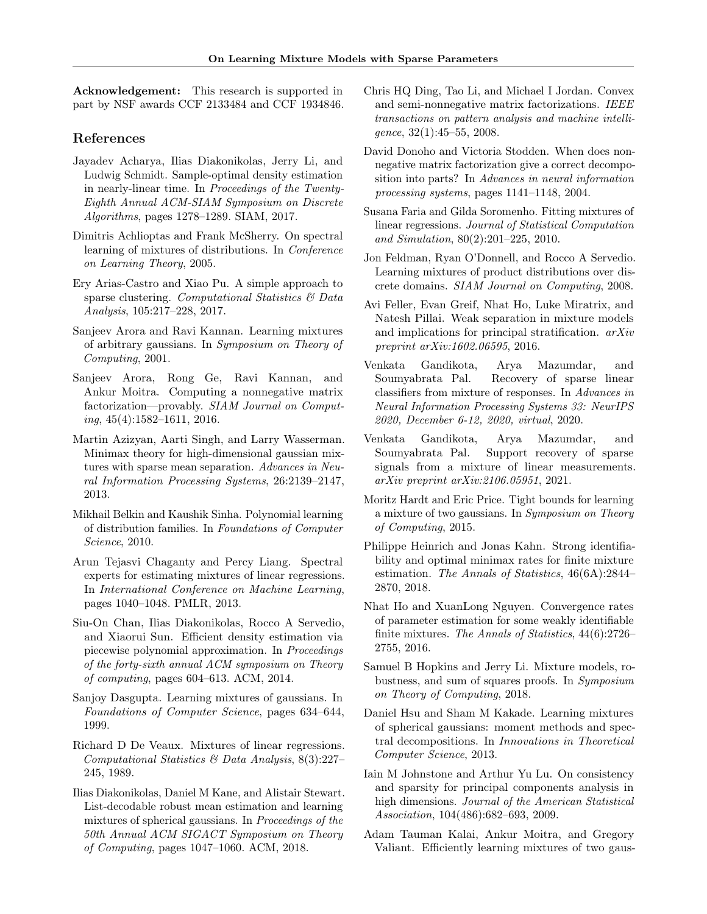Acknowledgement: This research is supported in part by NSF awards CCF 2133484 and CCF 1934846.

## References

- <span id="page-9-7"></span>Jayadev Acharya, Ilias Diakonikolas, Jerry Li, and Ludwig Schmidt. Sample-optimal density estimation in nearly-linear time. In Proceedings of the Twenty-Eighth Annual ACM-SIAM Symposium on Discrete Algorithms, pages 1278–1289. SIAM, 2017.
- <span id="page-9-1"></span>Dimitris Achlioptas and Frank McSherry. On spectral learning of mixtures of distributions. In Conference on Learning Theory, 2005.
- <span id="page-9-11"></span>Ery Arias-Castro and Xiao Pu. A simple approach to sparse clustering. Computational Statistics & Data Analysis, 105:217–228, 2017.
- <span id="page-9-4"></span>Sanjeev Arora and Ravi Kannan. Learning mixtures of arbitrary gaussians. In Symposium on Theory of Computing, 2001.
- <span id="page-9-19"></span>Sanjeev Arora, Rong Ge, Ravi Kannan, and Ankur Moitra. Computing a nonnegative matrix factorization—provably. SIAM Journal on Comput $ing, 45(4):1582-1611, 2016.$
- <span id="page-9-12"></span>Martin Azizyan, Aarti Singh, and Larry Wasserman. Minimax theory for high-dimensional gaussian mixtures with sparse mean separation. Advances in Neural Information Processing Systems, 26:2139–2147, 2013.
- <span id="page-9-3"></span>Mikhail Belkin and Kaushik Sinha. Polynomial learning of distribution families. In Foundations of Computer Science, 2010.
- <span id="page-9-14"></span>Arun Tejasvi Chaganty and Percy Liang. Spectral experts for estimating mixtures of linear regressions. In International Conference on Machine Learning, pages 1040–1048. PMLR, 2013.
- <span id="page-9-6"></span>Siu-On Chan, Ilias Diakonikolas, Rocco A Servedio, and Xiaorui Sun. Efficient density estimation via piecewise polynomial approximation. In Proceedings of the forty-sixth annual ACM symposium on Theory of computing, pages 604–613. ACM, 2014.
- <span id="page-9-0"></span>Sanjoy Dasgupta. Learning mixtures of gaussians. In Foundations of Computer Science, pages 634–644, 1999.
- <span id="page-9-13"></span>Richard D De Veaux. Mixtures of linear regressions. Computational Statistics & Data Analysis, 8(3):227– 245, 1989.
- <span id="page-9-9"></span>Ilias Diakonikolas, Daniel M Kane, and Alistair Stewart. List-decodable robust mean estimation and learning mixtures of spherical gaussians. In Proceedings of the 50th Annual ACM SIGACT Symposium on Theory of Computing, pages 1047–1060. ACM, 2018.
- <span id="page-9-21"></span>Chris HQ Ding, Tao Li, and Michael I Jordan. Convex and semi-nonnegative matrix factorizations. IEEE transactions on pattern analysis and machine intelligence, 32(1):45–55, 2008.
- <span id="page-9-20"></span>David Donoho and Victoria Stodden. When does nonnegative matrix factorization give a correct decomposition into parts? In Advances in neural information processing systems, pages 1141–1148, 2004.
- <span id="page-9-15"></span>Susana Faria and Gilda Soromenho. Fitting mixtures of linear regressions. Journal of Statistical Computation and Simulation, 80(2):201–225, 2010.
- <span id="page-9-5"></span>Jon Feldman, Ryan O'Donnell, and Rocco A Servedio. Learning mixtures of product distributions over discrete domains. SIAM Journal on Computing, 2008.
- <span id="page-9-23"></span>Avi Feller, Evan Greif, Nhat Ho, Luke Miratrix, and Natesh Pillai. Weak separation in mixture models and implications for principal stratification. arXiv preprint arXiv:1602.06595, 2016.
- <span id="page-9-16"></span>Venkata Gandikota, Arya Mazumdar, and Soumyabrata Pal. Recovery of sparse linear classifiers from mixture of responses. In Advances in Neural Information Processing Systems 33: NeurIPS 2020, December 6-12, 2020, virtual, 2020.
- <span id="page-9-17"></span>Venkata Gandikota, Arya Mazumdar, and Soumyabrata Pal. Support recovery of sparse signals from a mixture of linear measurements. arXiv preprint arXiv:2106.05951, 2021.
- <span id="page-9-10"></span>Moritz Hardt and Eric Price. Tight bounds for learning a mixture of two gaussians. In Symposium on Theory of Computing, 2015.
- <span id="page-9-25"></span>Philippe Heinrich and Jonas Kahn. Strong identifiability and optimal minimax rates for finite mixture estimation. The Annals of Statistics, 46(6A):2844– 2870, 2018.
- <span id="page-9-24"></span>Nhat Ho and XuanLong Nguyen. Convergence rates of parameter estimation for some weakly identifiable finite mixtures. The Annals of Statistics, 44(6):2726– 2755, 2016.
- <span id="page-9-8"></span>Samuel B Hopkins and Jerry Li. Mixture models, robustness, and sum of squares proofs. In Symposium on Theory of Computing, 2018.
- <span id="page-9-22"></span>Daniel Hsu and Sham M Kakade. Learning mixtures of spherical gaussians: moment methods and spectral decompositions. In Innovations in Theoretical Computer Science, 2013.
- <span id="page-9-18"></span>Iain M Johnstone and Arthur Yu Lu. On consistency and sparsity for principal components analysis in high dimensions. Journal of the American Statistical Association, 104(486):682–693, 2009.
- <span id="page-9-2"></span>Adam Tauman Kalai, Ankur Moitra, and Gregory Valiant. Efficiently learning mixtures of two gaus-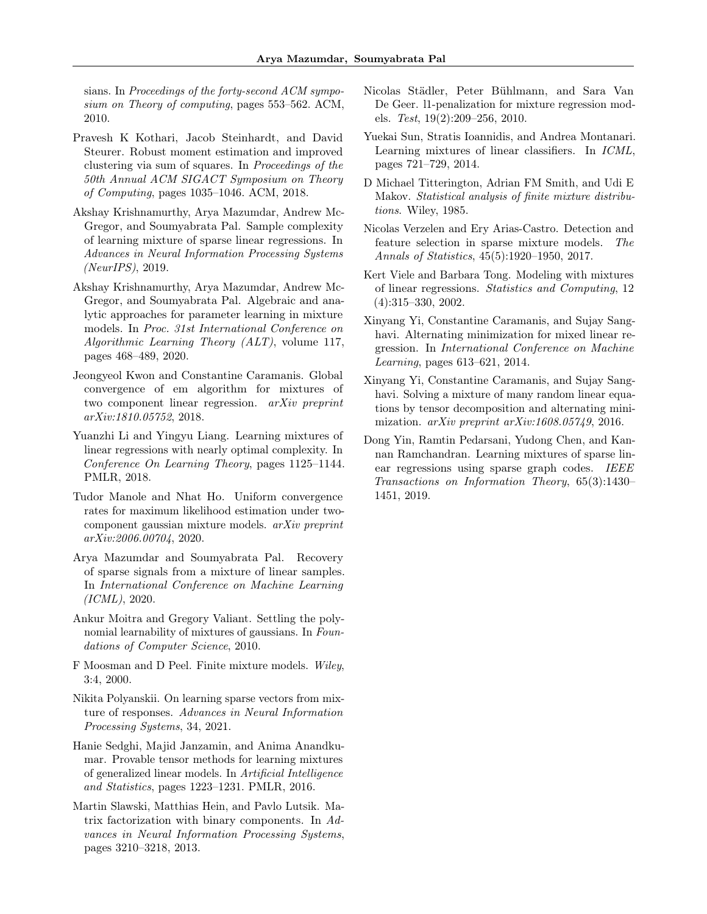sians. In Proceedings of the forty-second ACM symposium on Theory of computing, pages 553–562. ACM, 2010.

- <span id="page-10-3"></span>Pravesh K Kothari, Jacob Steinhardt, and David Steurer. Robust moment estimation and improved clustering via sum of squares. In Proceedings of the 50th Annual ACM SIGACT Symposium on Theory of Computing, pages 1035–1046. ACM, 2018.
- <span id="page-10-14"></span>Akshay Krishnamurthy, Arya Mazumdar, Andrew Mc-Gregor, and Soumyabrata Pal. Sample complexity of learning mixture of sparse linear regressions. In Advances in Neural Information Processing Systems (NeurIPS), 2019.
- <span id="page-10-18"></span>Akshay Krishnamurthy, Arya Mazumdar, Andrew Mc-Gregor, and Soumyabrata Pal. Algebraic and analytic approaches for parameter learning in mixture models. In Proc. 31st International Conference on Algorithmic Learning Theory (ALT), volume 117, pages 468–489, 2020.
- <span id="page-10-7"></span>Jeongyeol Kwon and Constantine Caramanis. Global convergence of em algorithm for mixtures of two component linear regression. arXiv preprint arXiv:1810.05752, 2018.
- <span id="page-10-6"></span>Yuanzhi Li and Yingyu Liang. Learning mixtures of linear regressions with nearly optimal complexity. In Conference On Learning Theory, pages 1125–1144. PMLR, 2018.
- <span id="page-10-19"></span>Tudor Manole and Nhat Ho. Uniform convergence rates for maximum likelihood estimation under twocomponent gaussian mixture models. arXiv preprint arXiv:2006.00704, 2020.
- <span id="page-10-15"></span>Arya Mazumdar and Soumyabrata Pal. Recovery of sparse signals from a mixture of linear samples. In International Conference on Machine Learning (ICML), 2020.
- <span id="page-10-2"></span>Ankur Moitra and Gregory Valiant. Settling the polynomial learnability of mixtures of gaussians. In Foundations of Computer Science, 2010.
- <span id="page-10-0"></span>F Moosman and D Peel. Finite mixture models. Wiley, 3:4, 2000.
- <span id="page-10-16"></span>Nikita Polyanskii. On learning sparse vectors from mixture of responses. Advances in Neural Information Processing Systems, 34, 2021.
- <span id="page-10-12"></span>Hanie Sedghi, Majid Janzamin, and Anima Anandkumar. Provable tensor methods for learning mixtures of generalized linear models. In Artificial Intelligence and Statistics, pages 1223–1231. PMLR, 2016.
- <span id="page-10-17"></span>Martin Slawski, Matthias Hein, and Pavlo Lutsik. Matrix factorization with binary components. In Advances in Neural Information Processing Systems, pages 3210–3218, 2013.
- <span id="page-10-5"></span>Nicolas Städler, Peter Bühlmann, and Sara Van De Geer. l1-penalization for mixture regression models. Test, 19(2):209–256, 2010.
- <span id="page-10-11"></span>Yuekai Sun, Stratis Ioannidis, and Andrea Montanari. Learning mixtures of linear classifiers. In ICML, pages 721–729, 2014.
- <span id="page-10-1"></span>D Michael Titterington, Adrian FM Smith, and Udi E Makov. Statistical analysis of finite mixture distributions. Wiley, 1985.
- <span id="page-10-4"></span>Nicolas Verzelen and Ery Arias-Castro. Detection and feature selection in sparse mixture models. The Annals of Statistics, 45(5):1920–1950, 2017.
- <span id="page-10-8"></span>Kert Viele and Barbara Tong. Modeling with mixtures of linear regressions. Statistics and Computing, 12 (4):315–330, 2002.
- <span id="page-10-9"></span>Xinyang Yi, Constantine Caramanis, and Sujay Sanghavi. Alternating minimization for mixed linear regression. In International Conference on Machine Learning, pages 613–621, 2014.
- <span id="page-10-10"></span>Xinyang Yi, Constantine Caramanis, and Sujay Sanghavi. Solving a mixture of many random linear equations by tensor decomposition and alternating minimization. *arXiv preprint arXiv:1608.05749*, 2016.
- <span id="page-10-13"></span>Dong Yin, Ramtin Pedarsani, Yudong Chen, and Kannan Ramchandran. Learning mixtures of sparse linear regressions using sparse graph codes. IEEE Transactions on Information Theory, 65(3):1430– 1451, 2019.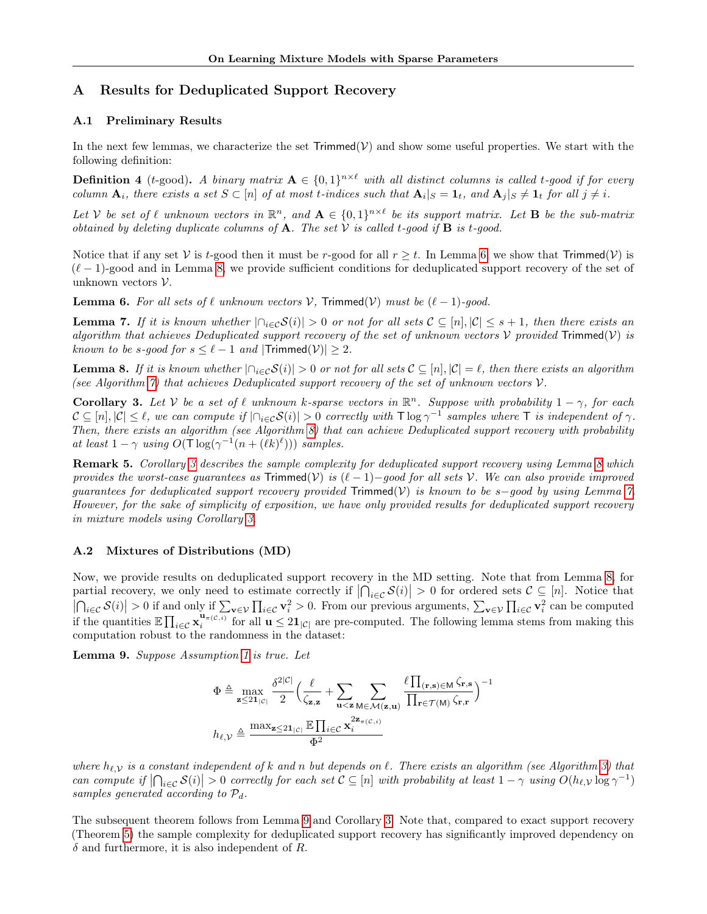# <span id="page-11-1"></span>A Results for Deduplicated Support Recovery

## <span id="page-11-0"></span>A.1 Preliminary Results

In the next few lemmas, we characterize the set  $Trimmed(V)$  and show some useful properties. We start with the following definition:

**Definition 4** (t-good). A binary matrix  $A \in \{0,1\}^{n \times \ell}$  with all distinct columns is called t-good if for every column  $\mathbf{A}_i$ , there exists a set  $S \subset [n]$  of at most t-indices such that  $\mathbf{A}_i|_S = \mathbf{1}_t$ , and  $\mathbf{A}_j|_S \neq \mathbf{1}_t$  for all  $j \neq i$ .

Let V be set of  $\ell$  unknown vectors in  $\mathbb{R}^n$ , and  $\mathbf{A} \in \{0,1\}^{n \times \ell}$  be its support matrix. Let **B** be the sub-matrix obtained by deleting duplicate columns of  $A$ . The set  $V$  is called t-good if  $B$  is t-good.

Notice that if any set V is t-good then it must be r-good for all  $r \geq t$ . In Lemma [6,](#page-11-3) we show that Trimmed $(\mathcal{V})$  is  $(\ell - 1)$ -good and in Lemma [8,](#page-11-4) we provide sufficient conditions for deduplicated support recovery of the set of unknown vectors  $\mathcal V$ .

<span id="page-11-3"></span>**Lemma 6.** For all sets of  $\ell$  unknown vectors  $\mathcal{V}$ , Trimmed( $\mathcal{V}$ ) must be  $(\ell - 1)$ -good.

<span id="page-11-6"></span>**Lemma 7.** If it is known whether  $|\bigcap_{i\in\mathcal{C}}S(i)|>0$  or not for all sets  $\mathcal{C}\subseteq[n],|\mathcal{C}|\leq s+1$ , then there exists an algorithm that achieves Deduplicated support recovery of the set of unknown vectors  $V$  provided Trimmed $(V)$  is known to be s-good for  $s \leq \ell - 1$  and  $|T$ rimmed $(V)| \geq 2$ .

<span id="page-11-4"></span>**Lemma 8.** If it is known whether  $|\bigcap_{i\in\mathcal{C}}S(i)|>0$  or not for all sets  $\mathcal{C}\subseteq[n], |\mathcal{C}|=\ell$ , then there exists an algorithm (see Algorithm [7\)](#page-27-0) that achieves Deduplicated support recovery of the set of unknown vectors  $V$ .

<span id="page-11-5"></span>**Corollary 3.** Let V be a set of  $\ell$  unknown k-sparse vectors in  $\mathbb{R}^n$ . Suppose with probability  $1 - \gamma$ , for each  $C \subseteq [n], |\mathcal{C}| \leq \ell$ , we can compute if  $|\bigcap_{i \in \mathcal{C}} S(i)| > 0$  correctly with  $\top \log \gamma^{-1}$  samples where  $\top$  is independent of  $\gamma$ . Then, there exists an algorithm (see Algorithm [8\)](#page-27-1) that can achieve Deduplicated support recovery with probability at least  $1 - \gamma$  using  $O(T \log(\gamma^{-1}(n + (\ell k)^{\ell})))$  samples.

Remark 5. Corollary [3](#page-11-5) describes the sample complexity for deduplicated support recovery using Lemma [8](#page-11-4) which provides the worst-case quarantees as Trimmed(V) is  $(\ell - 1)$ –good for all sets V. We can also provide improved guarantees for deduplicated support recovery provided Trimmed(V) is known to be s-good by using Lemma [7.](#page-11-6) However, for the sake of simplicity of exposition, we have only provided results for deduplicated support recovery in mixture models using Corollary [3.](#page-11-5)

### <span id="page-11-2"></span>A.2 Mixtures of Distributions (MD)

Now, we provide results on deduplicated support recovery in the MD setting. Note that from Lemma [8,](#page-11-4) for partial recovery, we only need to estimate correctly if  $|\bigcap_{i\in\mathcal{C}}\mathcal{S}(i)| > 0$  for ordered sets  $\mathcal{C} \subseteq [n]$ . Notice that  $\left|\bigcap_{i\in\mathcal{C}}\mathcal{S}(i)\right|>0$  if and only if  $\sum_{\mathbf{v}\in\mathcal{V}}\prod_{i\in\mathcal{C}}\mathbf{v}_i^2>0$ . From our previous arguments,  $\sum_{\mathbf{v}\in\mathcal{V}}\prod_{i\in\mathcal{C}}\mathbf{v}_i^2$  can be computed if the quantities  $\mathbb{E} \prod_{i \in \mathcal{C}} \mathbf{x}_i^{\mathbf{u}_{\pi(\mathcal{C},i)}}$  for all  $\mathbf{u} \leq 2\mathbf{1}_{|\mathcal{C}|}$  are pre-computed. The following lemma stems from making this computation robust to the randomness in the dataset:

<span id="page-11-7"></span>Lemma 9. Suppose Assumption [1](#page-4-2) is true. Let

$$
\Phi \triangleq \max_{\mathbf{z} \leq 2\mathbf{1}_{|\mathcal{C}|}} \frac{\delta^{2|\mathcal{C}|}}{2} \Big( \frac{\ell}{\zeta_{\mathbf{z},\mathbf{z}}} + \sum_{\mathbf{u} < \mathbf{z}} \sum_{\mathbf{M} \in \mathcal{M}(\mathbf{z},\mathbf{u})} \frac{\ell \prod_{(\mathbf{r},\mathbf{s}) \in \mathbf{M}} \zeta_{\mathbf{r},\mathbf{s}}}{\prod_{\mathbf{r} \in \mathcal{T}(\mathbf{M})} \zeta_{\mathbf{r},\mathbf{r}}} \Big)^{-1}
$$
\n
$$
h_{\ell,\mathcal{V}} \triangleq \frac{\max_{\mathbf{z} \leq 2\mathbf{1}_{|\mathcal{C}|}} \mathbb{E} \prod_{i \in \mathcal{C}} \mathbf{x}_i^{2\mathbf{z}_{\pi(\mathcal{C},i)}}}{\Phi^2}
$$

where  $h_{\ell,V}$  is a constant independent of k and n but depends on  $\ell$ . There exists an algorithm (see Algorithm [3\)](#page-17-0) that can compute if  $\left|\bigcap_{i\in\mathcal{C}}\mathcal{S}(i)\right|>0$  correctly for each set  $\mathcal{C}\subseteq[n]$  with probability at least  $1-\gamma$  using  $O(h_{\ell,\mathcal{V}}\log\gamma^{-1})$ samples generated according to  $\mathcal{P}_d$ .

The subsequent theorem follows from Lemma [9](#page-11-7) and Corollary [3.](#page-11-5) Note that, compared to exact support recovery (Theorem [5\)](#page-12-1) the sample complexity for deduplicated support recovery has significantly improved dependency on  $\delta$  and furthermore, it is also independent of R.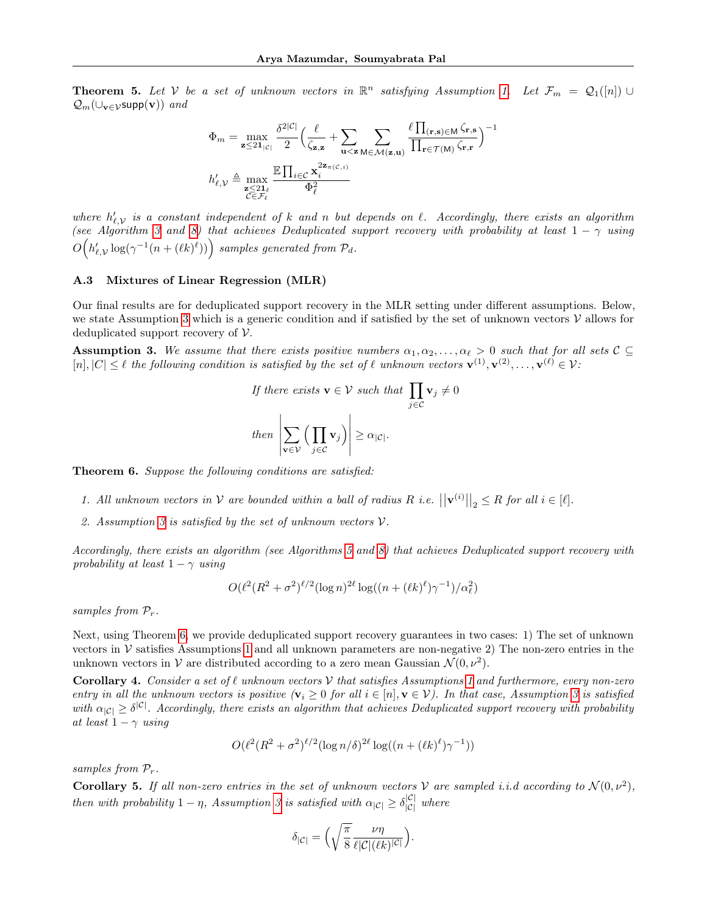<span id="page-12-1"></span>**Theorem 5.** Let V be a set of unknown vectors in  $\mathbb{R}^n$  satisfying Assumption [1.](#page-4-2) Let  $\mathcal{F}_m = \mathcal{Q}_1([n]) \cup$  $Q_m(\cup_{\mathbf{v}\in\mathcal{V}}\text{supp}(\mathbf{v}))$  and

$$
\Phi_m = \max_{\mathbf{z} \le 2\mathbf{1}_{|\mathcal{C}|}} \frac{\delta^{2|\mathcal{C}|}}{2} \Big( \frac{\ell}{\zeta_{\mathbf{z},\mathbf{z}}} + \sum_{\mathbf{u} < \mathbf{z}} \sum_{\mathbf{M} \in \mathcal{M}(\mathbf{z},\mathbf{u})} \frac{\ell \prod_{(\mathbf{r},\mathbf{s}) \in \mathbf{M}} \zeta_{\mathbf{r},\mathbf{s}}}{\prod_{\mathbf{r} \in \mathcal{T}(\mathbf{M})} \zeta_{\mathbf{r},\mathbf{r}}} \Big)^{-1}
$$
\n
$$
h'_{\ell,\mathcal{V}} \triangleq \max_{\substack{\mathbf{z} \le 2\mathbf{1}_{\ell} \\ \mathcal{C} \in \mathcal{F}_{\ell}}} \frac{\mathbb{E} \prod_{i \in \mathcal{C}} \mathbf{x}_i^{2\mathbf{z}_{\pi(\mathcal{C},i)}}}{\Phi_{\ell}^2}
$$

where  $h'_{\ell,\mathcal{V}}$  is a constant independent of k and n but depends on  $\ell$ . Accordingly, there exists an algorithm (see Algorithm [3](#page-17-0) and [8\)](#page-27-1) that achieves Deduplicated support recovery with probability at least  $1 - \gamma$  using  $O\Big(h'_{\ell,\mathcal{V}}\log(\gamma^{-1}(n+(\ell k)^\ell))\Big)$  samples generated from  $\mathcal{P}_d$ .

#### <span id="page-12-0"></span>A.3 Mixtures of Linear Regression (MLR)

Our final results are for deduplicated support recovery in the MLR setting under different assumptions. Below, we state Assumption [3](#page-12-2) which is a generic condition and if satisfied by the set of unknown vectors  $\mathcal V$  allows for deduplicated support recovery of  $\mathcal V$ .

<span id="page-12-2"></span>**Assumption 3.** We assume that there exists positive numbers  $\alpha_1, \alpha_2, \ldots, \alpha_\ell > 0$  such that for all sets  $C \subseteq$  $[n], |C| \leq \ell$  the following condition is satisfied by the set of  $\ell$  unknown vectors  $\mathbf{v}^{(1)}, \mathbf{v}^{(2)}, \ldots, \mathbf{v}^{(\ell)} \in \mathcal{V}$ :

If there exists 
$$
\mathbf{v} \in \mathcal{V}
$$
 such that  $\prod_{j \in \mathcal{C}} \mathbf{v}_j \neq 0$   
then  $\left| \sum_{\mathbf{v} \in \mathcal{V}} \left( \prod_{j \in \mathcal{C}} \mathbf{v}_j \right) \right| \geq \alpha_{|\mathcal{C}|}.$ 

<span id="page-12-3"></span>**Theorem 6.** Suppose the following conditions are satisfied:

- 1. All unknown vectors in  $\mathcal V$  are bounded within a ball of radius R i.e.  $||\mathbf{v}^{(i)}||_2 \leq R$  for all  $i \in [\ell]$ .
- 2. Assumption [3](#page-12-2) is satisfied by the set of unknown vectors  $V$ .

Accordingly, there exists an algorithm (see Algorithms [5](#page-21-0) and [8\)](#page-27-1) that achieves Deduplicated support recovery with probability at least  $1 - \gamma$  using

$$
O(\ell^2 (R^2 + \sigma^2)^{\ell/2} (\log n)^{2\ell} \log((n + (\ell k)^{\ell}) \gamma^{-1})/\alpha_{\ell}^2)
$$

samples from  $P_r$ .

Next, using Theorem [6,](#page-12-3) we provide deduplicated support recovery guarantees in two cases: 1) The set of unknown vectors in  $\mathcal V$  satisfies Assumptions [1](#page-4-2) and all unknown parameters are non-negative 2) The non-zero entries in the unknown vectors in V are distributed according to a zero mean Gaussian  $\mathcal{N}(0, \nu^2)$ .

<span id="page-12-4"></span>**Corollary 4.** Consider a set of  $\ell$  unknown vectors  $\mathcal V$  that satisfies Assumptions [1](#page-4-2) and furthermore, every non-zero entry in all the unknown vectors is positive  $(v_i \geq 0$  for all  $i \in [n], v \in V$ ). In that case, Assumption [3](#page-12-2) is satisfied with  $\alpha_{|C|} \geq \delta^{|C|}$ . Accordingly, there exists an algorithm that achieves Deduplicated support recovery with probability at least  $1 - \gamma$  using

$$
O(\ell^2 (R^2 + \sigma^2)^{\ell/2} (\log n/\delta)^{2\ell} \log((n + (\ell k)^{\ell})\gamma^{-1}))
$$

samples from  $P_r$ .

<span id="page-12-5"></span>**Corollary 5.** If all non-zero entries in the set of unknown vectors V are sampled i.i.d according to  $\mathcal{N}(0, \nu^2)$ , then with probability  $1 - \eta$ , Assumption [3](#page-12-2) is satisfied with  $\alpha_{|C|} \geq \delta^{|C|}_{|C|}$  where

$$
\delta_{|\mathcal{C}|} = \Big(\sqrt{\frac{\pi}{8}} \frac{\nu \eta}{\ell |\mathcal{C}| (\ell k)^{|\mathcal{C}|}}\Big).
$$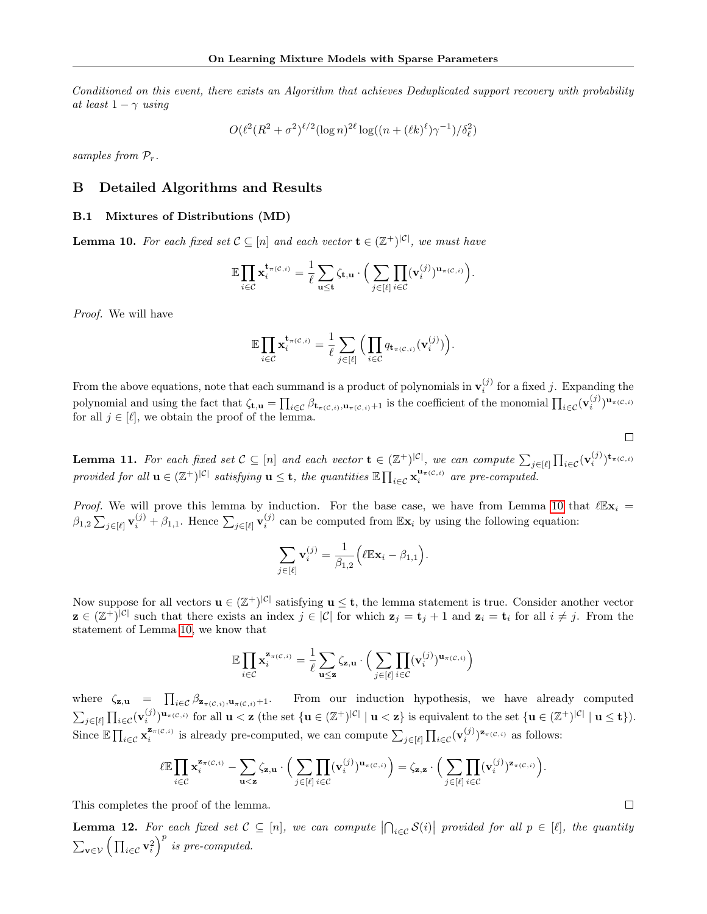Conditioned on this event, there exists an Algorithm that achieves Deduplicated support recovery with probability at least  $1 - \gamma$  using

$$
O(\ell^2 (R^2 + \sigma^2)^{\ell/2} (\log n)^{2\ell} \log((n + (\ell k)^{\ell}) \gamma^{-1})/\delta_{\ell}^2)
$$

samples from  $\mathcal{P}_r$ .

## B Detailed Algorithms and Results

## <span id="page-13-0"></span>B.1 Mixtures of Distributions (MD)

<span id="page-13-1"></span>**Lemma 10.** For each fixed set  $C \subseteq [n]$  and each vector  $\mathbf{t} \in (\mathbb{Z}^+)^{|C|}$ , we must have

$$
\mathbb{E}\prod_{i\in\mathcal{C}}\mathbf{x}_i^{\mathbf{t}_{\pi(\mathcal{C},i)}}=\frac{1}{\ell}\sum_{\mathbf{u}\leq \mathbf{t}}\zeta_{\mathbf{t},\mathbf{u}}\cdot\Big(\sum_{j\in[\ell]}\prod_{i\in\mathcal{C}}(\mathbf{v}_i^{(j)})^{\mathbf{u}_{\pi(\mathcal{C},i)}}\Big).
$$

Proof. We will have

$$
\mathbb{E} \prod_{i \in \mathcal{C}} \mathbf{x}_i^{\mathbf{t}_{\pi(\mathcal{C},i)}} = \frac{1}{\ell} \sum_{j \in [\ell]} \Big( \prod_{i \in \mathcal{C}} q_{\mathbf{t}_{\pi(\mathcal{C},i)}}(\mathbf{v}_i^{(j)}) \Big).
$$

From the above equations, note that each summand is a product of polynomials in  $\mathbf{v}_i^{(j)}$  for a fixed j. Expanding the polynomial and using the fact that  $\zeta_{\mathbf{t},\mathbf{u}} = \prod_{i \in \mathcal{C}} \beta_{\mathbf{t}_{\pi(\mathcal{C},i)},\mathbf{u}_{\pi(\mathcal{C},i)}+1}$  is the coefficient of the monomial  $\prod_{i \in \mathcal{C}} (\mathbf{v}_i^{(j)})^{\mathbf{u}_{\pi(\mathcal{C},i)}}$ for all  $j \in [\ell]$ , we obtain the proof of the lemma.

<span id="page-13-2"></span>**Lemma 11.** For each fixed set  $C \subseteq [n]$  and each vector  $\mathbf{t} \in (\mathbb{Z}^+)^{|C|}$ , we can compute  $\sum_{j \in [\ell]} \prod_{i \in C} (\mathbf{v}_i^{(j)})^{\mathbf{t}_{\pi(C,i)}}$ provided for all  $u \in (\mathbb{Z}^+)^{|\mathcal{C}|}$  satisfying  $u \leq t$ , the quantities  $\mathbb{E} \prod_{i \in \mathcal{C}} x_i^{u_{\pi}(\mathcal{C}, i)}$  are pre-computed.

*Proof.* We will prove this lemma by induction. For the base case, we have from Lemma [10](#page-13-1) that  $\ell \mathbb{E} \mathbf{x}_i =$  $\beta_{1,2} \sum_{j \in [\ell]} \mathbf{v}_i^{(j)} + \beta_{1,1}$ . Hence  $\sum_{j \in [\ell]} \mathbf{v}_i^{(j)}$  can be computed from  $\mathbb{E} \mathbf{x}_i$  by using the following equation:

$$
\sum_{j\in[\ell]} \mathbf{v}_i^{(j)} = \frac{1}{\beta_{1,2}} \Big( \ell \mathbb{E} \mathbf{x}_i - \beta_{1,1} \Big).
$$

Now suppose for all vectors  $\mathbf{u} \in (\mathbb{Z}^+)^{|\mathcal{C}|}$  satisfying  $\mathbf{u} \leq \mathbf{t}$ , the lemma statement is true. Consider another vector  $\mathbf{z} \in (\mathbb{Z}^+)^{|\mathcal{C}|}$  such that there exists an index  $j \in |\mathcal{C}|$  for which  $\mathbf{z}_j = \mathbf{t}_j + 1$  and  $\mathbf{z}_i = \mathbf{t}_i$  for all  $i \neq j$ . From the statement of Lemma [10,](#page-13-1) we know that

$$
\mathbb{E} \prod_{i \in \mathcal{C}} \mathbf{x}_i^{\mathbf{z}_{\pi(\mathcal{C},i)}} = \frac{1}{\ell} \sum_{\mathbf{u} \leq \mathbf{z}} \zeta_{\mathbf{z},\mathbf{u}} \cdot \Big( \sum_{j \in [\ell]} \prod_{i \in \mathcal{C}} (\mathbf{v}_i^{(j)})^{\mathbf{u}_{\pi(\mathcal{C},i)}} \Big)
$$

where  $\zeta_{\mathbf{z},\mathbf{u}} = \prod_{i \in \mathcal{C}} \beta_{\mathbf{z}_{\pi(\mathcal{C},i)},\mathbf{u}_{\pi(\mathcal{C},i)}+1}$ . From our induction hypothesis, we have already computed  $\sum_{j\in[\ell]}\prod_{i\in\mathcal{C}}(\mathbf{v}_i^{(j)})^{\mathbf{u}_{\pi(\mathcal{C},i)}}$  for all  $\mathbf{u}<\mathbf{z}$  (the set  $\{\mathbf{u}\in(\mathbb{Z}^+)^{|\mathcal{C}|} \mid \mathbf{u}<\mathbf{z}\}$ ) is equivalent to the set  $\{\mathbf{u}\in(\mathbb{Z}^+)^{|\mathcal{C}|} \mid \mathbf{u}\leq \mathbf{t}\}$ ). Since  $\mathbb{E} \prod_{i \in \mathcal{C}} \mathbf{x}_i^{\mathbf{z}_{\pi(\mathcal{C},i)}}$  is already pre-computed, we can compute  $\sum_{j \in [\ell]} \prod_{i \in \mathcal{C}} (\mathbf{v}_i^{(j)})^{\mathbf{z}_{\pi(\mathcal{C},i)}}$  as follows:

$$
\ell \mathbb{E} \prod_{i \in \mathcal{C}} \mathbf{x}_i^{\mathbf{z}_{\pi(\mathcal{C},i)}} - \sum_{\mathbf{u} < \mathbf{z}} \zeta_{\mathbf{z},\mathbf{u}} \cdot \Big( \sum_{j \in [\ell]} \prod_{i \in \mathcal{C}} (\mathbf{v}_i^{(j)})^{\mathbf{u}_{\pi(\mathcal{C},i)}} \Big) = \zeta_{\mathbf{z},\mathbf{z}} \cdot \Big( \sum_{j \in [\ell]} \prod_{i \in \mathcal{C}} (\mathbf{v}_i^{(j)})^{\mathbf{z}_{\pi(\mathcal{C},i)}} \Big).
$$

This completes the proof of the lemma.

<span id="page-13-3"></span>**Lemma 12.** For each fixed set  $C \subseteq [n]$ , we can compute  $\left| \bigcap_{i \in C} S(i) \right|$  provided for all  $p \in [\ell]$ , the quantity  $\sum_{\mathbf{v}\in\mathcal{V}}\left(\prod_{i\in\mathcal{C}}\mathbf{v}_i^2\right)^p$  is pre-computed.

 $\Box$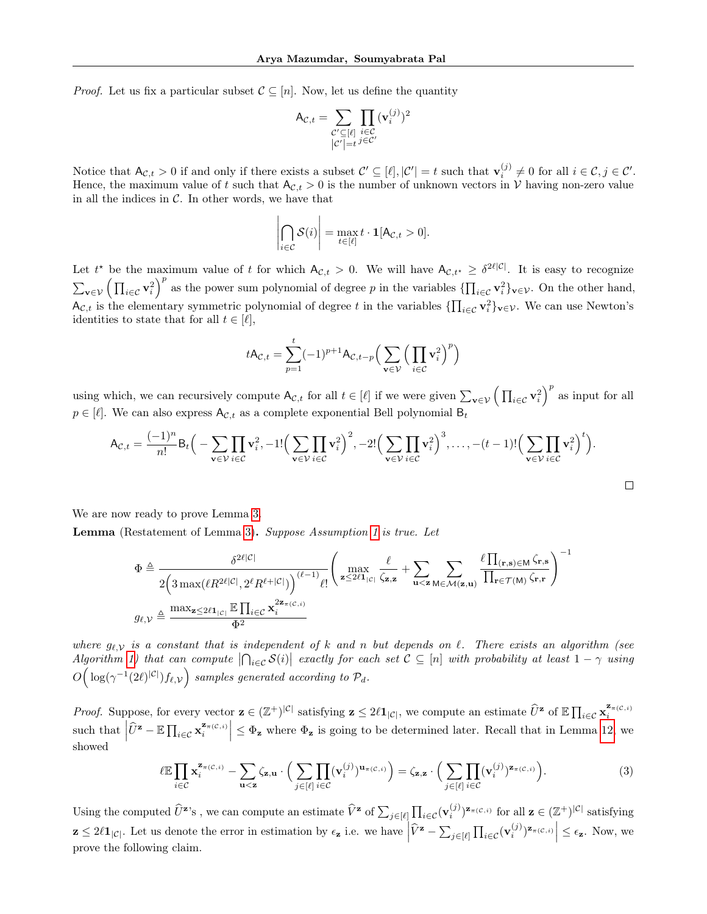*Proof.* Let us fix a particular subset  $\mathcal{C} \subseteq [n]$ . Now, let us define the quantity

$$
\mathsf{A}_{\mathcal{C},t} = \sum_{\substack{\mathcal{C}' \subseteq [\ell] \\ |\mathcal{C}'| = t}} \prod_{\substack{i \in \mathcal{C} \\ j \in \mathcal{C}'}} (\mathbf{v}_i^{(j)})^2
$$

Notice that  $A_{\mathcal{C},t} > 0$  if and only if there exists a subset  $\mathcal{C}' \subseteq [\ell], |\mathcal{C}'| = t$  such that  $\mathbf{v}_i^{(j)} \neq 0$  for all  $i \in \mathcal{C}, j \in \mathcal{C}'$ . Hence, the maximum value of t such that  $A_{\mathcal{C},t} > 0$  is the number of unknown vectors in V having non-zero value in all the indices in  $\mathcal{C}$ . In other words, we have that

$$
\left|\bigcap_{i\in\mathcal{C}}\mathcal{S}(i)\right|=\max_{t\in[\ell]}t\cdot\mathbf{1}[A_{\mathcal{C},t}>0].
$$

Let  $t^*$  be the maximum value of t for which  $A_{\mathcal{C},t} > 0$ . We will have  $A_{\mathcal{C},t^*} \geq \delta^{2\ell|\mathcal{C}|}$ . It is easy to recognize  $\sum_{\mathbf{v}\in\mathcal{V}}\left(\prod_{i\in\mathcal{C}}\mathbf{v}_i^2\right)^p$  as the power sum polynomial of degree p in the variables  $\{\prod_{i\in\mathcal{C}}\mathbf{v}_i^2\}_{\mathbf{v}\in\mathcal{V}}$ . On the other hand,  $\mathsf{A}_{\mathcal{C},t}$  is the elementary symmetric polynomial of degree t in the variables  $\{\prod_{i\in\mathcal{C}}\mathbf{v}_i^2\}_{\mathbf{v}\in\mathcal{V}}$ . We can use Newton's identities to state that for all  $t \in [\ell],$ 

$$
tA_{\mathcal{C},t} = \sum_{p=1}^{t} (-1)^{p+1} A_{\mathcal{C},t-p} \Big( \sum_{\mathbf{v} \in \mathcal{V}} \Big( \prod_{i \in \mathcal{C}} \mathbf{v}_i^2 \Big)^p \Big)
$$

using which, we can recursively compute  $A_{\mathcal{C},t}$  for all  $t \in [\ell]$  if we were given  $\sum_{\mathbf{v} \in \mathcal{V}} (\prod_{i \in \mathcal{C}} \mathbf{v}_i^2)^p$  as input for all  $p \in [\ell]$ . We can also express  $A_{\mathcal{C},t}$  as a complete exponential Bell polynomial  $B_t$ 

$$
\mathsf{A}_{\mathcal{C},t} = \frac{(-1)^n}{n!} \mathsf{B}_t \Big( - \sum_{\mathbf{v} \in \mathcal{V}} \prod_{i \in \mathcal{C}} \mathbf{v}_i^2, -1! \Big( \sum_{\mathbf{v} \in \mathcal{V}} \prod_{i \in \mathcal{C}} \mathbf{v}_i^2 \Big)^2, -2! \Big( \sum_{\mathbf{v} \in \mathcal{V}} \prod_{i \in \mathcal{C}} \mathbf{v}_i^2 \Big)^3, \dots, -(t-1)! \Big( \sum_{\mathbf{v} \in \mathcal{V}} \prod_{i \in \mathcal{C}} \mathbf{v}_i^2 \Big)^t \Big).
$$

 $\Box$ 

We are now ready to prove Lemma [3.](#page-5-0)

Lemma (Restatement of Lemma [3\)](#page-5-0). Suppose Assumption [1](#page-4-2) is true. Let

$$
\Phi \triangleq \frac{\delta^{2\ell|\mathcal{C}|}}{2\left(3\max(\ell R^{2\ell|\mathcal{C}|}, 2^{\ell} R^{\ell+|\mathcal{C}|})\right)^{(\ell-1)}\ell!} \left(\max_{\mathbf{z}\leq 2\ell\mathbf{1}_{|\mathcal{C}|}} \frac{\ell}{\zeta_{\mathbf{z},\mathbf{z}}} + \sum_{\mathbf{u}<\mathbf{z}} \sum_{M\in\mathcal{M}(\mathbf{z},\mathbf{u})} \frac{\ell\prod_{(\mathbf{r},\mathbf{s})\in\mathsf{M}}\zeta_{\mathbf{r},\mathbf{s}}}{\prod_{\mathbf{r}\in\mathcal{T}(\mathsf{M})}\zeta_{\mathbf{r},\mathbf{r}}}\right)^{-1}
$$
  

$$
g_{\ell,\mathcal{V}} \triangleq \frac{\max_{\mathbf{z}\leq 2\ell\mathbf{1}_{|\mathcal{C}|}} \mathbb{E}\prod_{i\in\mathcal{C}} \mathbf{x}_i^{2\mathbf{z}_{\pi(\mathcal{C},i)}}}{\Phi^2}
$$

where  $g_{\ell,V}$  is a constant that is independent of k and n but depends on  $\ell$ . There exists an algorithm (see  $Algorithm\ 1)$  $Algorithm\ 1)$  that can compute  $\left|\bigcap_{i\in\mathcal{C}}\mathcal{S}(i)\right|$  exactly for each set  $\mathcal{C}\subseteq[n]$  with probability at least  $1-\gamma$  using  $O\Big(\log(\gamma^{-1}(2\ell)^{|\mathcal{C}|})f_{\ell,\mathcal{V}}\Big)$  samples generated according to  $\mathcal{P}_d$ .

*Proof.* Suppose, for every vector  $\mathbf{z} \in (\mathbb{Z}^+)^{|\mathcal{C}|}$  satisfying  $\mathbf{z} \leq 2\ell \mathbf{1}_{|\mathcal{C}|}$ , we compute an estimate  $\widehat{U}^{\mathbf{z}}$  of  $\mathbb{E} \prod_{i \in \mathcal{C}} \mathbf{x}_i^{\mathbf{z}_{\pi(C,i)}}$ such that  $\left|\widehat{U}^{\mathbf{z}} - \mathbb{E}\prod_{i \in \mathcal{C}} \mathbf{x}_i^{\mathbf{z}_{\pi(C,i)}}\right| \leq \Phi_{\mathbf{z}}$  where  $\Phi_{\mathbf{z}}$  is going to be determined later. Recall that in Lemma [12,](#page-13-3) we showed

$$
\ell \mathbb{E} \prod_{i \in \mathcal{C}} \mathbf{x}_i^{\mathbf{z}_{\pi(C,i)}} - \sum_{\mathbf{u} < \mathbf{z}} \zeta_{\mathbf{z},\mathbf{u}} \cdot \Big( \sum_{j \in [\ell]} \prod_{i \in \mathcal{C}} (\mathbf{v}_i^{(j)})^{\mathbf{u}_{\pi(C,i)}} \Big) = \zeta_{\mathbf{z},\mathbf{z}} \cdot \Big( \sum_{j \in [\ell]} \prod_{i \in \mathcal{C}} (\mathbf{v}_i^{(j)})^{\mathbf{z}_{\pi(C,i)}} \Big). \tag{3}
$$

Using the computed  $\hat{U}^{\mathbf{z}}$ 's, we can compute an estimate  $\hat{V}^{\mathbf{z}}$  of  $\sum_{j\in[\ell]} \prod_{i\in\mathcal{C}} (\mathbf{v}_i^{(j)})^{\mathbf{z}_{\pi(C,i)}}$  for all  $\mathbf{z} \in (\mathbb{Z}^+)^{|\mathcal{C}|}$  satisfying  $\mathbf{z} \leq 2\ell \mathbf{1}_{|\mathcal{C}|}.$  Let us denote the error in estimation by  $\epsilon_{\mathbf{z}}$  i.e. we have  $|\hat{V}^{\mathbf{z}} - \sum_{j \in [\ell]} \prod_{i \in \mathcal{C}} (\mathbf{v}_i^{(j)})^{\mathbf{z}_{\pi(C,i)}}| \leq \epsilon_{\mathbf{z}}.$  Now, we prove the following claim.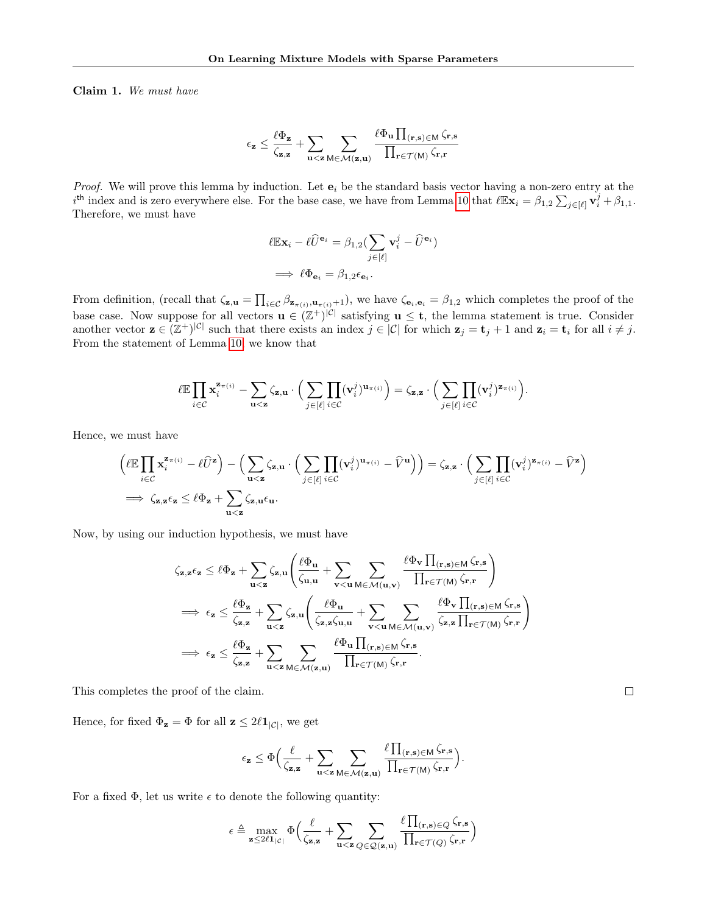Claim 1. We must have

$$
\epsilon_{\mathbf{z}} \leq \frac{\ell \Phi_{\mathbf{z}}}{\zeta_{\mathbf{z},\mathbf{z}}} + \sum_{\mathbf{u}<\mathbf{z}} \sum_{\mathsf{M} \in \mathcal{M}(\mathbf{z},\mathbf{u})} \frac{\ell \Phi_{\mathbf{u}} \prod_{(\mathbf{r}, \mathbf{s}) \in \mathsf{M}} \zeta_{\mathbf{r},\mathbf{s}}}{\prod_{\mathbf{r} \in \mathcal{T}(\mathsf{M})} \zeta_{\mathbf{r},\mathbf{r}}}
$$

*Proof.* We will prove this lemma by induction. Let  $e_i$  be the standard basis vector having a non-zero entry at the  $i^{\text{th}}$  index and is zero everywhere else. For the base case, we have from Lemma [10](#page-13-1) that  $\ell \mathbb{E} \mathbf{x}_i = \beta_{1,2} \sum_{j \in [\ell]} \mathbf{v}_i^j + \beta_{1,1}$ . Therefore, we must have

$$
\ell \mathbb{E} \mathbf{x}_i - \ell \widehat{U}^{\mathbf{e}_i} = \beta_{1,2} \left( \sum_{j \in [\ell]} \mathbf{v}_i^j - \widehat{U}^{\mathbf{e}_i} \right)
$$

$$
\implies \ell \Phi_{\mathbf{e}_i} = \beta_{1,2} \epsilon_{\mathbf{e}_i}.
$$

From definition, (recall that  $\zeta_{\mathbf{z},\mathbf{u}} = \prod_{i \in \mathcal{C}} \beta_{\mathbf{z}_{\pi(i)},\mathbf{u}_{\pi(i)}+1}$ ), we have  $\zeta_{\mathbf{e}_i,\mathbf{e}_i} = \beta_{1,2}$  which completes the proof of the base case. Now suppose for all vectors  $\mathbf{u} \in (\mathbb{Z}^+)^{|\mathcal{C}|}$  satisfying  $\mathbf{u} \leq \mathbf{t}$ , the lemma statement is true. Consider another vector  $\mathbf{z} \in (\mathbb{Z}^+)^{|\mathcal{C}|}$  such that there exists an index  $j \in |\mathcal{C}|$  for which  $\mathbf{z}_j = \mathbf{t}_j + 1$  and  $\mathbf{z}_i = \mathbf{t}_i$  for all  $i \neq j$ . From the statement of Lemma [10,](#page-13-1) we know that

$$
\ell \mathbb{E} \prod_{i \in \mathcal{C}} \mathbf{x}_i^{\mathbf{z}_{\pi(i)}} - \sum_{\mathbf{u} < \mathbf{z}} \zeta_{\mathbf{z},\mathbf{u}} \cdot \Big( \sum_{j \in [\ell]} \prod_{i \in \mathcal{C}} (\mathbf{v}_i^j)^{\mathbf{u}_{\pi(i)}} \Big) = \zeta_{\mathbf{z},\mathbf{z}} \cdot \Big( \sum_{j \in [\ell]} \prod_{i \in \mathcal{C}} (\mathbf{v}_i^j)^{\mathbf{z}_{\pi(i)}} \Big).
$$

Hence, we must have

$$
\begin{split} &\left(\ell\mathbb{E}\prod_{i\in\mathcal{C}}\mathbf{x}^{\mathbf{z}_{\pi}(i)}_i-\ell\widehat{U}^{\mathbf{z}}\right)-\Big(\sum_{\mathbf{u}<\mathbf{z}}\zeta_{\mathbf{z},\mathbf{u}}\cdot\Big(\sum_{j\in[\ell]}\prod_{i\in\mathcal{C}}(\mathbf{v}^j_i)^{\mathbf{u}_{\pi(i)}}-\widehat{V}^{\mathbf{u}}\Big)\Big) =\zeta_{\mathbf{z},\mathbf{z}}\cdot\Big(\sum_{j\in[\ell]}\prod_{i\in\mathcal{C}}(\mathbf{v}^j_i)^{\mathbf{z}_{\pi(i)}}-\widehat{V}^{\mathbf{z}}\Big)\\ &\implies\zeta_{\mathbf{z},\mathbf{z}}\epsilon_{\mathbf{z}}\leq\ell\Phi_{\mathbf{z}}+\sum_{\mathbf{u}<\mathbf{z}}\zeta_{\mathbf{z},\mathbf{u}}\epsilon_{\mathbf{u}}. \end{split}
$$

Now, by using our induction hypothesis, we must have

$$
\begin{aligned} &\zeta_{\mathbf{z},\mathbf{z}}\epsilon_{\mathbf{z}}\leq \ell\Phi_{\mathbf{z}}+\sum_{\mathbf{u}<\mathbf{z}}\zeta_{\mathbf{z},\mathbf{u}}\Bigg(\frac{\ell\Phi_{\mathbf{u}}}{\zeta_{\mathbf{u},\mathbf{u}}}+\sum_{\mathbf{v}<\mathbf{u}}\sum_{\mathsf{M}\in\mathcal{M}(\mathbf{u},\mathbf{v})}\frac{\ell\Phi_{\mathbf{v}}\prod_{(\mathbf{r},\mathbf{s})\in\mathsf{M}}\zeta_{\mathbf{r},\mathbf{s}}}{\prod_{\mathbf{r}\in\mathcal{T}(\mathsf{M})}\zeta_{\mathbf{r},\mathbf{r}}}\Bigg)\\ &\implies \epsilon_{\mathbf{z}}\leq \frac{\ell\Phi_{\mathbf{z}}}{\zeta_{\mathbf{z},\mathbf{z}}}\t+\sum_{\mathbf{u}<\mathbf{z}}\zeta_{\mathbf{z},\mathbf{u}}\Bigg(\frac{\ell\Phi_{\mathbf{u}}}{\zeta_{\mathbf{z},\mathbf{z}}\zeta_{\mathbf{u},\mathbf{u}}}\t+\sum_{\mathbf{v}<\mathbf{u}}\sum_{\mathsf{M}\in\mathcal{M}(\mathbf{u},\mathbf{v})}\frac{\ell\Phi_{\mathbf{v}}\prod_{(\mathbf{r},\mathbf{s})\in\mathsf{M}}\zeta_{\mathbf{r},\mathbf{s}}}{\zeta_{\mathbf{z},\mathbf{z}}\prod_{\mathbf{r}\in\mathcal{T}(\mathsf{M})}\zeta_{\mathbf{r},\mathbf{r}}}\Bigg)\\ &\implies \epsilon_{\mathbf{z}}\leq \frac{\ell\Phi_{\mathbf{z}}}{\zeta_{\mathbf{z},\mathbf{z}}}\t+\sum_{\mathbf{u}<\mathbf{z}}\sum_{\mathsf{M}\in\mathcal{M}(\mathbf{z},\mathbf{u})}\frac{\ell\Phi_{\mathbf{u}}\prod_{(\mathbf{r},\mathbf{s})\in\mathsf{M}}\zeta_{\mathbf{r},\mathbf{s}}}{\prod_{\mathbf{r}\in\mathcal{T}(\mathsf{M})}\zeta_{\mathbf{r},\mathbf{r}}}.\end{aligned}
$$

This completes the proof of the claim.

Hence, for fixed  $\Phi_{\mathbf{z}} = \Phi$  for all  $\mathbf{z} \leq 2\ell \mathbf{1}_{|\mathcal{C}|}$ , we get

$$
\epsilon_{\mathbf{z}} \leq \Phi \Big( \frac{\ell}{\zeta_{\mathbf{z},\mathbf{z}}} + \sum_{\mathbf{u} < \mathbf{z}} \sum_{\mathbf{M} \in \mathcal{M}(\mathbf{z},\mathbf{u})} \frac{\ell \prod_{(\mathbf{r},\mathbf{s}) \in \mathsf{M}} \zeta_{\mathbf{r},\mathbf{s}} }{\prod_{\mathbf{r} \in \mathcal{T}(\mathsf{M})} \zeta_{\mathbf{r},\mathbf{r}}} \Big).
$$

For a fixed  $\Phi$ , let us write  $\epsilon$  to denote the following quantity:

$$
\epsilon \triangleq \max_{\mathbf{z} \leq 2\ell\mathbf{1}_{|\mathcal{C}|}} \Phi\Big(\frac{\ell}{\zeta_{\mathbf{z},\mathbf{z}}} + \sum_{\mathbf{u}<\mathbf{z}} \sum_{Q \in \mathcal{Q}(\mathbf{z},\mathbf{u})} \frac{\ell \prod_{(\mathbf{r},\mathbf{s}) \in Q} \zeta_{\mathbf{r},\mathbf{s}}}{\prod_{\mathbf{r} \in \mathcal{T}(Q)} \zeta_{\mathbf{r},\mathbf{r}}} \Big)
$$

 $\Box$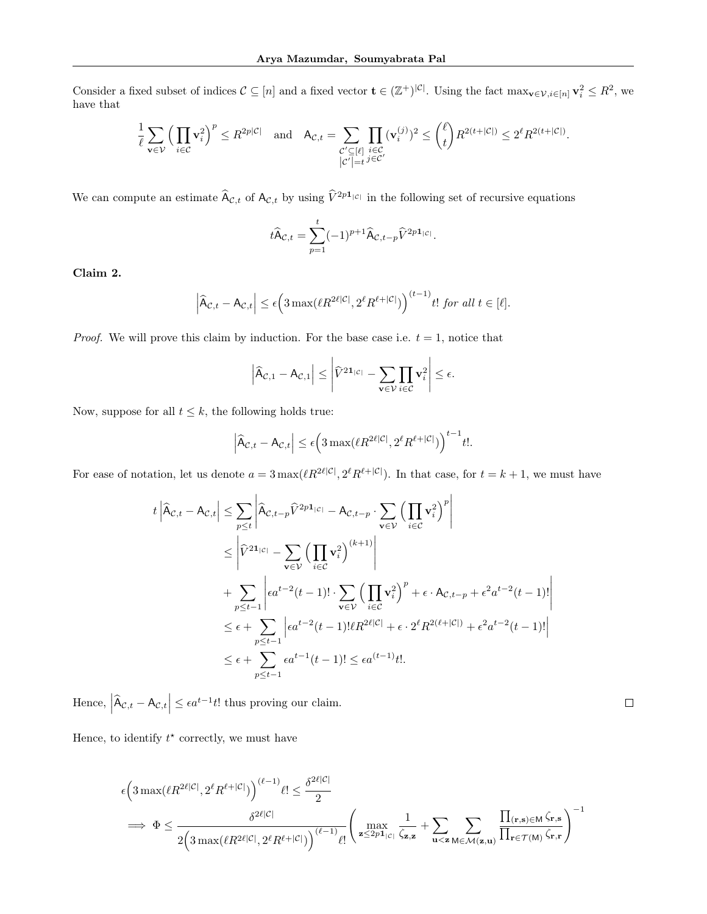Consider a fixed subset of indices  $C \subseteq [n]$  and a fixed vector  $\mathbf{t} \in (\mathbb{Z}^+)^{|\mathcal{C}|}$ . Using the fact  $\max_{\mathbf{v} \in \mathcal{V}, i \in [n]} \mathbf{v}_i^2 \leq R^2$ , we have that

$$
\frac{1}{\ell} \sum_{\mathbf{v} \in \mathcal{V}} \Big( \prod_{i \in \mathcal{C}} \mathbf{v}_i^2 \Big)^p \leq R^{2p|\mathcal{C}|} \quad \text{and} \quad \mathsf{A}_{\mathcal{C},t} = \sum_{\substack{\mathcal{C}' \subseteq [\ell] \\ |\mathcal{C}'| = t}} \prod_{i \in \mathcal{C}} (\mathbf{v}_i^{(j)})^2 \leq {\ell \choose t} R^{2(t+|\mathcal{C}|)} \leq 2^{\ell} R^{2(t+|\mathcal{C}|)}.
$$

We can compute an estimate  $\widehat{A}_{\mathcal{C},t}$  of  $A_{\mathcal{C},t}$  by using  $\widehat{V}^{2p1_{|\mathcal{C}|}}$  in the following set of recursive equations

$$
t\widehat{A}_{\mathcal{C},t} = \sum_{p=1}^t (-1)^{p+1} \widehat{A}_{\mathcal{C},t-p} \widehat{V}^{2p\mathbf{1}_{|\mathcal{C}|}}.
$$

Claim 2.

$$
\left|\widehat{A}_{\mathcal{C},t} - A_{\mathcal{C},t}\right| \le \epsilon \Big(3 \max(\ell R^{2\ell|\mathcal{C}|}, 2^{\ell} R^{\ell+|\mathcal{C}|})\Big)^{(t-1)} t! \text{ for all } t \in [\ell].
$$

*Proof.* We will prove this claim by induction. For the base case i.e.  $t = 1$ , notice that

$$
\left|\widehat{A}_{\mathcal{C},1} - A_{\mathcal{C},1}\right| \leq \left|\widehat{V}^{21_{|\mathcal{C}|}} - \sum_{\mathbf{v} \in \mathcal{V}} \prod_{i \in \mathcal{C}} \mathbf{v}_i^2\right| \leq \epsilon.
$$

Now, suppose for all  $t \leq k$ , the following holds true:

$$
\left|\widehat{\mathsf{A}}_{\mathcal{C},t}-\mathsf{A}_{\mathcal{C},t}\right| \leq \epsilon \Big(3\max(\ell R^{2\ell|\mathcal{C}|},2^{\ell}R^{\ell+|\mathcal{C}|})\Big)^{t-1}t!.
$$

For ease of notation, let us denote  $a = 3 \max(\ell R^{2\ell |\mathcal{C}|}, 2^{\ell} R^{\ell + |\mathcal{C}|})$ . In that case, for  $t = k + 1$ , we must have

$$
t\left|\widehat{A}_{\mathcal{C},t} - A_{\mathcal{C},t}\right| \leq \sum_{p\leq t} \left|\widehat{A}_{\mathcal{C},t-p} \widehat{V}^{2p1_{|\mathcal{C}|}} - A_{\mathcal{C},t-p} \cdot \sum_{\mathbf{v}\in\mathcal{V}} \left(\prod_{i\in\mathcal{C}} \mathbf{v}_i^2\right)^p\right|
$$
  
\n
$$
\leq \left|\widehat{V}^{21_{|\mathcal{C}|}} - \sum_{\mathbf{v}\in\mathcal{V}} \left(\prod_{i\in\mathcal{C}} \mathbf{v}_i^2\right)^{(k+1)}\right|
$$
  
\n
$$
+ \sum_{p\leq t-1} \left| \epsilon a^{t-2} (t-1)! \cdot \sum_{\mathbf{v}\in\mathcal{V}} \left(\prod_{i\in\mathcal{C}} \mathbf{v}_i^2\right)^p + \epsilon \cdot A_{\mathcal{C},t-p} + \epsilon^2 a^{t-2} (t-1)! \right|
$$
  
\n
$$
\leq \epsilon + \sum_{p\leq t-1} \left| \epsilon a^{t-2} (t-1)! \ell R^{2\ell|\mathcal{C}|} + \epsilon \cdot 2^{\ell} R^{2(\ell+|\mathcal{C}|)} + \epsilon^2 a^{t-2} (t-1)! \right|
$$
  
\n
$$
\leq \epsilon + \sum_{p\leq t-1} \epsilon a^{t-1} (t-1)! \leq \epsilon a^{(t-1)} t!.
$$

Hence,  $|\hat{A}_{\mathcal{C},t} - A_{\mathcal{C},t}| \leq \epsilon a^{t-1} t!$  thus proving our claim.

Hence, to identify  $t^*$  correctly, we must have

$$
\begin{aligned} &\epsilon\Big(3\max(\ell R^{2\ell|\mathcal{C}|},2^{\ell}R^{\ell+|\mathcal{C}|})\Big)^{(\ell-1)}\ell!\leq\frac{\delta^{2\ell|\mathcal{C}|}}{2}\\ \implies\Phi\leq\frac{\delta^{2\ell|\mathcal{C}|}}{2\Big(3\max(\ell R^{2\ell|\mathcal{C}|},2^{\ell}R^{\ell+|\mathcal{C}|})\Big)^{(\ell-1)}\ell!}\Bigg(\max_{\mathbf{z}\leq 2p\mathbf{1}_{|\mathcal{C}|}}\frac{1}{\zeta_{\mathbf{z},\mathbf{z}}}+\sum_{\mathbf{u}<\mathbf{z}}\sum_{\mathbf{M}\in\mathcal{M}(\mathbf{z},\mathbf{u})}\frac{\prod_{(\mathbf{r},\mathbf{s})\in\mathbf{M}}\zeta_{\mathbf{r},\mathbf{s}}}{\prod_{\mathbf{r}\in\mathcal{T}(\mathbf{M})}\zeta_{\mathbf{r},\mathbf{r}}}\Bigg)^{-1}\end{aligned}
$$

 $\Box$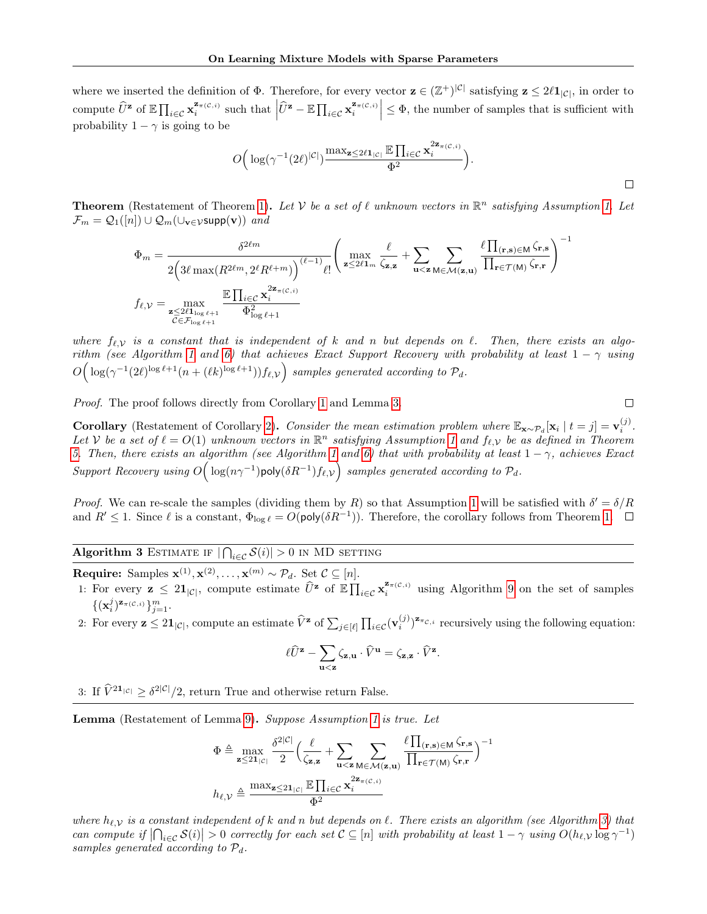where we inserted the definition of  $\Phi$ . Therefore, for every vector  $\mathbf{z} \in (\mathbb{Z}^+)^{|\mathcal{C}|}$  satisfying  $\mathbf{z} \leq 2\ell \mathbf{1}_{|\mathcal{C}|}$ , in order to compute  $\widehat{U}^{\mathbf{z}}$  of  $\mathbb{E} \prod_{i \in \mathcal{C}} \mathbf{x}_i^{\mathbf{z}_{\pi(\mathcal{C},i)}}$  such that  $|\widehat{U}^{\mathbf{z}} - \mathbb{E} \prod_{i \in \mathcal{C}} \mathbf{x}_i^{\mathbf{z}_{\pi(\mathcal{C},i)}}| \leq \Phi$ , the number of samples that is sufficient with probability  $1 - \gamma$  is going to be

$$
O\Big(\log(\gamma^{-1}(2\ell)^{|\mathcal{C}|})\frac{\max_{\mathbf{z}\leq 2\ell\mathbf{1}_{|\mathcal{C}|}}\mathbb{E}\prod_{i\in\mathcal{C}}\mathbf{x}_i^{2\mathbf{z}_{\pi(\mathcal{C},i)}}}{\Phi^2}\Big).
$$

**Theorem** (Restatement of Theorem [1\)](#page-5-2). Let V be a set of  $\ell$  unknown vectors in  $\mathbb{R}^n$  satisfying Assumption [1.](#page-4-2) Let  $\mathcal{F}_m = \mathcal{Q}_1([n]) \cup \mathcal{Q}_m(\cup_{\mathbf{v}\in\mathcal{V}} \text{supp}(\mathbf{v}))$  and

$$
\Phi_m = \frac{\delta^{2\ell m}}{2\left(3\ell \max(R^{2\ell m}, 2^{\ell} R^{\ell+m})\right)^{(\ell-1)} \ell!} \left(\max_{\mathbf{z} \le 2\ell \mathbf{1}_m} \frac{\ell}{\zeta_{\mathbf{z},\mathbf{z}}} + \sum_{\mathbf{u} < \mathbf{z}} \sum_{\mathbf{M} \in \mathcal{M}(\mathbf{z}, \mathbf{u})} \frac{\ell \prod_{(\mathbf{r}, \mathbf{s}) \in \mathbf{M}} \zeta_{\mathbf{r},\mathbf{r}}}{\prod_{\mathbf{r} \in \mathcal{T}(\mathbf{M})} \zeta_{\mathbf{r},\mathbf{r}}} \right)^{-1}
$$
\n
$$
f_{\ell, \mathcal{V}} = \max_{\substack{\mathbf{z} \le 2\ell \mathbf{1}_{\log \ell+1} \\ \mathcal{C} \in \mathcal{F}_{\log \ell+1}}} \frac{\mathbb{E} \prod_{i \in \mathcal{C}} \mathbf{x}_i^{2\mathbf{z}_{\pi(C,i)}}}{\Phi_{\log \ell+1}^2}
$$

where  $f_{\ell,\mathcal{V}}$  is a constant that is independent of k and n but depends on  $\ell$ . Then, there exists an algo-rithm (see Algorithm [1](#page-4-3) and [6\)](#page-26-0) that achieves Exact Support Recovery with probability at least  $1 - \gamma$  using  $O\Big(\log(\gamma^{-1}(2\ell)^{\log \ell+1}(n+(\ell k)^{\log \ell+1}))f_{\ell,\mathcal{V}}\Big)$  samples generated according to  $\mathcal{P}_d$ .

Proof. The proof follows directly from Corollary [1](#page-4-4) and Lemma [3.](#page-5-0)

 $\Box$ 

 $\Box$ 

**Corollary** (Restatement of Corollary [2\)](#page-6-0). Consider the mean estimation problem where  $\mathbb{E}_{\mathbf{x} \sim \mathcal{P}_d}[\mathbf{x}_i | t = j] = \mathbf{v}_i^{(j)}$ . Let V be a set of  $\ell = O(1)$  unknown vectors in  $\mathbb{R}^n$  satisfying Assumption [1](#page-4-2) and  $f_{\ell,\mathcal{V}}$  be as defined in Theorem [5.](#page-12-1) Then, there exists an algorithm (see Algorithm [1](#page-4-3) and [6\)](#page-26-0) that with probability at least  $1 - \gamma$ , achieves Exact Support Recovery using  $O\Big(\log(n\gamma^{-1})$ poly $(\delta R^{-1})f_{\ell,\mathcal{V}}\Big)$  samples generated according to  $\mathcal{P}_d$ .

Proof. We can re-scale the samples (dividing them by R) so that Assumption [1](#page-4-2) will be satisfied with  $\delta' = \delta/R$ and  $R' \leq 1$ . Since  $\ell$  is a constant,  $\Phi_{\log \ell} = O(\text{poly}(\delta R^{-1}))$ . Therefore, the corollary follows from Theorem [1.](#page-5-2)

# <span id="page-17-0"></span>Algorithm 3 ESTIMATE IF  $|\bigcap_{i\in\mathcal{C}}\mathcal{S}(i)|>0$  in MD setting

**Require:** Samples  $\mathbf{x}^{(1)}, \mathbf{x}^{(2)}, \ldots, \mathbf{x}^{(m)} \sim \mathcal{P}_d$ . Set  $\mathcal{C} \subseteq [n]$ .

- 1: For every  $z \leq 2\mathbf{1}_{|\mathcal{C}|}$ , compute estimate  $\widehat{U}^z$  of  $\mathbb{E} \prod_{i \in \mathcal{C}} \mathbf{x}_i^{\mathbf{z}_{\pi}(\mathcal{C},i)}$  using Algorithm [9](#page-28-2) on the set of samples  $\{(\mathbf{x}_i^j)^{\mathbf{z}_{\pi(\mathcal{C},i)}}\}_{j=1}^m.$
- 2: For every  $\mathbf{z} \leq 2\mathbf{1}_{|\mathcal{C}|}$ , compute an estimate  $\widehat{V}^{\mathbf{z}}$  of  $\sum_{j\in[\ell]} \prod_{i\in\mathcal{C}} (\mathbf{v}_i^{(j)})^{\mathbf{z}_{\pi_{\mathcal{C},i}}}$  recursively using the following equation:

$$
\ell \widehat{U}^{\mathbf{z}} - \sum_{\mathbf{u} < \mathbf{z}} \zeta_{\mathbf{z}, \mathbf{u}} \cdot \widehat{V}^{\mathbf{u}} = \zeta_{\mathbf{z}, \mathbf{z}} \cdot \widehat{V}^{\mathbf{z}}.
$$

3: If  $\hat{V}^{21|c|} \ge \delta^{2|\mathcal{C}|}/2$ , return True and otherwise return False.

Lemma (Restatement of Lemma [9\)](#page-11-7). Suppose Assumption [1](#page-4-2) is true. Let

$$
\Phi \triangleq \max_{\mathbf{z} \leq 2\mathbf{1}_{|\mathcal{C}|}} \frac{\delta^{2|\mathcal{C}|}}{2} \Big( \frac{\ell}{\zeta_{\mathbf{z},\mathbf{z}}} + \sum_{\mathbf{u} < \mathbf{z}} \sum_{\mathbf{M} \in \mathcal{M}(\mathbf{z},\mathbf{u})} \frac{\ell \prod_{(\mathbf{r},\mathbf{s}) \in \mathbf{M}} \zeta_{\mathbf{r},\mathbf{s}}}{\prod_{\mathbf{r} \in \mathcal{T}(\mathbf{M})} \zeta_{\mathbf{r},\mathbf{r}}} \Big)^{-1}
$$
\n
$$
h_{\ell,\mathcal{V}} \triangleq \frac{\max_{\mathbf{z} \leq 2\mathbf{1}_{|\mathcal{C}|}} \mathbb{E} \prod_{i \in \mathcal{C}} \mathbf{x}_i^{2\mathbf{z}_{\pi}(\mathcal{C},i)}}{\Phi^2}
$$

where  $h_{\ell,V}$  is a constant independent of k and n but depends on  $\ell$ . There exists an algorithm (see Algorithm [3\)](#page-17-0) that can compute if  $|\bigcap_{i\in\mathcal{C}}\mathcal{S}(i)| > 0$  correctly for each set  $\mathcal{C} \subseteq [n]$  with probability at least  $1-\gamma$  using  $O(h_{\ell,\mathcal{V}}\log \gamma^{-1})$ samples generated according to  $\mathcal{P}_d$ .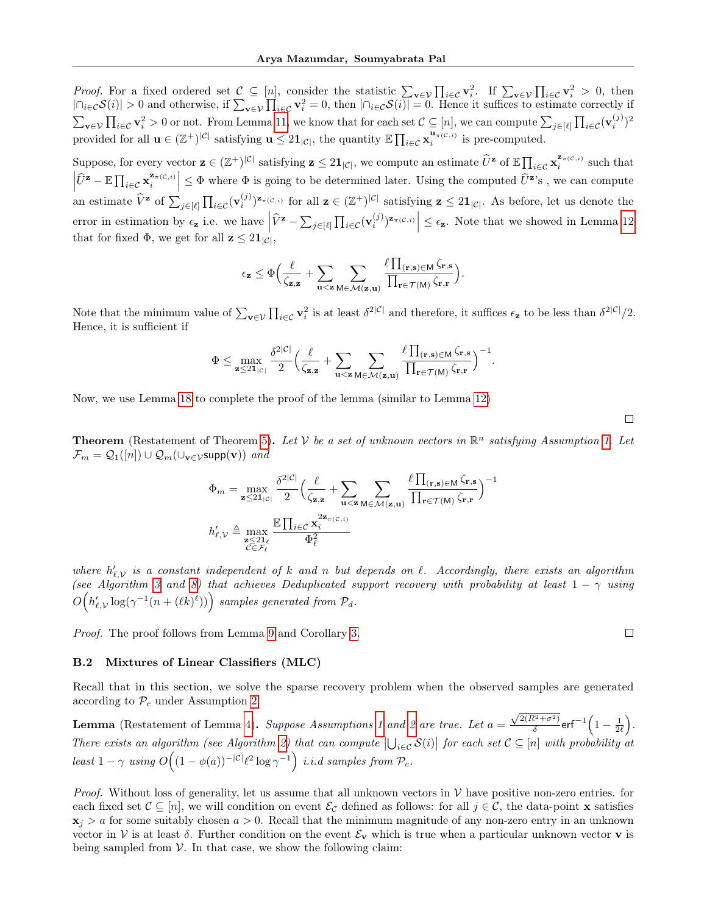*Proof.* For a fixed ordered set  $\mathcal{C} \subseteq [n]$ , consider the statistic  $\sum_{\mathbf{v}\in\mathcal{V}}\prod_{i\in\mathcal{C}}\mathbf{v}_i^2$ . If  $\sum_{\mathbf{v}\in\mathcal{V}}\prod_{i\in\mathcal{C}}\mathbf{v}_i^2 > 0$ , then  $|\bigcap_{i\in\mathcal{C}}\mathcal{S}(i)| > 0$  and otherwise, if  $\sum_{\mathbf{v}\in\mathcal{V}}\prod_{i\in\mathcal{C}}\mathbf{v}_i^2 = 0$ , then  $|\bigcap_{i\in\mathcal{C}}\mathcal{S}(i)| = 0$ . Hence it suffices to estimate correctly if  $\sum_{\mathbf{v}\in\mathcal{V}}\prod_{i\in\mathcal{C}}\mathbf{v}_i^2>0$  or not. From Lemma [11,](#page-13-2) we know that for each set  $\mathcal{C}\subseteq[n]$ , we can compute  $\sum_{j\in[\ell]}\prod_{i\in\mathcal{C}}(\mathbf{v}_i^{(j)})^2$ provided for all  $\mathbf{u} \in (\mathbb{Z}^+)^{|\mathcal{C}|}$  satisfying  $\mathbf{u} \leq 2\mathbf{1}_{|\mathcal{C}|}$ , the quantity  $\mathbb{E} \prod_{i \in \mathcal{C}} \mathbf{x}_i^{\mathbf{u}_{\pi}(\mathcal{C},i)}$  is pre-computed.

Suppose, for every vector  $\mathbf{z} \in (\mathbb{Z}^+)^{|\mathcal{C}|}$  satisfying  $\mathbf{z} \leq 2\mathbf{1}_{|\mathcal{C}|}$ , we compute an estimate  $\widehat{U}^{\mathbf{z}}$  of  $\mathbb{E} \prod_{i \in \mathcal{C}} \mathbf{x}_i^{\mathbf{z}_{\pi(C,i)}}$  such that  $\left|\widehat{U}^{\mathbf{z}} - \mathbb{E}\prod_{i\in\mathcal{C}}\mathbf{x}_i^{\mathbf{z}_{\pi}(\mathcal{C},i)}\right| \leq \Phi$  where  $\Phi$  is going to be determined later. Using the computed  $\widehat{U}^{\mathbf{z}}$ 's, we can compute  $\vert$ an estimate  $\hat{V}$ <sup>2</sup> of  $\sum_{j \in [\ell]} \prod_{i \in \mathcal{C}} (\mathbf{v}_i^{(j)})^{\mathbf{z}_{\pi(\mathcal{C},i)}}$  for all  $\mathbf{z} \in (\mathbb{Z}^+)^{|\mathcal{C}|}$  satisfying  $\mathbf{z} \leq 2\mathbf{1}_{|\mathcal{C}|}$ . As before, let us denote the error in estimation by  $\epsilon_{\mathbf{z}}$  i.e. we have  $|\hat{V}^{\mathbf{z}} - \sum_{j \in [\ell]} \prod_{i \in \mathcal{C}} (\mathbf{v}_i^{(j)})^{\mathbf{z}_{\pi(\mathcal{C},i)}}| \leq \epsilon_{\mathbf{z}}$ . Note that we showed in Lemma [12](#page-13-3) that for fixed  $\Phi$ , we get for all  $z \leq 2\mathbf{1}_{|\mathcal{C}|}$ ,

$$
\epsilon_{\mathbf{z}} \leq \Phi \Big( \frac{\ell}{\zeta_{\mathbf{z},\mathbf{z}}} + \sum_{\mathbf{u} < \mathbf{z}} \sum_{\mathbf{M} \in \mathcal{M}(\mathbf{z},\mathbf{u})} \frac{\ell \prod_{(\mathbf{r},\mathbf{s}) \in \mathsf{M}} \zeta_{\mathbf{r},\mathbf{s}} }{\prod_{\mathbf{r} \in \mathcal{T}(\mathsf{M})} \zeta_{\mathbf{r},\mathbf{r}}} \Big).
$$

Note that the minimum value of  $\sum_{\mathbf{v}\in\mathcal{V}}\prod_{i\in\mathcal{C}}\mathbf{v}_i^2$  is at least  $\delta^{2|\mathcal{C}|}$  and therefore, it suffices  $\epsilon_{\mathbf{z}}$  to be less than  $\delta^{2|\mathcal{C}|}/2$ . Hence, it is sufficient if

$$
\Phi \leq \max_{\mathbf{z} \leq 2\mathbf{1}_{|\mathcal{C}|}} \frac{\delta^{2|\mathcal{C}|}}{2} \Big( \frac{\ell}{\zeta_{\mathbf{z},\mathbf{z}}} + \sum_{\mathbf{u} < \mathbf{z}} \sum_{\mathbf{M} \in \mathcal{M}(\mathbf{z},\mathbf{u})} \frac{\ell \prod_{(\mathbf{r},\mathbf{s}) \in \mathbf{M}} \zeta_{\mathbf{r},\mathbf{s}} }{\prod_{\mathbf{r} \in \mathcal{T}(\mathbf{M})} \zeta_{\mathbf{r},\mathbf{r}}} \Big)^{-1}.
$$

Now, we use Lemma [18](#page-29-0) to complete the proof of the lemma (similar to Lemma [12\)](#page-13-3)

**Theorem** (Restatement of Theorem [5\)](#page-12-1). Let V be a set of unknown vectors in  $\mathbb{R}^n$  satisfying Assumption [1.](#page-4-2) Let  $\mathcal{F}_m = \mathcal{Q}_1([n]) \cup \mathcal{Q}_m(\cup_{\mathbf{v} \in \mathcal{V}} \text{supp}(\mathbf{v}))$  and

$$
\Phi_m = \max_{\mathbf{z} \le 2\mathbf{1}_{|\mathcal{C}|}} \frac{\delta^{2|\mathcal{C}|}}{2} \Big( \frac{\ell}{\zeta_{\mathbf{z},\mathbf{z}}} + \sum_{\mathbf{u} < \mathbf{z}} \sum_{\mathbf{M} \in \mathcal{M}(\mathbf{z},\mathbf{u})} \frac{\ell \prod_{(\mathbf{r},\mathbf{s}) \in \mathbf{M}} \zeta_{\mathbf{r},\mathbf{s}}}{\prod_{\mathbf{r} \in \mathcal{T}(\mathbf{M})} \zeta_{\mathbf{r},\mathbf{r}}} \Big)^{-1}
$$
\n
$$
h'_{\ell,\mathcal{V}} \triangleq \max_{\substack{\mathbf{z} \le 2\mathbf{1}_{\ell} \\ \mathcal{C} \in \mathcal{F}_{\ell}}} \frac{\mathbb{E} \prod_{i \in \mathcal{C}} \mathbf{x}_i^{2\mathbf{z}_{\pi(\mathcal{C},i)}}}{\Phi_{\ell}^2}
$$

where  $h'_{\ell,\mathcal{V}}$  is a constant independent of k and n but depends on  $\ell$ . Accordingly, there exists an algorithm (see Algorithm [3](#page-17-0) and [8\)](#page-27-1) that achieves Deduplicated support recovery with probability at least  $1 - \gamma$  using  $O\Big(h'_{\ell,\mathcal{V}}\log(\gamma^{-1}(n+(\ell k)^\ell))\Big)$  samples generated from  $\mathcal{P}_d$ .

Proof. The proof follows from Lemma [9](#page-11-7) and Corollary [3.](#page-11-5)

#### <span id="page-18-0"></span>B.2 Mixtures of Linear Classifiers (MLC)

Recall that in this section, we solve the sparse recovery problem when the observed samples are generated according to  $P_c$  under Assumption [2.](#page-7-1)

**Lemma** (Restatement of Lemma [4\)](#page-7-3). Suppose Assumptions [1](#page-4-2) and [2](#page-7-1) are true. Let  $a =$  $\sqrt{2(R^2+\sigma^2)}$  $\frac{k^2+\sigma^2)}{\delta}$ erf $^{-1}\Big(1-\frac{1}{2\ell}\Big).$ There exists an algorithm (see Algorithm [2\)](#page-7-2) that can compute  $|\bigcup_{i\in\mathcal{C}}\mathcal{S}(i)|$  for each set  $\mathcal{C}\subseteq[n]$  with probability at least  $1 - \gamma$  using  $O((1 - \phi(a))^{-|\mathcal{C}|} \ell^2 \log \gamma^{-1})$  i.i.d samples from  $\mathcal{P}_c$ .

*Proof.* Without loss of generality, let us assume that all unknown vectors in  $V$  have positive non-zero entries. for each fixed set  $\mathcal{C} \subseteq [n]$ , we will condition on event  $\mathcal{E}_{\mathcal{C}}$  defined as follows: for all  $j \in \mathcal{C}$ , the data-point x satisfies  $x_i > a$  for some suitably chosen  $a > 0$ . Recall that the minimum magnitude of any non-zero entry in an unknown vector in V is at least  $\delta$ . Further condition on the event  $\mathcal{E}_v$  which is true when a particular unknown vector **v** is being sampled from  $V$ . In that case, we show the following claim:

 $\Box$ 

 $\Box$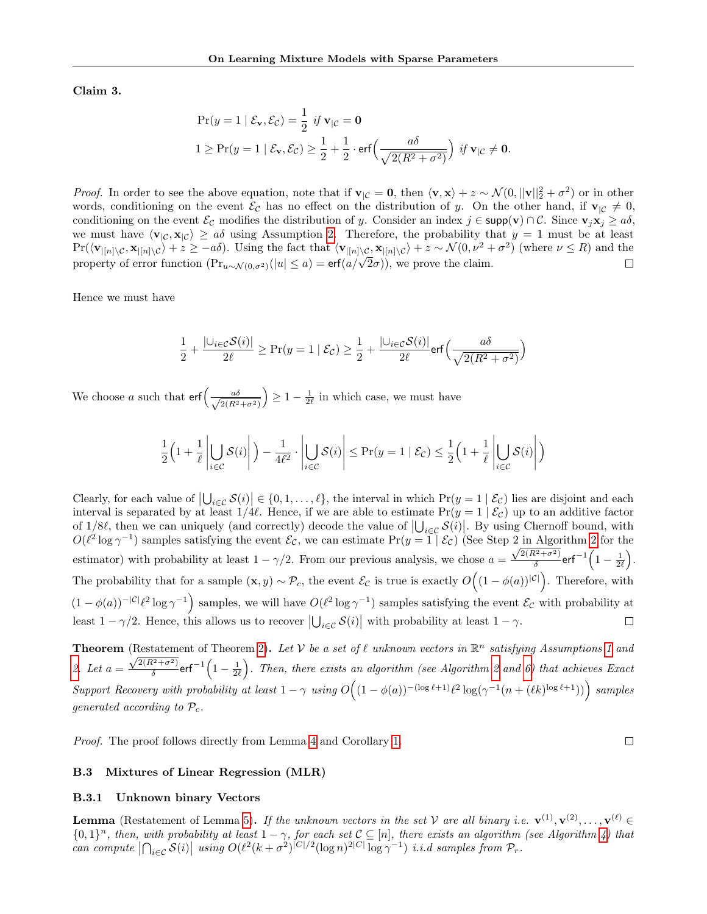Claim 3.

$$
\Pr(y = 1 \mid \mathcal{E}_{\mathbf{v}}, \mathcal{E}_{\mathcal{C}}) = \frac{1}{2} \text{ if } \mathbf{v}_{|\mathcal{C}} = \mathbf{0}
$$
  

$$
1 \ge \Pr(y = 1 \mid \mathcal{E}_{\mathbf{v}}, \mathcal{E}_{\mathcal{C}}) \ge \frac{1}{2} + \frac{1}{2} \cdot \text{erf}\left(\frac{a\delta}{\sqrt{2(R^2 + \sigma^2)}}\right) \text{ if } \mathbf{v}_{|\mathcal{C}} \ne \mathbf{0}.
$$

*Proof.* In order to see the above equation, note that if  $\mathbf{v}_{\vert\mathcal{C}} = \mathbf{0}$ , then  $\langle \mathbf{v}, \mathbf{x} \rangle + z \sim \mathcal{N}(0, ||\mathbf{v}||_2^2 + \sigma^2)$  or in other words, conditioning on the event  $\mathcal{E}_{\mathcal{C}}$  has no effect on the distribution of y. On the other hand, if  $\mathbf{v}_{|\mathcal{C}} \neq 0$ , conditioning on the event  $\mathcal{E}_{\mathcal{C}}$  modifies the distribution of y. Consider an index  $j \in \text{supp}(\mathbf{v}) \cap \mathcal{C}$ . Since  $\mathbf{v}_j \mathbf{x}_j \geq a\delta$ , we must have  $\langle v_{\vert C}, x_{\vert C}\rangle \ge a\delta$  using Assumption [2.](#page-7-1) Therefore, the probability that  $y = 1$  must be at least  $Pr(\langle \mathbf{v}_{|[n]\setminus\mathcal{C}}, \mathbf{x}_{|[n]\setminus\mathcal{C}} \rangle + z \ge -a\delta)$ . Using the fact that  $\langle \mathbf{v}_{|[n]\setminus\mathcal{C}}, \mathbf{x}_{|[n]\setminus\mathcal{C}} \rangle + z \sim \mathcal{N}(0, \nu^2 + \sigma^2)$  (where  $\nu \le R$ ) and the property of error function  $(Pr_{u \sim \mathcal{N}(0, \sigma^2)}(|u| \le a) = erf(a/\sqrt{2}\sigma))$ , we prove the claim.  $\Box$ 

Hence we must have

$$
\frac{1}{2} + \frac{|\cup_{i \in \mathcal{C}} \mathcal{S}(i)|}{2\ell} \ge \Pr(y = 1 \mid \mathcal{E}_{\mathcal{C}}) \ge \frac{1}{2} + \frac{|\cup_{i \in \mathcal{C}} \mathcal{S}(i)|}{2\ell} \text{erf}\Big(\frac{a\delta}{\sqrt{2(R^2 + \sigma^2)}}\Big)
$$

We choose a such that  $\text{erf}\left(-\frac{a\delta}{\sqrt{N}}\right)$  $2(R^2+\sigma^2)$  $\left(\frac{1}{2}\right) \geq 1 - \frac{1}{2\ell}$  in which case, we must have

$$
\frac{1}{2}\left(1+\frac{1}{\ell}\left|\bigcup_{i\in\mathcal{C}}\mathcal{S}(i)\right|\right)-\frac{1}{4\ell^2}\cdot\left|\bigcup_{i\in\mathcal{C}}\mathcal{S}(i)\right|\leq\Pr(y=1\mid\mathcal{E}_{\mathcal{C}})\leq\frac{1}{2}\left(1+\frac{1}{\ell}\left|\bigcup_{i\in\mathcal{C}}\mathcal{S}(i)\right|\right)
$$

Clearly, for each value of  $|\bigcup_{i\in\mathcal{C}}\mathcal{S}(i)|\in\{0,1,\ldots,\ell\}$ , the interval in which  $\Pr(y=1|\mathcal{E}_\mathcal{C})$  lies are disjoint and each interval is separated by at least  $1/4\ell$ . Hence, if we are able to estimate  $Pr(y = 1 | \mathcal{E}_c)$  up to an additive factor of 1/8 $\ell$ , then we can uniquely (and correctly) decode the value of  $|\bigcup_{i \in \mathcal{C}} S(i)|$ . By using Chernoff bound, with  $O(\ell^2 \log \gamma^{-1})$  samples satisfying the event  $\mathcal{E}_{\mathcal{C}}$ , we can estimate  $\Pr(y = 1 | \mathcal{E}_{\mathcal{C}})$  (See Step [2](#page-7-2) in Algorithm 2 for the estimator) with probability at least  $1 - \gamma/2$ . From our previous analysis, we chose  $a = \frac{\sqrt{2(R^2 + \sigma^2)}}{\delta}$  $\frac{k^2+\sigma^2)}{\delta}$ erf $^{-1}\Big(1-\frac{1}{2\ell}\Big).$ The probability that for a sample  $(\mathbf{x}, y) \sim \mathcal{P}_c$ , the event  $\mathcal{E}_{\mathcal{C}}$  is true is exactly  $O((1 - \phi(a))^{|\mathcal{C}|})$ . Therefore, with  $(1 - \phi(a))^{-|\mathcal{C}|\ell^2} \log \gamma^{-1}$  samples, we will have  $O(\ell^2 \log \gamma^{-1})$  samples satisfying the event  $\mathcal{E}_{\mathcal{C}}$  with probability at least  $1 - \gamma/2$ . Hence, this allows us to recover  $\left|\bigcup_{i \in \mathcal{C}} \mathcal{S}(i)\right|$  with probability at least  $1 - \gamma$ .  $\Box$ 

**Theorem** (Restatement of Theorem [2\)](#page-7-0). Let V be a set of  $\ell$  unknown vectors in  $\mathbb{R}^n$  satisfying Assumptions [1](#page-4-2) and [2.](#page-7-1) Let  $a = \frac{\sqrt{2(R^2+\sigma^2)}}{\delta}$  $\frac{k^{2}+\sigma^{2}}{\delta}$ erf $^{-1}\left(1-\frac{1}{2\ell}\right)$ . Then, there exists an algorithm (see Algorithm [2](#page-7-2) and [6\)](#page-26-0) that achieves Exact Support Recovery with probability at least  $1 - \gamma$  using  $O((1 - \phi(a))^{-(\log \ell + 1)} \ell^2 \log(\gamma^{-1}(n + (\ell k)^{\log \ell + 1}))$  samples generated according to  $\mathcal{P}_c$ .

Proof. The proof follows directly from Lemma [4](#page-7-3) and Corollary [1.](#page-4-4)

## $\Box$

#### <span id="page-19-0"></span>B.3 Mixtures of Linear Regression (MLR)

#### B.3.1 Unknown binary Vectors

**Lemma** (Restatement of Lemma [5\)](#page-8-1). If the unknown vectors in the set V are all binary i.e.  $\mathbf{v}^{(1)}, \mathbf{v}^{(2)}, \ldots, \mathbf{v}^{(\ell)} \in$  ${0,1}^n$ , then, with probability at least  $1-\gamma$ , for each set  $C \subseteq [n]$ , there exists an algorithm (see Algorithm [4\)](#page-20-0) that can compute  $\left|\bigcap_{i\in\mathcal{C}}\mathcal{S}(i)\right|$  using  $O(\ell^2(k+\sigma^2)^{|C|/2}(\log n)^{2|C|}\log \gamma^{-1})$  i.i.d samples from  $\mathcal{P}_r$ .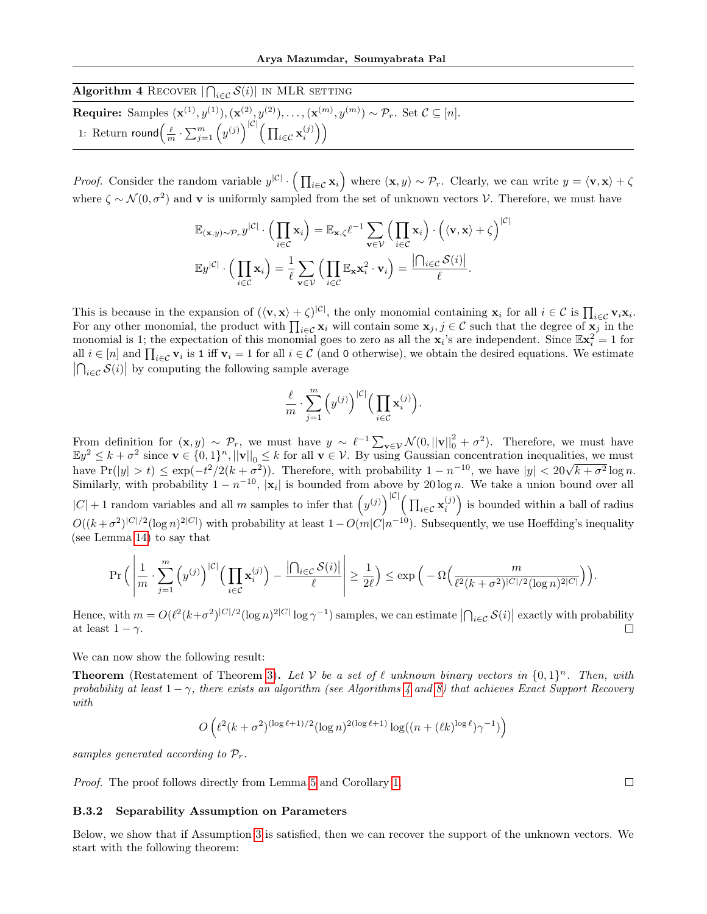<span id="page-20-0"></span>

| <b>Algorithm 4 RECOVER</b> $\bigcap_{i \in \mathcal{C}} \mathcal{S}(i)$ IN MLR SETTING                                                                                         |  |
|--------------------------------------------------------------------------------------------------------------------------------------------------------------------------------|--|
| <b>Require:</b> Samples $(\mathbf{x}^{(1)}, y^{(1)}), (\mathbf{x}^{(2)}, y^{(2)}), \ldots, (\mathbf{x}^{(m)}, y^{(m)}) \sim \mathcal{P}_r$ . Set $\mathcal{C} \subseteq [n]$ . |  |
| 1: Return round $\left(\frac{\ell}{m}\cdot \sum_{j=1}^m \left(y^{(j)}\right)^{ \mathcal{C} } \left(\prod_{i\in\mathcal{C}}\mathbf{x}_i^{(j)}\right)\right)$                    |  |

*Proof.* Consider the random variable  $y^{|\mathcal{C}|} \cdot (\prod_{i \in \mathcal{C}} x_i)$  where  $(x, y) \sim \mathcal{P}_r$ . Clearly, we can write  $y = \langle v, x \rangle + \zeta$ where  $\zeta \sim \mathcal{N}(0, \sigma^2)$  and v is uniformly sampled from the set of unknown vectors V. Therefore, we must have

$$
\mathbb{E}_{(\mathbf{x},y)\sim\mathcal{P}_r}y^{|\mathcal{C}|}\cdot\Big(\prod_{i\in\mathcal{C}}\mathbf{x}_i\Big)=\mathbb{E}_{\mathbf{x},\zeta}\ell^{-1}\sum_{\mathbf{v}\in\mathcal{V}}\Big(\prod_{i\in\mathcal{C}}\mathbf{x}_i\Big)\cdot\Big(\langle\mathbf{v},\mathbf{x}\rangle+\zeta\Big)^{|\mathcal{C}|}
$$

$$
\mathbb{E}y^{|\mathcal{C}|}\cdot\Big(\prod_{i\in\mathcal{C}}\mathbf{x}_i\Big)=\frac{1}{\ell}\sum_{\mathbf{v}\in\mathcal{V}}\Big(\prod_{i\in\mathcal{C}}\mathbb{E}_{\mathbf{x}}\mathbf{x}_i^2\cdot\mathbf{v}_i\Big)=\frac{|\bigcap_{i\in\mathcal{C}}\mathcal{S}(i)|}{\ell}.
$$

This is because in the expansion of  $(\langle \mathbf{v}, \mathbf{x} \rangle + \zeta)^{|\mathcal{C}|}$ , the only monomial containing  $\mathbf{x}_i$  for all  $i \in \mathcal{C}$  is  $\prod_{i \in \mathcal{C}} \mathbf{v}_i \mathbf{x}_i$ . For any other monomial, the product with  $\prod_{i\in\mathcal{C}}\mathbf{x}_i$  will contain some  $\mathbf{x}_j, j\in\mathcal{C}$  such that the degree of  $\mathbf{x}_j$  in the monomial is 1; the expectation of this monomial goes to zero as all the  $x_i$ 's are independent. Since  $\mathbb{E}x_i^2 = 1$  for all  $i \in [n]$  and  $\prod_{i \in \mathcal{C}} \mathbf{v}_i$  is 1 iff  $\mathbf{v}_i = 1$  for all  $i \in \mathcal{C}$  (and 0 otherwise), we obtain the desired equations. We estimate  $\left|\bigcap_{i\in\mathcal{C}}\mathcal{S}(i)\right|$  by computing the following sample average

$$
\frac{\ell}{m} \cdot \sum_{j=1}^m \left( y^{(j)} \right)^{|\mathcal{C}|} \Big( \prod_{i \in \mathcal{C}} \mathbf{x}_i^{(j)} \Big).
$$

From definition for  $(\mathbf{x}, y) \sim \mathcal{P}_r$ , we must have  $y \sim \ell^{-1} \sum_{\mathbf{v} \in \mathcal{V}} \mathcal{N}(0, ||\mathbf{v}||_0^2 + \sigma^2)$ . Therefore, we must have  $\mathbb{E}y^2 \leq k + \sigma^2$  since  $\mathbf{v} \in \{0,1\}^n, ||\mathbf{v}||_0 \leq k$  for all  $\mathbf{v} \in \mathcal{V}$ . By using Gaussian concentration inequalities, we must  $\lim_{k \to \infty} \frac{1}{k} \sum_{k=0}^{\infty} \frac{1}{k} \sum_{i=0}^{\infty} \frac{1}{i} \sum_{j=0}^{\infty} \frac{1}{j} \sum_{j=0}^{\infty} \frac{1}{j} \sum_{j=0}^{\infty} \frac{1}{j} \sum_{j=0}^{\infty} \frac{1}{j} \sum_{j=0}^{\infty} \frac{1}{j} \sum_{j=0}^{\infty} \frac{1}{j} \sum_{j=0}^{\infty} \frac{1}{j} \sum_{j=0}^{\infty} \frac{1}{j} \sum_{j=0}^{\infty} \$ Similarly, with probability  $1 - n^{-10}$ , |**x**<sub>i</sub>| is bounded from above by 20 log *n*. We take a union bound over all  $|C|+1$  random variables and all m samples to infer that  $(y^{(j)})^{|C|}(\prod_{i\in\mathcal{C}}\mathbf{x}_i^{(j)})$  is bounded within a ball of radius  $O((k+\sigma^2)^{|C|/2}(\log n)^{2|C|})$  with probability at least  $1-O(m|C|n^{-10})$ . Subsequently, we use Hoeffding's inequality (see Lemma [14\)](#page-28-4) to say that

$$
\Pr\Big(\left|\frac{1}{m}\cdot\sum_{j=1}^m\Big(y^{(j)}\Big)^{|\mathcal{C}|}\Big(\prod_{i\in\mathcal{C}}\mathbf{x}_i^{(j)}\Big)-\frac{\left|\bigcap_{i\in\mathcal{C}}\mathcal{S}(i)\right|}{\ell}\right|\geq\frac{1}{2\ell}\Big)\leq \exp\Big(-\Omega\Big(\frac{m}{\ell^2(k+\sigma^2)^{|\mathcal{C}|/2}(\log n)^{2|\mathcal{C}|}}\Big)\Big).
$$

Hence, with  $m = O(\ell^2 (k+\sigma^2)^{|C|/2} (\log n)^{2|C|} \log \gamma^{-1})$  samples, we can estimate  $\left| \bigcap_{i \in C} \mathcal{S}(i) \right|$  exactly with probability at least  $1 - \gamma$ .

We can now show the following result:

**Theorem** (Restatement of Theorem [3\)](#page-8-2). Let V be a set of  $\ell$  unknown binary vectors in  $\{0, 1\}^n$ . Then, with probability at least  $1 - \gamma$ , there exists an algorithm (see Algorithms [4](#page-20-0) and [8\)](#page-27-1) that achieves Exact Support Recovery with

$$
O\left(\ell^2 (k+\sigma^2)^{(\log \ell+1)/2} (\log n)^{2(\log \ell+1)} \log((n+(\ell k)^{\log \ell})\gamma^{-1})\right)
$$

samples generated according to  $\mathcal{P}_r$ .

Proof. The proof follows directly from Lemma [5](#page-8-1) and Corollary [1.](#page-4-4)

## B.3.2 Separability Assumption on Parameters

Below, we show that if Assumption [3](#page-12-2) is satisfied, then we can recover the support of the unknown vectors. We start with the following theorem:

 $\Box$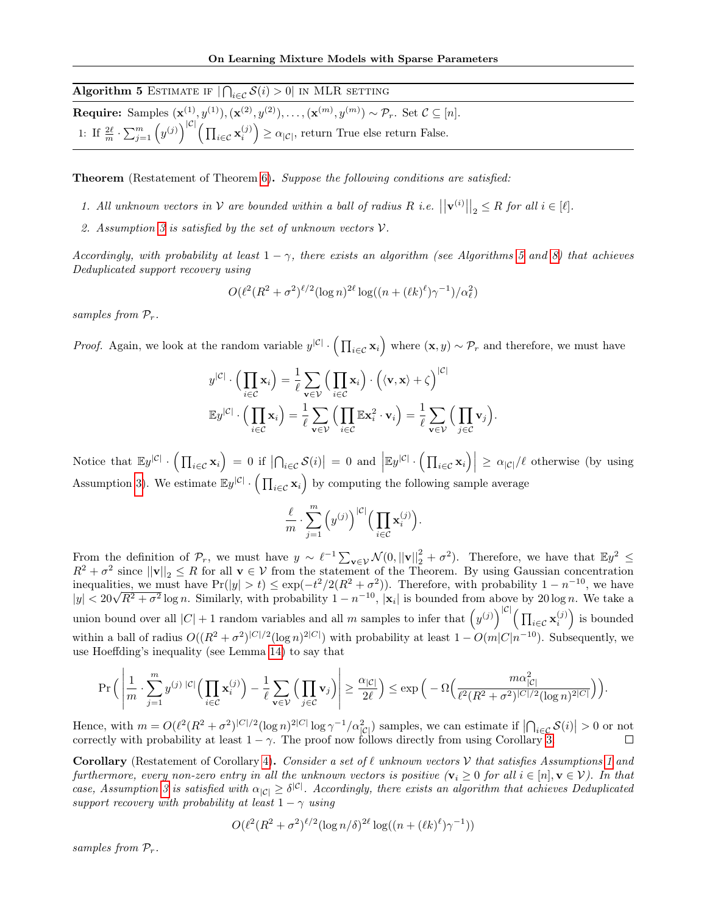<span id="page-21-0"></span>

| Algorithm 5 ESTIMATE IF $ \bigcap_{i \in \mathcal{C}} S(i) > 0 $ in MLR SETTING                                                                                                |
|--------------------------------------------------------------------------------------------------------------------------------------------------------------------------------|
| <b>Require:</b> Samples $(\mathbf{x}^{(1)}, y^{(1)}), (\mathbf{x}^{(2)}, y^{(2)}), \ldots, (\mathbf{x}^{(m)}, y^{(m)}) \sim \mathcal{P}_r$ . Set $\mathcal{C} \subseteq [n]$ . |
| 1: If $\frac{2\ell}{m} \cdot \sum_{j=1}^m (y^{(j)})^{ C } \Big( \prod_{i \in \mathcal{C}} \mathbf{x}_i^{(j)} \Big) \ge \alpha_{ C }$ , return True else return False.          |

Theorem (Restatement of Theorem [6\)](#page-12-3). Suppose the following conditions are satisfied:

- 1. All unknown vectors in  $\mathcal V$  are bounded within a ball of radius R i.e.  $||\mathbf{v}^{(i)}||_2 \leq R$  for all  $i \in [\ell]$ .
- 2. Assumption [3](#page-12-2) is satisfied by the set of unknown vectors V.

Accordingly, with probability at least  $1 - \gamma$ , there exists an algorithm (see Algorithms [5](#page-21-0) and [8\)](#page-27-1) that achieves Deduplicated support recovery using

$$
O(\ell^2 (R^2 + \sigma^2)^{\ell/2} (\log n)^{2\ell} \log((n + (\ell k)^{\ell}) \gamma^{-1})/\alpha_{\ell}^2)
$$

samples from  $P_r$ .

*Proof.* Again, we look at the random variable  $y^{|\mathcal{C}|} \cdot (\prod_{i \in \mathcal{C}} \mathbf{x}_i)$  where  $(\mathbf{x}, y) \sim \mathcal{P}_r$  and therefore, we must have

$$
y^{|\mathcal{C}|} \cdot \left(\prod_{i \in \mathcal{C}} \mathbf{x}_i\right) = \frac{1}{\ell} \sum_{\mathbf{v} \in \mathcal{V}} \left(\prod_{i \in \mathcal{C}} \mathbf{x}_i\right) \cdot \left(\langle \mathbf{v}, \mathbf{x} \rangle + \zeta\right)^{|\mathcal{C}|}
$$

$$
\mathbb{E} y^{|\mathcal{C}|} \cdot \left(\prod_{i \in \mathcal{C}} \mathbf{x}_i\right) = \frac{1}{\ell} \sum_{\mathbf{v} \in \mathcal{V}} \left(\prod_{i \in \mathcal{C}} \mathbb{E} \mathbf{x}_i^2 \cdot \mathbf{v}_i\right) = \frac{1}{\ell} \sum_{\mathbf{v} \in \mathcal{V}} \left(\prod_{j \in \mathcal{C}} \mathbf{v}_j\right).
$$

Notice that  $\mathbb{E}y^{|\mathcal{C}|} \cdot \left( \prod_{i \in \mathcal{C}} \mathbf{x}_i \right) = 0$  if  $\left| \bigcap_{i \in \mathcal{C}} \mathcal{S}(i) \right| = 0$  and  $\left| \mathbb{E}y^{|\mathcal{C}|} \cdot \left( \prod_{i \in \mathcal{C}} \mathbf{x}_i \right) \right| \geq \alpha_{|\mathcal{C}|} / \ell$  otherwise (by using Assumption [3\)](#page-12-2). We estimate  $\mathbb{E}y^{|\mathcal{C}|} \cdot (\prod_{i \in \mathcal{C}} x_i)$  by computing the following sample average

$$
\frac{\ell}{m} \cdot \sum_{j=1}^m \left( y^{(j)} \right)^{|\mathcal{C}|} \Big( \prod_{i \in \mathcal{C}} \mathbf{x}_i^{(j)} \Big).
$$

From the definition of  $\mathcal{P}_r$ , we must have  $y \sim \ell^{-1} \sum_{\mathbf{v} \in \mathcal{V}} \mathcal{N}(0, ||\mathbf{v}||_2^2 + \sigma^2)$ . Therefore, we have that  $\mathbb{E}y^2 \leq$  $R^2 + \sigma^2$  since  $||\mathbf{v}||_2 \leq R$  for all  $\mathbf{v} \in \mathcal{V}$  from the statement of the Theorem. By using Gaussian concentration inequalities, we must have  $Pr(|y| > t) \leq exp(-t^2/2(R^2 + \sigma^2))$ . Therefore, with probability  $1 - n^{-10}$ , we have  $|y| < 20\sqrt{R^2 + \sigma^2} \log n$ . Similarly, with probability  $1 - n^{-10}$ ,  $|\mathbf{x}_i|$  is bounded from above by 20log *n*. We tak union bound over all  $|C|+1$  random variables and all m samples to infer that  $(y^{(j)})^{|C|}(\prod_{i\in\mathcal{C}}\mathbf{x}_i^{(j)})$  is bounded within a ball of radius  $O((R^2 + \sigma^2)^{|C|/2}(\log n)^{2|C|})$  with probability at least  $1 - O(m|C|n^{-10})$ . Subsequently, we use Hoeffding's inequality (see Lemma [14\)](#page-28-4) to say that

$$
\Pr\Big(\left|\frac{1}{m}\cdot\sum_{j=1}^m y^{(j)}\,^{|C|}\Big(\prod_{i\in\mathcal{C}}\mathbf{x}_i^{(j)}\Big)-\frac{1}{\ell}\sum_{\mathbf{v}\in\mathcal{V}}\Big(\prod_{j\in\mathcal{C}}\mathbf{v}_j\Big)\right|\geq \frac{\alpha_{|C|}}{2\ell}\Big)\leq \exp\Big(-\Omega\Big(\frac{m\alpha_{|C|}^2}{\ell^2(R^2+\sigma^2)^{|C|/2}(\log n)^{2|C|}}\Big)\Big).
$$

Hence, with  $m = O(\ell^2 (R^2 + \sigma^2)^{|C|/2} (\log n)^{2|C|} \log \gamma^{-1} / \alpha_{|C|}^2)$  samples, we can estimate if  $\left| \bigcap_{i \in C} \mathcal{S}(i) \right| > 0$  or not correctly with probability at least  $1 - \gamma$ . The proof now follows directly from using Corol

**Corollary** (Restatement of Corollary [4\)](#page-12-4). Consider a set of  $\ell$  unknown vectors  $\mathcal V$  that satisfies Assumptions [1](#page-4-2) and furthermore, every non-zero entry in all the unknown vectors is positive  $(v_i \geq 0$  for all  $i \in [n], v \in V$ ). In that case, Assumption [3](#page-12-2) is satisfied with  $\alpha_{|C|} \geq \delta^{|C|}$ . Accordingly, there exists an algorithm that achieves Deduplicated support recovery with probability at least  $1 - \gamma$  using

$$
O(\ell^2 (R^2 + \sigma^2)^{\ell/2} (\log n/\delta)^{2\ell} \log((n + (\ell k)^{\ell}) \gamma^{-1}))
$$

samples from  $P_r$ .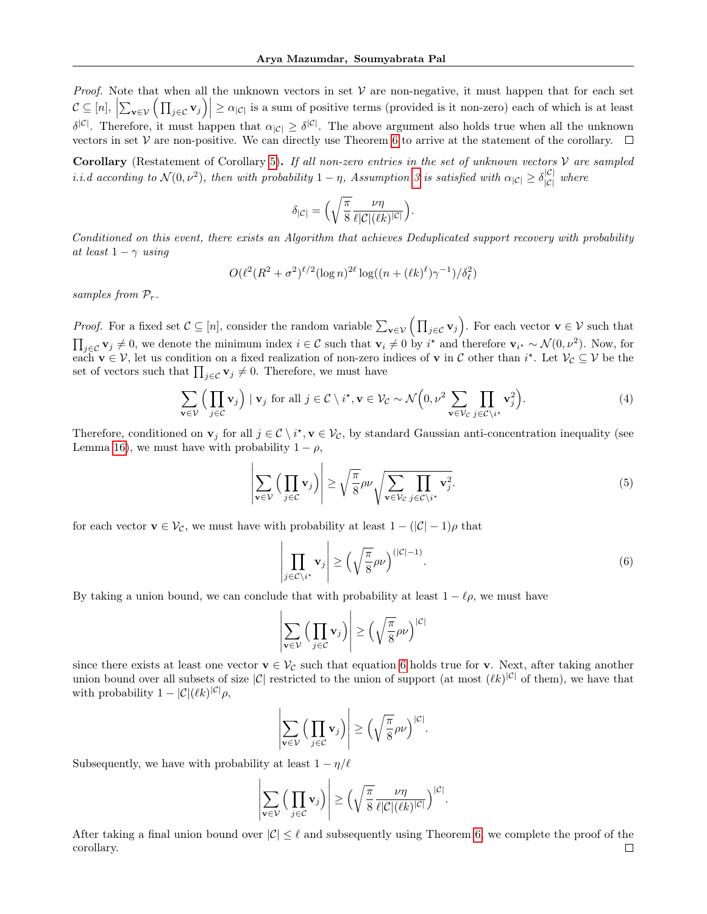*Proof.* Note that when all the unknown vectors in set  $V$  are non-negative, it must happen that for each set  $\mathcal{C} \subseteq [n], \left| \sum_{\mathbf{v} \in \mathcal{V}} \left( \prod_{j \in \mathcal{C}} \mathbf{v}_j \right) \right| \geq \alpha_{|\mathcal{C}|}$  is a sum of positive terms (provided is it non-zero) each of which is at least  $\delta^{|\mathcal{C}|}$ . Therefore, it must happen that  $\alpha_{|\mathcal{C}|} \geq \delta^{|\mathcal{C}|}$ . The above argument also holds true when all the unknown vectors in set  $V$  are non-positive. We can directly use Theorem [6](#page-12-3) to arrive at the statement of the corollary.  $\Box$ 

Corollary (Restatement of Corollary [5\)](#page-12-5). If all non-zero entries in the set of unknown vectors  $V$  are sampled *i.i.d* according to  $\mathcal{N}(0, \nu^2)$ , then with probability  $1 - \eta$ , Assumption [3](#page-12-2) is satisfied with  $\alpha_{|\mathcal{C}|} \geq \delta_{|\mathcal{C}|}^{|\mathcal{C}|}$  where

$$
\delta_{|\mathcal{C}|} = \Big(\sqrt{\frac{\pi}{8}} \frac{\nu \eta}{\ell |\mathcal{C}| (\ell k)^{|\mathcal{C}|}}\Big).
$$

Conditioned on this event, there exists an Algorithm that achieves Deduplicated support recovery with probability at least  $1 - \gamma$  using

$$
O(\ell^2 (R^2 + \sigma^2)^{\ell/2} (\log n)^{2\ell} \log((n + (\ell k)^{\ell}) \gamma^{-1})/\delta_{\ell}^2)
$$

samples from  $P_r$ .

*Proof.* For a fixed set  $\mathcal{C} \subseteq [n]$ , consider the random variable  $\sum_{\mathbf{v} \in \mathcal{V}} (\prod_{j \in \mathcal{C}} \mathbf{v}_j)$ . For each vector  $\mathbf{v} \in \mathcal{V}$  such that  $\prod_{j\in\mathcal{C}}\mathbf{v}_j\neq 0$ , we denote the minimum index  $i\in\mathcal{C}$  such that  $\mathbf{v}_i\neq 0$  by  $i^*$  and therefore  $\mathbf{v}_{i^*}\sim\mathcal{N}(0,\nu^2)$ . Now, for each  $\mathbf{v} \in \mathcal{V}$ , let us condition on a fixed realization of non-zero indices of  $\mathbf{v}$  in C other than  $i^*$ . Let  $\mathcal{V}_\mathcal{C} \subseteq \mathcal{V}$  be the set of vectors such that  $\prod_{j\in\mathcal{C}} \mathbf{v}_j \neq 0$ . Therefore, we must have

$$
\sum_{\mathbf{v}\in\mathcal{V}}\Big(\prod_{j\in\mathcal{C}}\mathbf{v}_j\Big) \mid \mathbf{v}_j \text{ for all } j\in\mathcal{C}\setminus i^*, \mathbf{v}\in\mathcal{V}_{\mathcal{C}} \sim \mathcal{N}\Big(0, \nu^2 \sum_{\mathbf{v}\in\mathcal{V}_{\mathcal{C}}} \prod_{j\in\mathcal{C}\setminus i^*} \mathbf{v}_j^2\Big). \tag{4}
$$

Therefore, conditioned on  $\mathbf{v}_j$  for all  $j \in \mathcal{C} \setminus i^*$ ,  $\mathbf{v} \in \mathcal{V}_\mathcal{C}$ , by standard Gaussian anti-concentration inequality (see Lemma [16\)](#page-28-5), we must have with probability  $1 - \rho$ ,

$$
\left| \sum_{\mathbf{v} \in \mathcal{V}} \left( \prod_{j \in \mathcal{C}} \mathbf{v}_j \right) \right| \ge \sqrt{\frac{\pi}{8}} \rho \nu \sqrt{\sum_{\mathbf{v} \in \mathcal{V}_C} \prod_{j \in \mathcal{C} \setminus i^*} \mathbf{v}_j^2}.
$$
\n(5)

for each vector  $\mathbf{v} \in \mathcal{V}_{\mathcal{C}}$ , we must have with probability at least  $1 - (|\mathcal{C}| - 1)\rho$  that

<span id="page-22-0"></span>
$$
\left| \prod_{j \in \mathcal{C} \setminus i^*} \mathbf{v}_j \right| \ge \left( \sqrt{\frac{\pi}{8}} \rho \nu \right)^{(|\mathcal{C}|-1)}.
$$
 (6)

By taking a union bound, we can conclude that with probability at least  $1 - \ell \rho$ , we must have

$$
\left|\sum_{\mathbf{v}\in\mathcal{V}}\left(\prod_{j\in\mathcal{C}}\mathbf{v}_j\right)\right|\geq \left(\sqrt{\frac{\pi}{8}}\rho\nu\right)^{|\mathcal{C}|}
$$

since there exists at least one vector  $v \in V_C$  such that equation [6](#page-22-0) holds true for v. Next, after taking another union bound over all subsets of size  $|\mathcal{C}|$  restricted to the union of support (at most  $(\ell k)^{|\mathcal{C}|}$  of them), we have that with probability  $1 - |\mathcal{C}|(\ell k)^{|\mathcal{C}|} \rho$ ,

$$
\left|\sum_{\mathbf{v}\in\mathcal{V}}\Big(\prod_{j\in\mathcal{C}}\mathbf{v}_j\Big)\right|\geq \Big(\sqrt{\frac{\pi}{8}}\rho\nu\Big)^{|\mathcal{C}|}.
$$

Subsequently, we have with probability at least  $1 - \eta/\ell$ 

$$
\left|\sum_{\mathbf{v}\in\mathcal{V}}\Big(\prod_{j\in\mathcal{C}}\mathbf{v}_j\Big)\right|\geq \Big(\sqrt{\frac{\pi}{8}}\frac{\nu\eta}{\ell|\mathcal{C}|(\ell k)^{|\mathcal{C}|}}\Big)^{|\mathcal{C}|}.
$$

After taking a final union bound over  $|\mathcal{C}| \leq \ell$  and subsequently using Theorem [6,](#page-12-3) we complete the proof of the corollary. $\Box$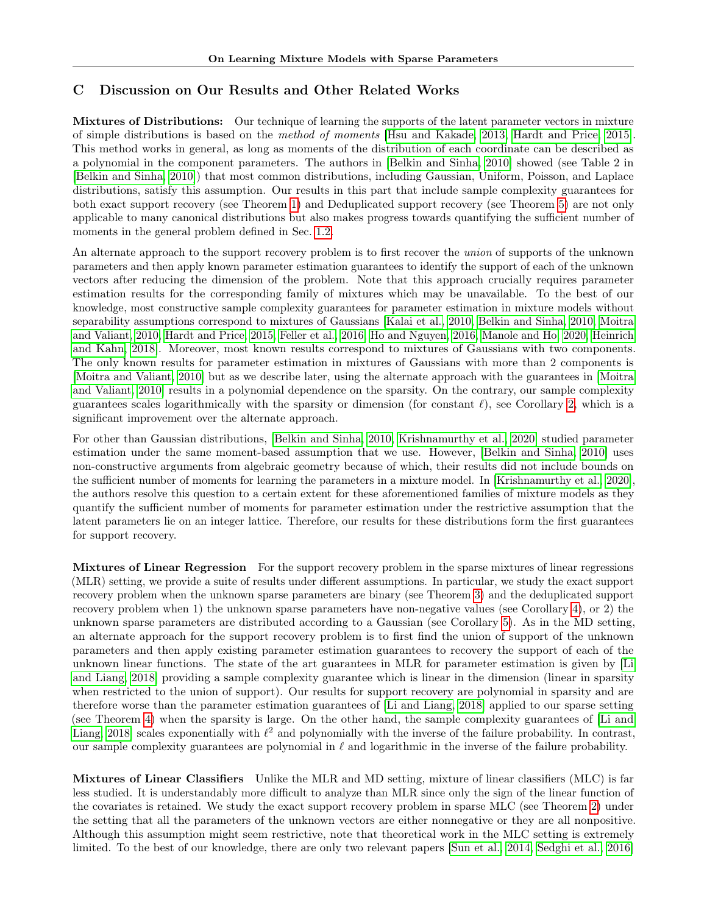# <span id="page-23-0"></span>C Discussion on Our Results and Other Related Works

Mixtures of Distributions: Our technique of learning the supports of the latent parameter vectors in mixture of simple distributions is based on the method of moments [\[Hsu and Kakade, 2013,](#page-9-22) [Hardt and Price, 2015\]](#page-9-10). This method works in general, as long as moments of the distribution of each coordinate can be described as a polynomial in the component parameters. The authors in [\[Belkin and Sinha, 2010\]](#page-9-3) showed (see Table 2 in [\[Belkin and Sinha, 2010\]](#page-9-3)) that most common distributions, including Gaussian, Uniform, Poisson, and Laplace distributions, satisfy this assumption. Our results in this part that include sample complexity guarantees for both exact support recovery (see Theorem [1\)](#page-5-2) and Deduplicated support recovery (see Theorem [5\)](#page-12-1) are not only applicable to many canonical distributions but also makes progress towards quantifying the sufficient number of moments in the general problem defined in Sec. [1.2.](#page-2-1)

An alternate approach to the support recovery problem is to first recover the *union* of supports of the unknown parameters and then apply known parameter estimation guarantees to identify the support of each of the unknown vectors after reducing the dimension of the problem. Note that this approach crucially requires parameter estimation results for the corresponding family of mixtures which may be unavailable. To the best of our knowledge, most constructive sample complexity guarantees for parameter estimation in mixture models without separability assumptions correspond to mixtures of Gaussians [\[Kalai et al., 2010,](#page-9-2) [Belkin and Sinha, 2010,](#page-9-3) [Moitra](#page-10-2) [and Valiant, 2010,](#page-10-2) [Hardt and Price, 2015,](#page-9-10) [Feller et al., 2016,](#page-9-23) [Ho and Nguyen, 2016,](#page-9-24) [Manole and Ho, 2020,](#page-10-19) [Heinrich](#page-9-25) [and Kahn, 2018\]](#page-9-25). Moreover, most known results correspond to mixtures of Gaussians with two components. The only known results for parameter estimation in mixtures of Gaussians with more than 2 components is [\[Moitra and Valiant, 2010\]](#page-10-2) but as we describe later, using the alternate approach with the guarantees in [\[Moitra](#page-10-2) [and Valiant, 2010\]](#page-10-2) results in a polynomial dependence on the sparsity. On the contrary, our sample complexity guarantees scales logarithmically with the sparsity or dimension (for constant  $\ell$ ), see Corollary [2,](#page-6-0) which is a significant improvement over the alternate approach.

For other than Gaussian distributions, [\[Belkin and Sinha, 2010,](#page-9-3) [Krishnamurthy et al., 2020\]](#page-10-18) studied parameter estimation under the same moment-based assumption that we use. However, [\[Belkin and Sinha, 2010\]](#page-9-3) uses non-constructive arguments from algebraic geometry because of which, their results did not include bounds on the sufficient number of moments for learning the parameters in a mixture model. In [\[Krishnamurthy et al., 2020\]](#page-10-18), the authors resolve this question to a certain extent for these aforementioned families of mixture models as they quantify the sufficient number of moments for parameter estimation under the restrictive assumption that the latent parameters lie on an integer lattice. Therefore, our results for these distributions form the first guarantees for support recovery.

Mixtures of Linear Regression For the support recovery problem in the sparse mixtures of linear regressions (MLR) setting, we provide a suite of results under different assumptions. In particular, we study the exact support recovery problem when the unknown sparse parameters are binary (see Theorem [3\)](#page-8-2) and the deduplicated support recovery problem when 1) the unknown sparse parameters have non-negative values (see Corollary [4\)](#page-12-4), or 2) the unknown sparse parameters are distributed according to a Gaussian (see Corollary [5\)](#page-12-5). As in the MD setting, an alternate approach for the support recovery problem is to first find the union of support of the unknown parameters and then apply existing parameter estimation guarantees to recovery the support of each of the unknown linear functions. The state of the art guarantees in MLR for parameter estimation is given by [\[Li](#page-10-6) [and Liang, 2018\]](#page-10-6) providing a sample complexity guarantee which is linear in the dimension (linear in sparsity when restricted to the union of support). Our results for support recovery are polynomial in sparsity and are therefore worse than the parameter estimation guarantees of [\[Li and Liang, 2018\]](#page-10-6) applied to our sparse setting (see Theorem [4\)](#page-8-0) when the sparsity is large. On the other hand, the sample complexity guarantees of [\[Li and](#page-10-6) Liang, 2018 scales exponentially with  $\ell^2$  and polynomially with the inverse of the failure probability. In contrast, our sample complexity guarantees are polynomial in  $\ell$  and logarithmic in the inverse of the failure probability.

Mixtures of Linear Classifiers Unlike the MLR and MD setting, mixture of linear classifiers (MLC) is far less studied. It is understandably more difficult to analyze than MLR since only the sign of the linear function of the covariates is retained. We study the exact support recovery problem in sparse MLC (see Theorem [2\)](#page-7-0) under the setting that all the parameters of the unknown vectors are either nonnegative or they are all nonpositive. Although this assumption might seem restrictive, note that theoretical work in the MLC setting is extremely limited. To the best of our knowledge, there are only two relevant papers [\[Sun et al., 2014,](#page-10-11) [Sedghi et al., 2016\]](#page-10-12)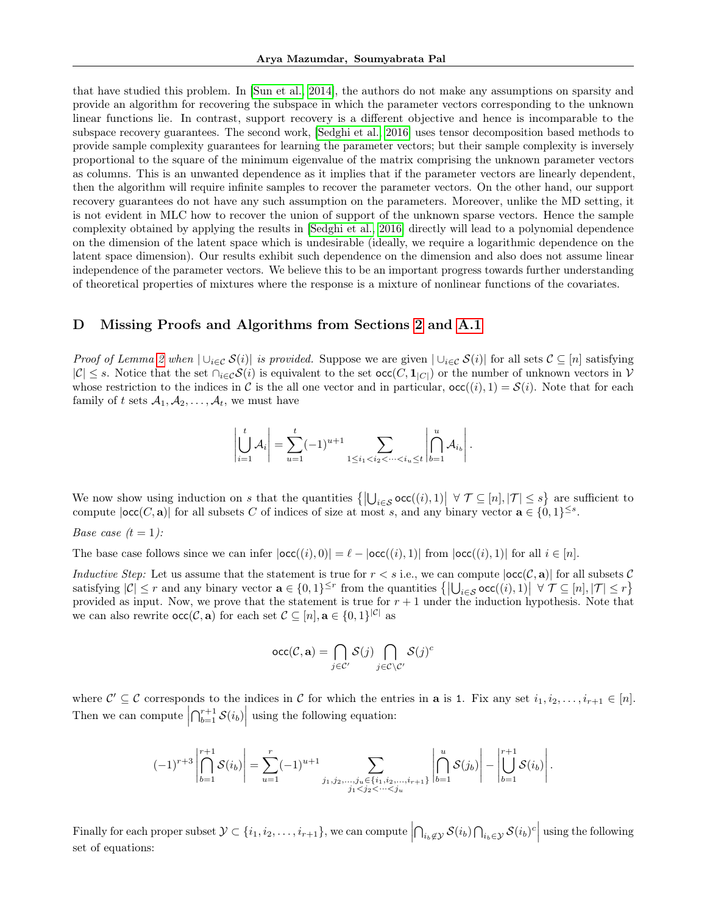that have studied this problem. In [\[Sun et al., 2014\]](#page-10-11), the authors do not make any assumptions on sparsity and provide an algorithm for recovering the subspace in which the parameter vectors corresponding to the unknown linear functions lie. In contrast, support recovery is a different objective and hence is incomparable to the subspace recovery guarantees. The second work, [\[Sedghi et al., 2016\]](#page-10-12) uses tensor decomposition based methods to provide sample complexity guarantees for learning the parameter vectors; but their sample complexity is inversely proportional to the square of the minimum eigenvalue of the matrix comprising the unknown parameter vectors as columns. This is an unwanted dependence as it implies that if the parameter vectors are linearly dependent, then the algorithm will require infinite samples to recover the parameter vectors. On the other hand, our support recovery guarantees do not have any such assumption on the parameters. Moreover, unlike the MD setting, it is not evident in MLC how to recover the union of support of the unknown sparse vectors. Hence the sample complexity obtained by applying the results in [\[Sedghi et al., 2016\]](#page-10-12) directly will lead to a polynomial dependence on the dimension of the latent space which is undesirable (ideally, we require a logarithmic dependence on the latent space dimension). Our results exhibit such dependence on the dimension and also does not assume linear independence of the parameter vectors. We believe this to be an important progress towards further understanding of theoretical properties of mixtures where the response is a mixture of nonlinear functions of the covariates.

# <span id="page-24-0"></span>D Missing Proofs and Algorithms from Sections [2](#page-3-2) and [A.1](#page-11-0)

Proof of Lemma [2](#page-4-1) when  $\bigcup_{i\in\mathcal{C}}\mathcal{S}(i)\big|$  is provided. Suppose we are given  $\bigcup_{i\in\mathcal{C}}\mathcal{S}(i)\big|$  for all sets  $\mathcal{C}\subseteq[n]$  satisfying  $|\mathcal{C}| \leq s$ . Notice that the set  $\cap_{i \in \mathcal{C}} \mathcal{S}(i)$  is equivalent to the set  $\text{occ}(C, \mathbf{1}_{|C|})$  or the number of unknown vectors in  $\mathcal{V}$ whose restriction to the indices in C is the all one vector and in particular,  $\text{occ}(i), 1) = \mathcal{S}(i)$ . Note that for each family of t sets  $A_1, A_2, \ldots, A_t$ , we must have

$$
\left|\bigcup_{i=1}^t \mathcal{A}_i\right| = \sum_{u=1}^t (-1)^{u+1} \sum_{1 \le i_1 < i_2 < \dots < i_u \le t} \left|\bigcap_{b=1}^u \mathcal{A}_{i_b}\right|.
$$

We now show using induction on s that the quantities  $\{|\bigcup_{i\in\mathcal{S}}\textsf{occ}((i),1)| \forall \mathcal{T}\subseteq[n],|\mathcal{T}|\leq s\}$  are sufficient to compute  $|\textsf{occ}(C, \mathbf{a})|$  for all subsets C of indices of size at most s, and any binary vector  $\mathbf{a} \in \{0, 1\}^{\leq s}$ .

*Base case*  $(t = 1)$ :

The base case follows since we can infer  $|occ((i), 0)| = \ell - |occ((i), 1)|$  from  $|occ((i), 1)|$  for all  $i \in [n]$ .

Inductive Step: Let us assume that the statement is true for  $r < s$  i.e., we can compute  $|occ(C, a)|$  for all subsets C satisfying  $|\mathcal{C}| \leq r$  and any binary vector  $\mathbf{a} \in \{0,1\}^{\leq r}$  from the quantities  $\{|\bigcup_{i \in \mathcal{S}} \mathsf{occ}((i),1)| \forall \mathcal{T} \subseteq [n], |\mathcal{T}| \leq r\}$ provided as input. Now, we prove that the statement is true for  $r + 1$  under the induction hypothesis. Note that we can also rewrite  $\operatorname{occ}(\mathcal{C}, \mathbf{a})$  for each set  $\mathcal{C} \subseteq [n], \mathbf{a} \in \{0,1\}^{|\mathcal{C}|}$  as

$$
\text{occ}(\mathcal{C}, \mathbf{a}) = \bigcap_{j \in \mathcal{C}'} \mathcal{S}(j) \bigcap_{j \in \mathcal{C} \setminus \mathcal{C}'} \mathcal{S}(j)^c
$$

where  $\mathcal{C}' \subseteq \mathcal{C}$  corresponds to the indices in  $\mathcal{C}$  for which the entries in **a** is 1. Fix any set  $i_1, i_2, \ldots, i_{r+1} \in [n]$ . Then we can compute  $\left|\bigcap_{b=1}^{r+1} S(i_b)\right|$  using the following equation:

$$
(-1)^{r+3}\left|\bigcap_{b=1}^{r+1}S(i_b)\right| = \sum_{u=1}^r (-1)^{u+1} \sum_{\substack{j_1,j_2,\ldots,j_u \in \{i_1,i_2,\ldots,i_{r+1}\} \\ j_1 < j_2 < \cdots < j_u}} \left|\bigcap_{b=1}^u S(j_b)\right| - \left|\bigcup_{b=1}^{r+1}S(i_b)\right|.
$$

Finally for each proper subset  $\mathcal{Y} \subset \{i_1, i_2, \ldots, i_{r+1}\}$ , we can compute  $\left|\bigcap_{i_b \notin \mathcal{Y}} \mathcal{S}(i_b) \bigcap_{i_b \in \mathcal{Y}} \mathcal{S}(i_b)^c\right|$  using the following set of equations: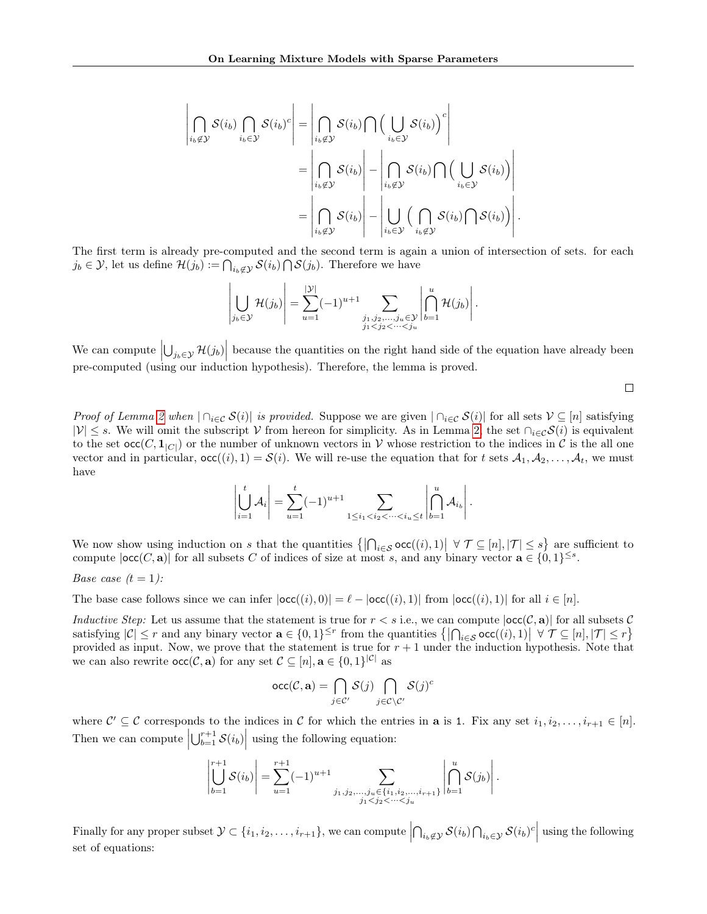$$
\left| \bigcap_{i_b \notin \mathcal{Y}} \mathcal{S}(i_b) \bigcap_{i_b \in \mathcal{Y}} \mathcal{S}(i_b)^c \right| = \left| \bigcap_{i_b \notin \mathcal{Y}} \mathcal{S}(i_b) \bigcap \Big( \bigcup_{i_b \in \mathcal{Y}} \mathcal{S}(i_b) \Big)^c \right|
$$
  
= 
$$
\left| \bigcap_{i_b \notin \mathcal{Y}} \mathcal{S}(i_b) \right| - \left| \bigcap_{i_b \notin \mathcal{Y}} \mathcal{S}(i_b) \bigcap \Big( \bigcup_{i_b \in \mathcal{Y}} \mathcal{S}(i_b) \Big) \right|
$$
  
= 
$$
\left| \bigcap_{i_b \notin \mathcal{Y}} \mathcal{S}(i_b) \right| - \left| \bigcup_{i_b \in \mathcal{Y}} \Big( \bigcap_{i_b \notin \mathcal{Y}} \mathcal{S}(i_b) \bigcap \mathcal{S}(i_b) \Big) \right|.
$$

The first term is already pre-computed and the second term is again a union of intersection of sets. for each  $j_b \in \mathcal{Y}$ , let us define  $\mathcal{H}(j_b) := \bigcap_{i_b \notin \mathcal{Y}} \mathcal{S}(i_b) \bigcap \mathcal{S}(j_b)$ . Therefore we have

$$
\left|\bigcup_{j_b \in \mathcal{Y}} \mathcal{H}(j_b)\right| = \sum_{u=1}^{|\mathcal{Y}|} (-1)^{u+1} \sum_{\substack{j_1, j_2, \dots, j_u \in \mathcal{Y} \\ j_1 < j_2 < \dots < j_u}} \left|\bigcap_{b=1}^u \mathcal{H}(j_b)\right|.
$$

We can compute  $\left|\bigcup_{j_b\in\mathcal{Y}}\mathcal{H}(j_b)\right|$  because the quantities on the right hand side of the equation have already been pre-computed (using our induction hypothesis). Therefore, the lemma is proved.

 $\Box$ 

*Proof of Lemma [2](#page-4-1) when*  $| \bigcap_{i \in \mathcal{C}} S(i)|$  is provided. Suppose we are given  $| \bigcap_{i \in \mathcal{C}} S(i)|$  for all sets  $\mathcal{V} \subseteq [n]$  satisfying  $|\mathcal{V}| \leq s$ . We will omit the subscript V from hereon for simplicity. As in Lemma [2,](#page-4-1) the set  $\cap_{i\in\mathcal{C}}\mathcal{S}(i)$  is equivalent to the set  $\operatorname{occ}(C, \mathbf{1}_{|C|})$  or the number of unknown vectors in V whose restriction to the indices in C is the all one vector and in particular,  $\text{occ}((i), 1) = \mathcal{S}(i)$ . We will re-use the equation that for t sets  $\mathcal{A}_1, \mathcal{A}_2, \ldots, \mathcal{A}_t$ , we must have

$$
\left| \bigcup_{i=1}^{t} A_{i} \right| = \sum_{u=1}^{t} (-1)^{u+1} \sum_{1 \leq i_{1} < i_{2} < \dots < i_{u} \leq t} \left| \bigcap_{b=1}^{u} A_{i_{b}} \right|.
$$

We now show using induction on s that the quantities  $\{|\bigcap_{i\in\mathcal{S}}\textsf{occ}((i),1)| \forall \mathcal{T}\subseteq[n],|\mathcal{T}|\leq s\}$  are sufficient to compute  $|\textsf{occ}(C, \mathbf{a})|$  for all subsets C of indices of size at most s, and any binary vector  $\mathbf{a} \in \{0, 1\}^{\leq s}$ .

*Base case*  $(t = 1)$ :

The base case follows since we can infer  $|occ((i), 0)| = \ell - |occ((i), 1)|$  from  $|occ((i), 1)|$  for all  $i \in [n]$ .

Inductive Step: Let us assume that the statement is true for  $r < s$  i.e., we can compute  $|occ(C, a)|$  for all subsets C satisfying  $|\mathcal{C}| \leq r$  and any binary vector  $\mathbf{a} \in \{0,1\}^{\leq r}$  from the quantities  $\{|\bigcap_{i \in \mathcal{S}} \text{occ}((i),1)| \forall \mathcal{T} \subseteq [n], |\mathcal{T}| \leq r\}$ provided as input. Now, we prove that the statement is true for  $r + 1$  under the induction hypothesis. Note that we can also rewrite  $\operatorname{occ}(\mathcal{C}, \mathbf{a})$  for any set  $\mathcal{C} \subseteq [n], \mathbf{a} \in \{0, 1\}^{|\mathcal{C}|}$  as

$$
\operatorname{occ}(\mathcal{C}, \mathbf{a}) = \bigcap_{j \in \mathcal{C}'} \mathcal{S}(j) \bigcap_{j \in \mathcal{C} \setminus \mathcal{C}'} \mathcal{S}(j)^c
$$

where  $\mathcal{C}' \subseteq \mathcal{C}$  corresponds to the indices in  $\mathcal{C}$  for which the entries in **a** is 1. Fix any set  $i_1, i_2, \ldots, i_{r+1} \in [n]$ . Then we can compute  $\left|\bigcup_{b=1}^{r+1} S(i_b)\right|$  using the following equation:

$$
\left|\bigcup_{b=1}^{r+1} S(i_b)\right| = \sum_{u=1}^{r+1} (-1)^{u+1} \sum_{\substack{j_1,j_2,\dots,j_u \in \{i_1,i_2,\dots,i_{r+1}\} \\ j_1 < j_2 < \dots < j_u}} \left|\bigcap_{b=1}^u S(j_b)\right|.
$$

Finally for any proper subset  $\mathcal{Y} \subset \{i_1, i_2, \ldots, i_{r+1}\}$ , we can compute  $\left|\bigcap_{i_b \notin \mathcal{Y}} \mathcal{S}(i_b) \bigcap_{i_b \in \mathcal{Y}} \mathcal{S}(i_b)^c\right|$  using the following set of equations: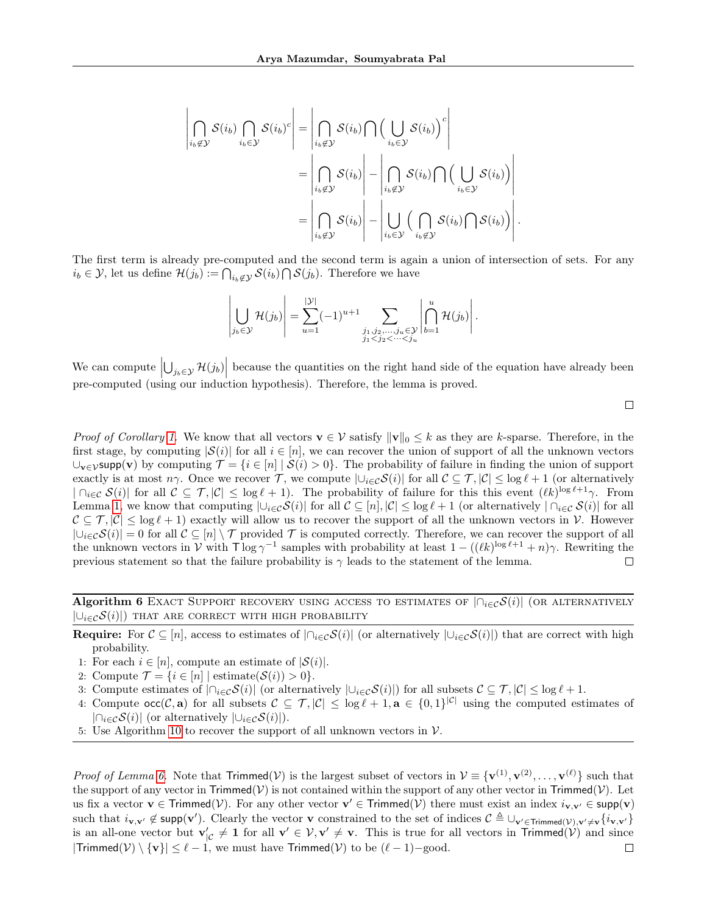$$
\left| \bigcap_{i_b \notin \mathcal{Y}} \mathcal{S}(i_b) \bigcap_{i_b \in \mathcal{Y}} \mathcal{S}(i_b)^c \right| = \left| \bigcap_{i_b \notin \mathcal{Y}} \mathcal{S}(i_b) \bigcap \Big( \bigcup_{i_b \in \mathcal{Y}} \mathcal{S}(i_b) \Big)^c \right|
$$
  
= 
$$
\left| \bigcap_{i_b \notin \mathcal{Y}} \mathcal{S}(i_b) \right| - \left| \bigcap_{i_b \notin \mathcal{Y}} \mathcal{S}(i_b) \bigcap \Big( \bigcup_{i_b \in \mathcal{Y}} \mathcal{S}(i_b) \Big) \right|
$$
  
= 
$$
\left| \bigcap_{i_b \notin \mathcal{Y}} \mathcal{S}(i_b) \right| - \left| \bigcup_{i_b \in \mathcal{Y}} \Big( \bigcap_{i_b \notin \mathcal{Y}} \mathcal{S}(i_b) \bigcap \mathcal{S}(i_b) \Big) \right|.
$$

The first term is already pre-computed and the second term is again a union of intersection of sets. For any  $i_b \in \mathcal{Y}$ , let us define  $\mathcal{H}(j_b) := \bigcap_{i_b \notin \mathcal{Y}} \mathcal{S}(i_b) \bigcap \mathcal{S}(j_b)$ . Therefore we have

$$
\left|\bigcup_{j_b \in \mathcal{Y}} \mathcal{H}(j_b)\right| = \sum_{u=1}^{|\mathcal{Y}|} (-1)^{u+1} \sum_{\substack{j_1, j_2, \dots, j_u \in \mathcal{Y} \\ j_1 < j_2 < \dots < j_u}} \left|\bigcap_{b=1}^u \mathcal{H}(j_b)\right|.
$$

We can compute  $\left|\bigcup_{j_b \in \mathcal{Y}} \mathcal{H}(j_b)\right|$  because the quantities on the right hand side of the equation have already been pre-computed (using our induction hypothesis). Therefore, the lemma is proved.

 $\Box$ 

*Proof of Corollary [1.](#page-4-4)* We know that all vectors  $\mathbf{v} \in \mathcal{V}$  satisfy  $\|\mathbf{v}\|_0 \leq k$  as they are k-sparse. Therefore, in the first stage, by computing  $|S(i)|$  for all  $i \in [n]$ , we can recover the union of support of all the unknown vectors  $\cup_{\mathbf{v}\in\mathcal{V}}$ supp(**v**) by computing  $\mathcal{T} = \{i \in [n] \mid \mathcal{S}(i) > 0\}$ . The probability of failure in finding the union of support exactly is at most  $n\gamma$ . Once we recover T, we compute  $|\cup_{i\in\mathcal{C}}\mathcal{S}(i)|$  for all  $\mathcal{C}\subseteq\mathcal{T}, |\mathcal{C}|\leq \log \ell + 1$  (or alternatively  $|\bigcap_{i\in\mathcal{C}}\mathcal{S}(i)|$  for all  $\mathcal{C}\subseteq\mathcal{T},|\mathcal{C}|\leq\log\ell+1$ . The probability of failure for this this event  $(\ell k)^{\log\ell+1}\gamma$ . From Lemma [1,](#page-3-1) we know that computing  $|\bigcup_{i\in\mathcal{C}}\mathcal{S}(i)|$  for all  $\mathcal{C}\subseteq[n], |\mathcal{C}|\leq \log \ell+1$  (or alternatively  $|\bigcap_{i\in\mathcal{C}}\mathcal{S}(i)|$  for all  $C \subseteq T, |\mathcal{C}| \leq \log \ell + 1$  exactly will allow us to recover the support of all the unknown vectors in  $\mathcal{V}$ . However  $|\bigcup_{i\in\mathcal{C}}\mathcal{S}(i)|=0$  for all  $\mathcal{C}\subseteq[n]\setminus\mathcal{T}$  provided  $\mathcal{T}$  is computed correctly. Therefore, we can recover the support of all the unknown vectors in V with  $\tau \log \gamma^{-1}$  samples with probability at least  $1 - ((\ell k)^{\log \ell + 1} + n)\gamma$ . Rewriting the previous statement so that the failure probability is  $\gamma$  leads to the statement of the lemma.  $\Box$ 

<span id="page-26-0"></span>Algorithm 6 EXACT SUPPORT RECOVERY USING ACCESS TO ESTIMATES OF  $|\bigcap_{i\in\mathcal{C}}S(i)|$  (OR ALTERNATIVELY  $|U_{i\in\mathcal{C}}\mathcal{S}(i)|$ ) that are correct with high probability

**Require:** For  $C \subseteq [n]$ , access to estimates of  $|\bigcap_{i \in C} S(i)|$  (or alternatively  $|\bigcup_{i \in C} S(i)|$ ) that are correct with high probability.

- 1: For each  $i \in [n]$ , compute an estimate of  $|S(i)|$ .
- 2: Compute  $\mathcal{T} = \{i \in [n] \mid \text{estimate}(\mathcal{S}(i)) > 0\}.$
- 3: Compute estimates of  $|\bigcap_{i\in\mathcal{C}}\mathcal{S}(i)|$  (or alternatively  $|\bigcup_{i\in\mathcal{C}}\mathcal{S}(i)|$ ) for all subsets  $\mathcal{C}\subseteq\mathcal{T}, |\mathcal{C}|\leq \log\ell+1$ .
- 4: Compute  $\text{occ}(\mathcal{C}, \mathbf{a})$  for all subsets  $\mathcal{C} \subseteq \mathcal{T}, |\mathcal{C}| \leq \log \ell + 1, \mathbf{a} \in \{0,1\}^{|\mathcal{C}|}$  using the computed estimates of  $|\bigcap_{i\in\mathcal{C}}\mathcal{S}(i)|$  (or alternatively  $|\bigcup_{i\in\mathcal{C}}\mathcal{S}(i)|$ ).
- 5: Use Algorithm [10](#page-30-1) to recover the support of all unknown vectors in  $V$ .

*Proof of Lemma [6.](#page-11-3)* Note that  $Trimmed(V)$  is the largest subset of vectors in  $V = \{v^{(1)}, v^{(2)}, \ldots, v^{(\ell)}\}$  such that the support of any vector in Trimmed(V) is not contained within the support of any other vector in Trimmed(V). Let us fix a vector  $\mathbf{v} \in \mathsf{Trimmed}(\mathcal{V})$ . For any other vector  $\mathbf{v}' \in \mathsf{Trimmed}(\mathcal{V})$  there must exist an index  $i_{\mathbf{v},\mathbf{v}'} \in \mathsf{supp}(\mathbf{v})$ such that  $i_{\mathbf{v},\mathbf{v}'} \notin \text{supp}(\mathbf{v}')$ . Clearly the vector **v** constrained to the set of indices  $\mathcal{C} \triangleq \bigcup_{\mathbf{v}' \in \text{Trimmed}(V),\mathbf{v}' \neq \mathbf{v}} \{i_{\mathbf{v},\mathbf{v}'}\}$ is an all-one vector but  $\mathbf{v}'_{|\mathcal{C}} \neq \mathbf{1}$  for all  $\mathbf{v}' \in \mathcal{V}, \mathbf{v}' \neq \mathbf{v}$ . This is true for all vectors in Trimmed $(\mathcal{V})$  and since  $|Trimmed(\mathcal{V}) \setminus {\bf{v}}| \leq \ell - 1$ , we must have Trimmed(V) to be  $(\ell - 1)$ –good.  $\Box$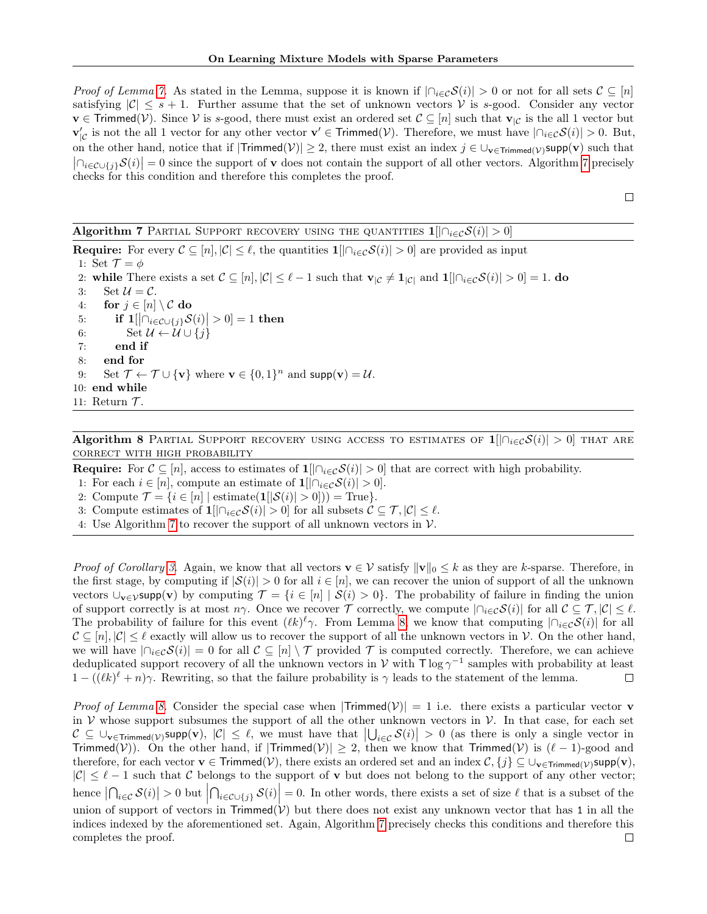*Proof of Lemma [7.](#page-11-6)* As stated in the Lemma, suppose it is known if  $|\bigcap_{i\in\mathcal{C}}\mathcal{S}(i)| > 0$  or not for all sets  $\mathcal{C} \subseteq [n]$ satisfying  $|\mathcal{C}| \leq s + 1$ . Further assume that the set of unknown vectors V is s-good. Consider any vector  $\mathbf{v} \in \mathsf{Trimmed}(\mathcal{V})$ . Since V is s-good, there must exist an ordered set  $\mathcal{C} \subseteq [n]$  such that  $\mathbf{v}_{|\mathcal{C}}$  is the all 1 vector but  $\mathbf{v}'_{|\mathcal{C}}$  is not the all 1 vector for any other vector  $\mathbf{v}' \in \mathsf{Trimmed}(\mathcal{V})$ . Therefore, we must have  $|\bigcap_{i \in \mathcal{C}} \mathcal{S}(i)| > 0$ . But, on the other hand, notice that if  $|Trimmed(V)| \geq 2$ , there must exist an index  $j \in \bigcup_{\mathbf{v} \in Trimmed(V)} supp(\mathbf{v})$  such that  $\left|\bigcap_{i\in\mathcal{C}\cup\{j\}}\mathcal{S}(i)\right|=0$  since the support of v does not contain the support of all other vectors. Algorithm [7](#page-27-0) precisely checks for this condition and therefore this completes the proof.

 $\Box$ 

# <span id="page-27-0"></span>Algorithm 7 PARTIAL SUPPORT RECOVERY USING THE QUANTITIES  $1[|\bigcap_{i\in\mathcal{C}}\mathcal{S}(i)|>0]$

**Require:** For every  $\mathcal{C} \subseteq [n], |\mathcal{C}| \leq \ell$ , the quantities  $\mathbf{1}[\bigcap_{i \in \mathcal{C}} \mathcal{S}(i)] > 0]$  are provided as input 1: Set  $\mathcal{T} = \phi$ 2: while There exists a set  $\mathcal{C} \subseteq [n], |\mathcal{C}| \leq \ell - 1$  such that  $\mathbf{v}_{|\mathcal{C}} \neq \mathbf{1}_{|\mathcal{C}|}$  and  $\mathbf{1}[\bigcap_{i \in \mathcal{C}} \mathcal{S}(i)] > 0] = 1$ . do 3: Set  $\mathcal{U} = \mathcal{C}$ . 4: for  $j \in [n] \setminus C$  do 5: if  $\mathbf{1}[\left| \bigcap_{i \in \mathcal{C} \cup \{j\}} \mathcal{S}(i) \right| > 0] = 1$  then 6: Set  $\mathcal{U} \leftarrow \mathcal{U} \cup \{j\}$ 7: end if 8: end for 9: Set  $\mathcal{T} \leftarrow \mathcal{T} \cup \{ \mathbf{v} \}$  where  $\mathbf{v} \in \{0,1\}^n$  and  $\text{supp}(\mathbf{v}) = \mathcal{U}$ . 10: end while 11: Return  $\mathcal{T}$ .

<span id="page-27-1"></span>Algorithm 8 PARTIAL SUPPORT RECOVERY USING ACCESS TO ESTIMATES OF  $1[|\bigcap_{i\in\mathcal{C}}S(i)|>0]$  THAT ARE correct with high probability

**Require:** For  $C \subseteq [n]$ , access to estimates of  $1[|\bigcap_{i \in C} S(i)| > 0]$  that are correct with high probability.

1: For each  $i \in [n]$ , compute an estimate of  $\mathbf{1}[\bigcap_{i \in \mathcal{C}} \mathcal{S}(i)] > 0$ .

2: Compute  $\mathcal{T} = \{i \in [n] \mid \text{estimate}(\mathbf{1}[\mathcal{S}(i) > 0]) = \text{True}\}.$ 

- 3: Compute estimates of  $\mathbf{1}[\left|\bigcap_{i\in\mathcal{C}}\mathcal{S}(i)\right|>0]$  for all subsets  $\mathcal{C}\subseteq\mathcal{T}, |\mathcal{C}|\leq\ell$ .
- 4: Use Algorithm [7](#page-27-0) to recover the support of all unknown vectors in  $V$ .

*Proof of Corollary [3.](#page-11-5)* Again, we know that all vectors  $\mathbf{v} \in \mathcal{V}$  satisfy  $\|\mathbf{v}\|_0 \leq k$  as they are k-sparse. Therefore, in the first stage, by computing if  $|\mathcal{S}(i)| > 0$  for all  $i \in [n]$ , we can recover the union of support of all the unknown vectors  $\cup_{\mathbf{v}\in\mathcal{V}}\text{supp}(\mathbf{v})$  by computing  $\mathcal{T} = \{i \in [n] \mid \mathcal{S}(i) > 0\}$ . The probability of failure in finding the union of support correctly is at most  $n\gamma$ . Once we recover  $\mathcal T$  correctly, we compute  $|\bigcap_{i\in\mathcal C} \mathcal S(i)|$  for all  $\mathcal C\subseteq\mathcal T, |\mathcal C|\leq\ell$ . The probability of failure for this event  $(\ell k)^{\ell} \gamma$ . From Lemma [8,](#page-11-4) we know that computing  $|\bigcap_{i\in\mathcal{C}}\mathcal{S}(i)|$  for all  $\mathcal{C} \subseteq [n], |\mathcal{C}| \leq \ell$  exactly will allow us to recover the support of all the unknown vectors in  $\mathcal{V}$ . On the other hand, we will have  $|\bigcap_{i\in\mathcal{C}}\mathcal{S}(i)|=0$  for all  $\mathcal{C}\subseteq[n]\setminus\mathcal{T}$  provided  $\mathcal{T}$  is computed correctly. Therefore, we can achieve deduplicated support recovery of all the unknown vectors in V with  $\Gamma \log \gamma^{-1}$  samples with probability at least  $1 - ((\ell k)^{\ell} + n)\gamma$ . Rewriting, so that the failure probability is  $\gamma$  leads to the statement of the lemma.  $\Box$ 

*Proof of Lemma [8.](#page-11-4)* Consider the special case when  $|Trimmed(V)| = 1$  i.e. there exists a particular vector **v** in V whose support subsumes the support of all the other unknown vectors in V. In that case, for each set  $\mathcal{C} \subseteq \bigcup_{\mathbf{v} \in \text{Trimmed}(\mathcal{V})} \text{supp}(\mathbf{v}), |\mathcal{C}| \leq \ell$ , we must have that  $\bigcup_{i \in \mathcal{C}} \mathcal{S}(i) \big| > 0$  (as there is only a single vector in Trimmed(V)). On the other hand, if  $|Trimmed(V)| \geq 2$ , then we know that Trimmed(V) is  $(\ell - 1)$ -good and therefore, for each vector  $\mathbf{v} \in \mathsf{Trimmed}(\mathcal{V})$ , there exists an ordered set and an index  $\mathcal{C}, \{j\} \subseteq \cup_{\mathbf{v} \in \mathsf{Trimmed}(\mathcal{V})}$ supp $(\mathbf{v})$ ,  $|\mathcal{C}| \leq \ell - 1$  such that C belongs to the support of v but does not belong to the support of any other vector; hence  $\left|\bigcap_{i\in\mathcal{C}}\mathcal{S}(i)\right|>0$  but  $\left|\bigcap_{i\in\mathcal{C}\cup\{j\}}\mathcal{S}(i)\right|=0$ . In other words, there exists a set of size  $\ell$  that is a subset of the union of support of vectors in Trimmed(V) but there does not exist any unknown vector that has 1 in all the indices indexed by the aforementioned set. Again, Algorithm [7](#page-27-0) precisely checks this conditions and therefore this completes the proof. $\Box$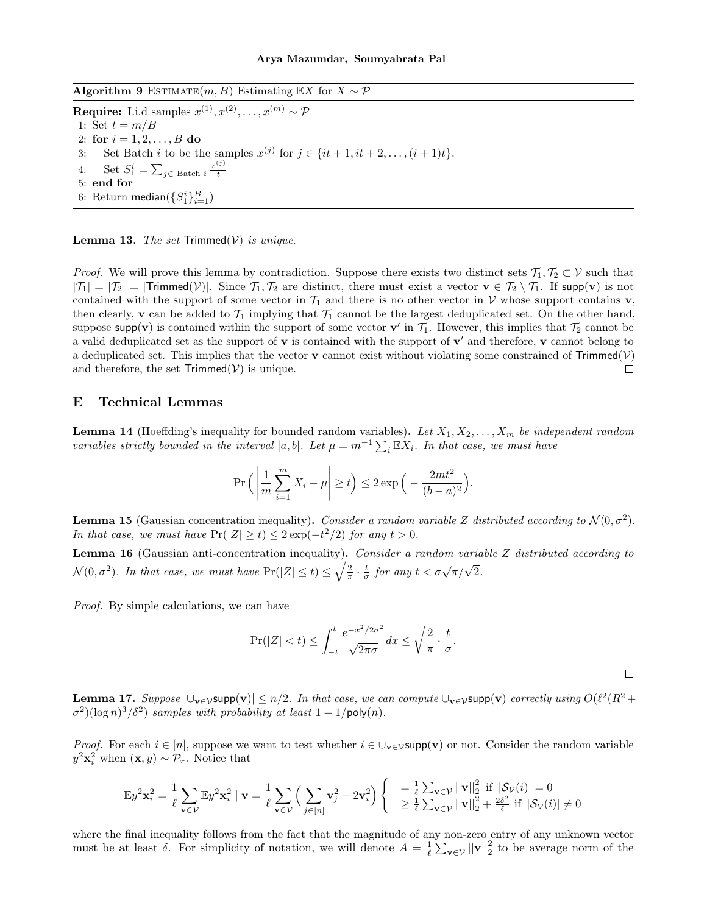<span id="page-28-2"></span>Algorithm 9 ESTIMATE $(m, B)$  Estimating EX for  $X \sim \mathcal{P}$ 

**Require:** I.i.d samples  $x^{(1)}, x^{(2)}, \ldots, x^{(m)} \sim \mathcal{P}$ 1: Set  $t = m/B$ 2: for  $i = 1, 2, ..., B$  do 3: Set Batch *i* to be the samples  $x^{(j)}$  for  $j \in \{it + 1, it + 2, ..., (i + 1)t\}.$ 4: Set  $S_1^i = \sum_{j \in \text{Batch } i} \frac{x^{(j)}}{t}$ t 5: end for 6: Return median $(\{S_1^i\}_{i=1}^B)$ 

<span id="page-28-0"></span>**Lemma 13.** The set  $Trimmed(V)$  is unique.

*Proof.* We will prove this lemma by contradiction. Suppose there exists two distinct sets  $\mathcal{T}_1, \mathcal{T}_2 \subset \mathcal{V}$  such that  $|\mathcal{T}_1| = |\mathcal{T}_2| = |\text{Trimmed}(V)|$ . Since  $\mathcal{T}_1, \mathcal{T}_2$  are distinct, there must exist a vector  $\mathbf{v} \in \mathcal{T}_2 \setminus \mathcal{T}_1$ . If supp(v) is not contained with the support of some vector in  $\mathcal{T}_1$  and there is no other vector in V whose support contains v, then clearly, v can be added to  $\mathcal{T}_1$  implying that  $\mathcal{T}_1$  cannot be the largest deduplicated set. On the other hand, suppose supp(v) is contained within the support of some vector  $\mathbf{v}'$  in  $\mathcal{T}_1$ . However, this implies that  $\mathcal{T}_2$  cannot be a valid deduplicated set as the support of  $\bf{v}$  is contained with the support of  $\bf{v}'$  and therefore,  $\bf{v}$  cannot belong to a deduplicated set. This implies that the vector **v** cannot exist without violating some constrained of  $Trimmed(V)$ and therefore, the set  $Trimmed(V)$  is unique.  $\Box$ 

# <span id="page-28-1"></span>E Technical Lemmas

<span id="page-28-4"></span>**Lemma 14** (Hoeffding's inequality for bounded random variables). Let  $X_1, X_2, \ldots, X_m$  be independent random variables strictly bounded in the interval [a, b]. Let  $\mu = m^{-1} \sum_i \mathbb{E} X_i$ . In that case, we must have

$$
\Pr\Big(\left|\frac{1}{m}\sum_{i=1}^{m}X_i-\mu\right|\geq t\Big)\leq 2\exp\Big(-\frac{2mt^2}{(b-a)^2}\Big).
$$

**Lemma 15** (Gaussian concentration inequality). Consider a random variable Z distributed according to  $\mathcal{N}(0, \sigma^2)$ . In that case, we must have  $Pr(|Z| \ge t) \le 2\exp(-t^2/2)$  for any  $t > 0$ .

<span id="page-28-5"></span>Lemma 16 (Gaussian anti-concentration inequality). Consider a random variable Z distributed according to  $\mathcal{N}(0, \sigma^2)$ . In that case, we must have  $\Pr(|Z| \le t) \le \sqrt{\frac{2}{\pi}} \cdot \frac{t}{\sigma}$  for any  $t < \sigma \sqrt{\pi}/\sqrt{2}$ .

Proof. By simple calculations, we can have

$$
\Pr(|Z| < t) \le \int_{-t}^{t} \frac{e^{-x^2/2\sigma^2}}{\sqrt{2\pi\sigma}} dx \le \sqrt{\frac{2}{\pi}} \cdot \frac{t}{\sigma}.
$$

<span id="page-28-3"></span>**Lemma 17.** Suppose  $|\bigcup_{\mathbf{v}\in\mathcal{V}}\text{supp}(\mathbf{v})|\leq n/2$ . In that case, we can compute  $\bigcup_{\mathbf{v}\in\mathcal{V}}\text{supp}(\mathbf{v})$  correctly using  $O(\ell^2(R^2 +$  $\sigma^2$ )(log n)<sup>3</sup>/ $\delta^2$ ) samples with probability at least 1 - 1/poly(n).

*Proof.* For each  $i \in [n]$ , suppose we want to test whether  $i \in \bigcup_{\mathbf{v} \in \mathcal{V}} \text{supp}(\mathbf{v})$  or not. Consider the random variable  $y^2\mathbf{x}_i^2$  when  $(\mathbf{x}, y) \sim \mathcal{P}_r$ . Notice that

$$
\mathbb{E}y^2\mathbf{x}_i^2 = \frac{1}{\ell}\sum_{\mathbf{v}\in\mathcal{V}}\mathbb{E}y^2\mathbf{x}_i^2 \mid \mathbf{v} = \frac{1}{\ell}\sum_{\mathbf{v}\in\mathcal{V}}\Big(\sum_{j\in[n]}\mathbf{v}_j^2 + 2\mathbf{v}_i^2\Big) \begin{cases} \n\quad = \frac{1}{\ell}\sum_{\mathbf{v}\in\mathcal{V}}||\mathbf{v}||_2^2 \text{ if } |\mathcal{S}_{\mathcal{V}}(i)| = 0\\ \n\geq \frac{1}{\ell}\sum_{\mathbf{v}\in\mathcal{V}}||\mathbf{v}||_2^2 + \frac{2\delta^2}{\ell} \text{ if } |\mathcal{S}_{\mathcal{V}}(i)| \neq 0\n\end{cases}
$$

where the final inequality follows from the fact that the magnitude of any non-zero entry of any unknown vector must be at least  $\delta$ . For simplicity of notation, we will denote  $A = \frac{1}{\ell} \sum_{\mathbf{v} \in \mathcal{V}} ||\mathbf{v}||_2^2$  to be average norm of the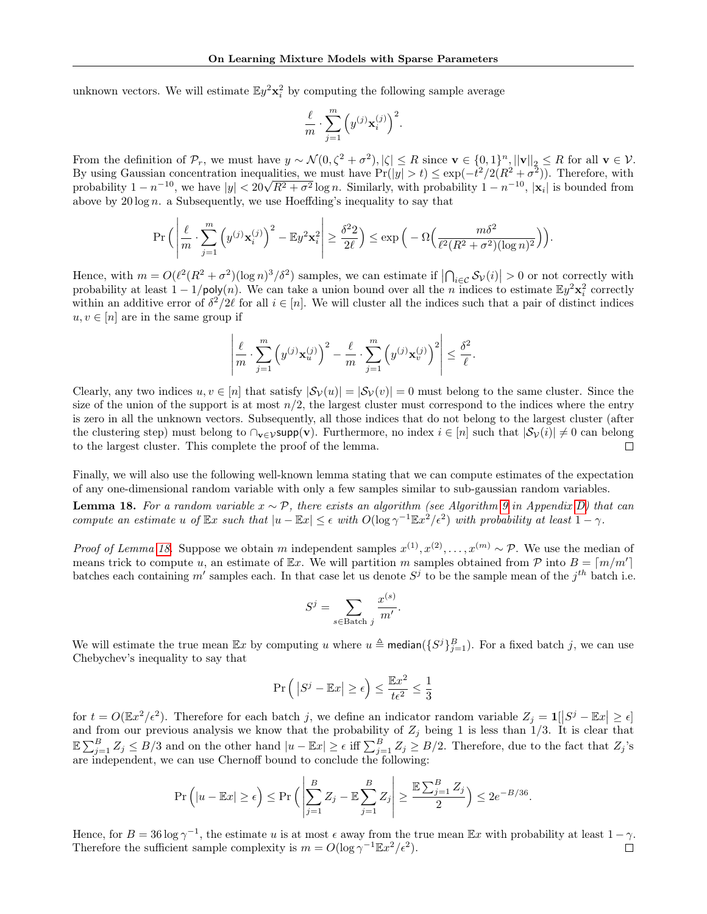unknown vectors. We will estimate  $\mathbb{E}y^2 \mathbf{x}_i^2$  by computing the following sample average

$$
\frac{\ell}{m} \cdot \sum_{j=1}^m \left( y^{(j)} \mathbf{x}_i^{(j)} \right)^2.
$$

From the definition of  $\mathcal{P}_r$ , we must have  $y \sim \mathcal{N}(0, \zeta^2 + \sigma^2), |\zeta| \leq R$  since  $\mathbf{v} \in \{0, 1\}^n, ||\mathbf{v}||_2 \leq R$  for all  $\mathbf{v} \in \mathcal{V}$ . By using Gaussian concentration inequalities, we must have  $Pr(|y| > t) \leq exp(-t^2/2(R^2 + \sigma^2))$ . Therefore, with by using Gaussian concentration mequanties, we must have  $Pr(|y| > t) \leq exp(-t^2/(k^2 + \sigma^2))$ . Therefore, with probability  $1 - n^{-10}$ ,  $|x_i|$  is bounded from above by  $20 \log n$ . a Subsequently, we use Hoeffding's inequality to say that

$$
\Pr\Big(\left|\frac{\ell}{m}\cdot\sum_{j=1}^m\left(y^{(j)}\mathbf{x}_i^{(j)}\right)^2-\mathbb{E}y^2\mathbf{x}_i^2\right|\geq\frac{\delta^22}{2\ell}\Big)\leq \exp\Big(-\Omega\Big(\frac{m\delta^2}{\ell^2(R^2+\sigma^2)(\log n)^2}\Big)\Big).
$$

Hence, with  $m = O(\ell^2 (R^2 + \sigma^2)(\log n)^3 / \delta^2)$  samples, we can estimate if  $\left| \bigcap_{i \in \mathcal{C}} S_{\mathcal{V}}(i) \right| > 0$  or not correctly with probability at least  $1 - 1/\text{poly}(n)$ . We can take a union bound over all the *n* indices to es within an additive error of  $\delta^2/2\ell$  for all  $i \in [n]$ . We will cluster all the indices such that a pair of distinct indices  $u, v \in [n]$  are in the same group if

$$
\left|\frac{\ell}{m} \cdot \sum_{j=1}^m \left( y^{(j)} \mathbf{x}_u^{(j)} \right)^2 - \frac{\ell}{m} \cdot \sum_{j=1}^m \left( y^{(j)} \mathbf{x}_v^{(j)} \right)^2 \right| \le \frac{\delta^2}{\ell}.
$$

Clearly, any two indices  $u, v \in [n]$  that satisfy  $|\mathcal{S}_{\mathcal{V}}(u)| = |\mathcal{S}_{\mathcal{V}}(v)| = 0$  must belong to the same cluster. Since the size of the union of the support is at most  $n/2$ , the largest cluster must correspond to the indices where the entry is zero in all the unknown vectors. Subsequently, all those indices that do not belong to the largest cluster (after the clustering step) must belong to  $\cap_{\mathbf{v}\in\mathcal{V}}\text{supp}(\mathbf{v})$ . Furthermore, no index  $i \in [n]$  such that  $|\mathcal{S}_{\mathcal{V}}(i)| \neq 0$  can belong to the largest cluster. This complete the proof of the lemma.  $\Box$ 

Finally, we will also use the following well-known lemma stating that we can compute estimates of the expectation of any one-dimensional random variable with only a few samples similar to sub-gaussian random variables.

<span id="page-29-0"></span>**Lemma 18.** For a random variable  $x \sim \mathcal{P}$ , there exists an algorithm (see Algorithm [9](#page-28-2) in Appendix [D\)](#page-24-0) that can compute an estimate u of  $\mathbb{E}x$  such that  $|u - \mathbb{E}x| \leq \epsilon$  with  $O(\log \gamma^{-1} \mathbb{E}x^2/\epsilon^2)$  with probability at least  $1 - \gamma$ .

*Proof of Lemma [18.](#page-29-0)* Suppose we obtain m independent samples  $x^{(1)}, x^{(2)}, \ldots, x^{(m)} \sim \mathcal{P}$ . We use the median of means trick to compute u, an estimate of Ex. We will partition m samples obtained from  $P$  into  $B = \lfloor m/m' \rfloor$ batches each containing m' samples each. In that case let us denote  $S^j$  to be the sample mean of the  $j^{th}$  batch i.e.

$$
S^j = \sum_{s \in \text{Batch } j} \frac{x^{(s)}}{m'}.
$$

We will estimate the true mean  $\mathbb{E}x$  by computing u where  $u \triangleq \text{median}(\{S^j\}_{j=1}^B)$ . For a fixed batch j, we can use Chebychev's inequality to say that

$$
\Pr \Big(\left|S^j - \mathbb{E} x \right| \geq \epsilon \Big) \leq \frac{\mathbb{E} x^2}{t \epsilon^2} \leq \frac{1}{3}
$$

for  $t = O(\mathbb{E}x^2/\epsilon^2)$ . Therefore for each batch j, we define an indicator random variable  $Z_j = 1[S^j - \mathbb{E}x] \geq \epsilon$ and from our previous analysis we know that the probability of  $Z_j$  being 1 is less than 1/3. It is clear that  $\mathbb{E}\sum_{j=1}^B Z_j \leq B/3$  and on the other hand  $|u - \mathbb{E}x| \geq \epsilon$  iff  $\sum_{j=1}^B Z_j \geq B/2$ . Therefore, due to the fact that  $Z_j$ 's are independent, we can use Chernoff bound to conclude the following:

$$
\Pr\left(|u - \mathbb{E}x| \ge \epsilon\right) \le \Pr\left(\left|\sum_{j=1}^B Z_j - \mathbb{E}\sum_{j=1}^B Z_j\right| \ge \frac{\mathbb{E}\sum_{j=1}^B Z_j}{2}\right) \le 2e^{-B/36}.
$$

Hence, for  $B = 36 \log \gamma^{-1}$ , the estimate u is at most  $\epsilon$  away from the true mean  $\mathbb{E}x$  with probability at least  $1 - \gamma$ . Therefore the sufficient sample complexity is  $m = O(\log \gamma^{-1} \mathbb{E}x^2/\epsilon^2)$ .  $\Box$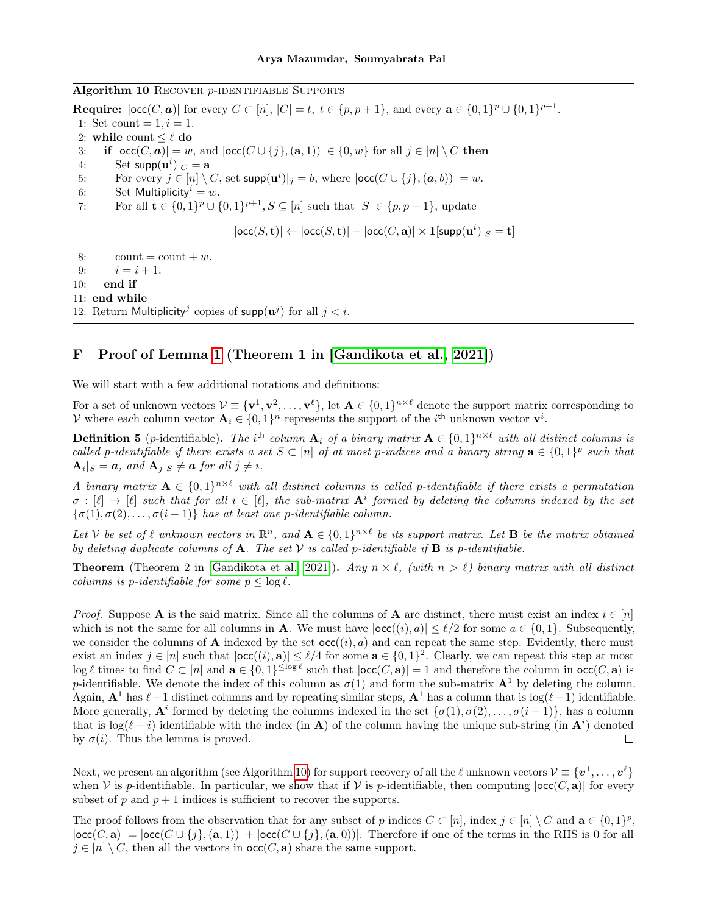#### <span id="page-30-1"></span>Algorithm 10 RECOVER *p*-IDENTIFIABLE SUPPORTS

**Require:**  $|occ(C, a)|$  for every  $C \subset [n]$ ,  $|C| = t$ ,  $t \in \{p, p + 1\}$ , and every  $a \in \{0, 1\}^p \cup \{0, 1\}^{p+1}$ . 1: Set count =  $1, i = 1$ . 2: while count  $\leq \ell$  do 3: if  $|\textsf{occ}(C, a)| = w$ , and  $|\textsf{occ}(C \cup \{j\}, (a, 1))| \in \{0, w\}$  for all  $j \in [n] \setminus C$  then 4: Set  $\textsf{supp}(\mathbf{u}^i)|_C = \mathbf{a}$ 5: For every  $j \in [n] \setminus C$ , set  $\textsf{supp}(\mathbf{u}^i)|_j = b$ , where  $|\textsf{occ}(C \cup \{j\}, (\mathbf{a}, b))| = w$ . 6: Set Multiplicity<sup> $i = w$ .</sup> 7: For all  $\mathbf{t} \in \{0,1\}^p \cup \{0,1\}^{p+1}, S \subseteq [n]$  such that  $|S| \in \{p, p+1\}$ , update  $|\mathsf{occ}(S, \mathbf{t})| \leftarrow |\mathsf{occ}(S, \mathbf{t})| - |\mathsf{occ}(C, \mathbf{a})| \times \mathbf{1}[\mathsf{supp}(\mathbf{u}^i)|_S = \mathbf{t}]$ 8: count = count + w. 9:  $i = i + 1$ . 10: end if 11: end while 12: Return Multiplicity<sup>j</sup> copies of supp $(\mathbf{u}^j)$  for all  $j < i$ .

# <span id="page-30-0"></span>F Proof of Lemma [1](#page-3-1) (Theorem 1 in [\[Gandikota et al., 2021\]](#page-9-17))

We will start with a few additional notations and definitions:

For a set of unknown vectors  $\mathcal{V} \equiv \{v^1, v^2, \ldots, v^{\ell}\},\$ let  $\mathbf{A} \in \{0,1\}^{n \times \ell}$  denote the support matrix corresponding to V where each column vector  $\mathbf{A}_i \in \{0,1\}^n$  represents the support of the  $i^{\text{th}}$  unknown vector  $\mathbf{v}^i$ .

**Definition 5** (p-identifiable). The i<sup>th</sup> column  $A_i$  of a binary matrix  $A \in \{0,1\}^{n \times \ell}$  with all distinct columns is called p-identifiable if there exists a set  $S \subset [n]$  of at most p-indices and a binary string  $\mathbf{a} \in \{0,1\}^p$  such that  $|\mathbf{A}_i|_S = a$ , and  $|\mathbf{A}_j|_S \neq a$  for all  $j \neq i$ .

A binary matrix  $A \in \{0,1\}^{n \times \ell}$  with all distinct columns is called p-identifiable if there exists a permutation  $\sigma : [\ell] \to [\ell]$  such that for all  $i \in [\ell]$ , the sub-matrix  $A^i$  formed by deleting the columns indexed by the set  $\{\sigma(1), \sigma(2), \ldots, \sigma(i-1)\}\$  has at least one p-identifiable column.

Let V be set of  $\ell$  unknown vectors in  $\mathbb{R}^n$ , and  $\mathbf{A} \in \{0,1\}^{n \times \ell}$  be its support matrix. Let **B** be the matrix obtained by deleting duplicate columns of **A**. The set V is called p-identifiable if **B** is p-identifiable.

**Theorem** (Theorem 2 in [\[Gandikota et al., 2021\]](#page-9-17)). Any  $n \times \ell$ , (with  $n > \ell$ ) binary matrix with all distinct columns is p-identifiable for some  $p < log \ell$ .

*Proof.* Suppose A is the said matrix. Since all the columns of A are distinct, there must exist an index  $i \in [n]$ which is not the same for all columns in **A**. We must have  $|occ((i), a)| \leq \ell/2$  for some  $a \in \{0, 1\}$ . Subsequently, we consider the columns of **A** indexed by the set  $occ((i), a)$  and can repeat the same step. Evidently, there must exist an index  $j \in [n]$  such that  $|\text{occ}((i), \mathbf{a})| \leq \ell/4$  for some  $\mathbf{a} \in \{0, 1\}^2$ . Clearly, we can repeat this step at most  $\log \ell$  times to find  $C \subset [n]$  and  $\mathbf{a} \in \{0,1\}^{\leq \log \ell}$  such that  $|\text{occ}(C, \mathbf{a})| = 1$  and therefore the column in  $\text{occ}(C, \mathbf{a})$  is p-identifiable. We denote the index of this column as  $\sigma(1)$  and form the sub-matrix  $\mathbf{A}^1$  by deleting the column. Again,  $\mathbf{A}^1$  has  $\ell-1$  distinct columns and by repeating similar steps,  $\mathbf{A}^1$  has a column that is log( $\ell-1$ ) identifiable. More generally,  $A^i$  formed by deleting the columns indexed in the set  $\{\sigma(1), \sigma(2), \ldots, \sigma(i-1)\}\)$ , has a column that is  $\log(\ell - i)$  identifiable with the index (in **A**) of the column having the unique sub-string (in  $\mathbf{A}^i$ ) denoted by  $\sigma(i)$ . Thus the lemma is proved.  $\Box$ 

Next, we present an algorithm (see Algorithm [10\)](#page-30-1) for support recovery of all the  $\ell$  unknown vectors  $\mathcal{V} \equiv \{\boldsymbol{v}^1,\ldots,\boldsymbol{v}^\ell\}$ when  $\mathcal V$  is p-identifiable. In particular, we show that if  $\mathcal V$  is p-identifiable, then computing  $|occ(C, a)|$  for every subset of p and  $p + 1$  indices is sufficient to recover the supports.

The proof follows from the observation that for any subset of p indices  $C \subset [n]$ , index  $j \in [n] \setminus C$  and  $\mathbf{a} \in \{0,1\}^p$ ,  $|\text{occ}(C, \mathbf{a})| = |\text{occ}(C \cup \{i\}, (\mathbf{a}, 1))| + |\text{occ}(C \cup \{i\}, (\mathbf{a}, 0))|$ . Therefore if one of the terms in the RHS is 0 for all  $j \in [n] \setminus C$ , then all the vectors in  $\operatorname{occ}(C, \mathbf{a})$  share the same support.